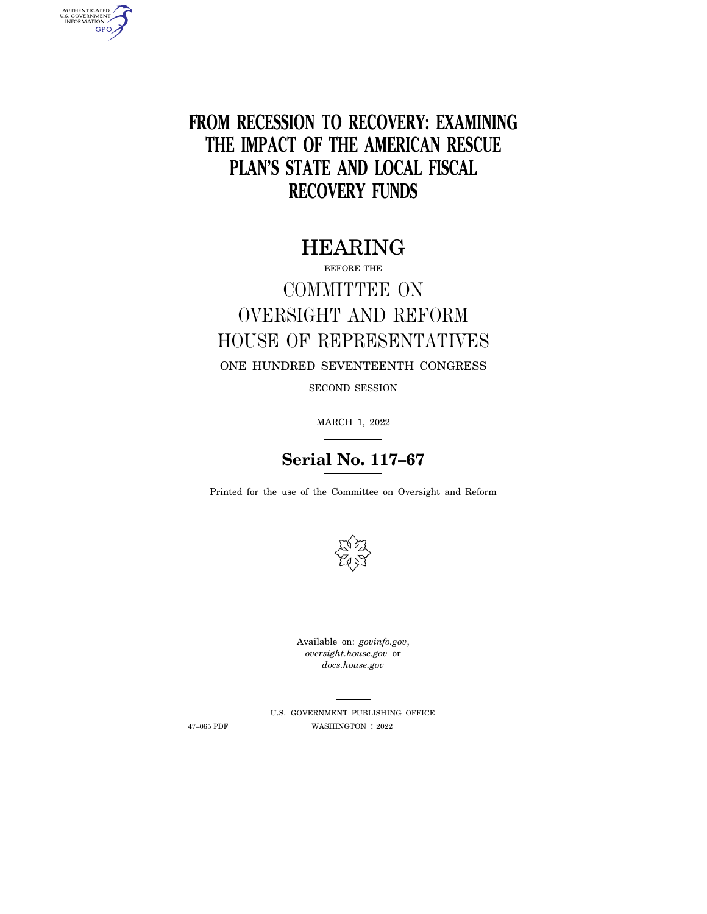**FROM RECESSION TO RECOVERY: EXAMINING THE IMPACT OF THE AMERICAN RESCUE PLAN'S STATE AND LOCAL FISCAL RECOVERY FUNDS** 

# HEARING

BEFORE THE

# COMMITTEE ON OVERSIGHT AND REFORM HOUSE OF REPRESENTATIVES

ONE HUNDRED SEVENTEENTH CONGRESS

SECOND SESSION

MARCH 1, 2022

## **Serial No. 117–67**

Printed for the use of the Committee on Oversight and Reform



Available on: *govinfo.gov*, *oversight.house.gov* or *docs.house.gov* 

U.S. GOVERNMENT PUBLISHING OFFICE 47–065 PDF WASHINGTON : 2022

AUTHENTICATED<br>U.S. GOVERNMENT<br>INFORMATION **GPO**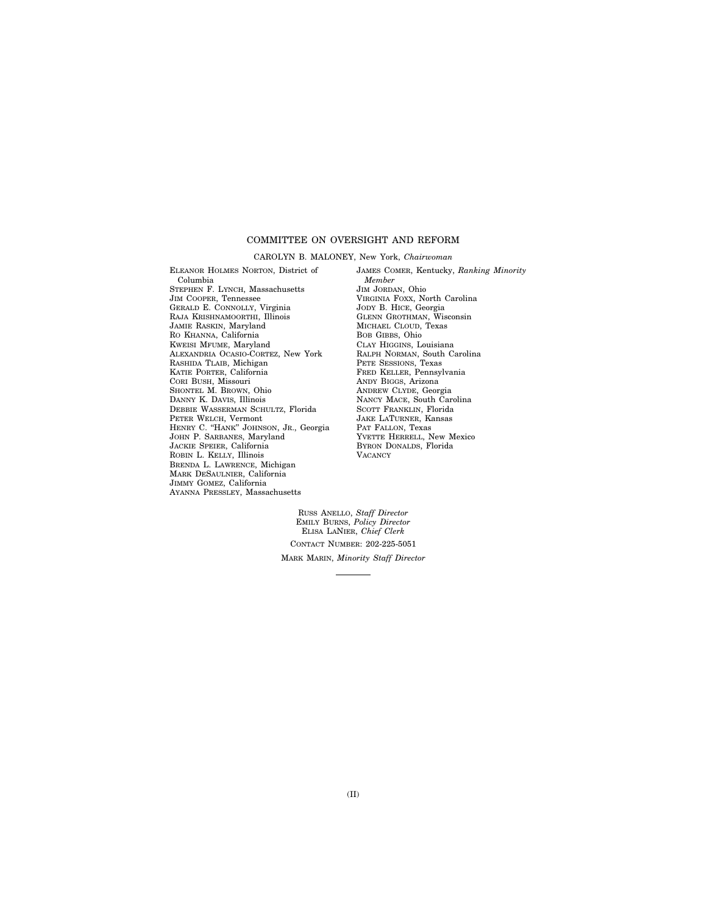#### COMMITTEE ON OVERSIGHT AND REFORM

#### CAROLYN B. MALONEY, New York, *Chairwoman*

ELEANOR HOLMES NORTON, District of Columbia STEPHEN F. LYNCH, Massachusetts JIM COOPER, Tennessee GERALD E. CONNOLLY, Virginia RAJA KRISHNAMOORTHI, Illinois JAMIE RASKIN, Maryland RO KHANNA, California KWEISI MFUME, Maryland ALEXANDRIA OCASIO-CORTEZ, New York RASHIDA TLAIB, Michigan KATIE PORTER, California CORI BUSH, Missouri SHONTEL M. BROWN, Ohio DANNY K. DAVIS, Illinois DEBBIE WASSERMAN SCHULTZ, Florida PETER WELCH, Vermont HENRY C. ''HANK'' JOHNSON, JR., Georgia JOHN P. SARBANES, Maryland JACKIE SPEIER, California ROBIN L. KELLY, Illinois BRENDA L. LAWRENCE, Michigan MARK DESAULNIER, California JIMMY GOMEZ, California AYANNA PRESSLEY, Massachusetts

JAMES COMER, Kentucky, *Ranking Minority Member*  JIM JORDAN, Ohio VIRGINIA FOXX, North Carolina JODY B. HICE, Georgia GLENN GROTHMAN, Wisconsin MICHAEL CLOUD, Texas BOB GIBBS, Ohio CLAY HIGGINS, Louisiana RALPH NORMAN, South Carolina PETE SESSIONS, Texas FRED KELLER, Pennsylvania ANDY BIGGS, Arizona ANDREW CLYDE, Georgia NANCY MACE, South Carolina SCOTT FRANKLIN, Florida JAKE LATURNER, Kansas PAT FALLON, Texas YVETTE HERRELL, New Mexico BYRON DONALDS, Florida **VACANCY** 

RUSS ANELLO, *Staff Director*  EMILY BURNS, *Policy Director*  ELISA LANIER, *Chief Clerk*  CONTACT NUMBER: 202-225-5051 MARK MARIN, *Minority Staff Director*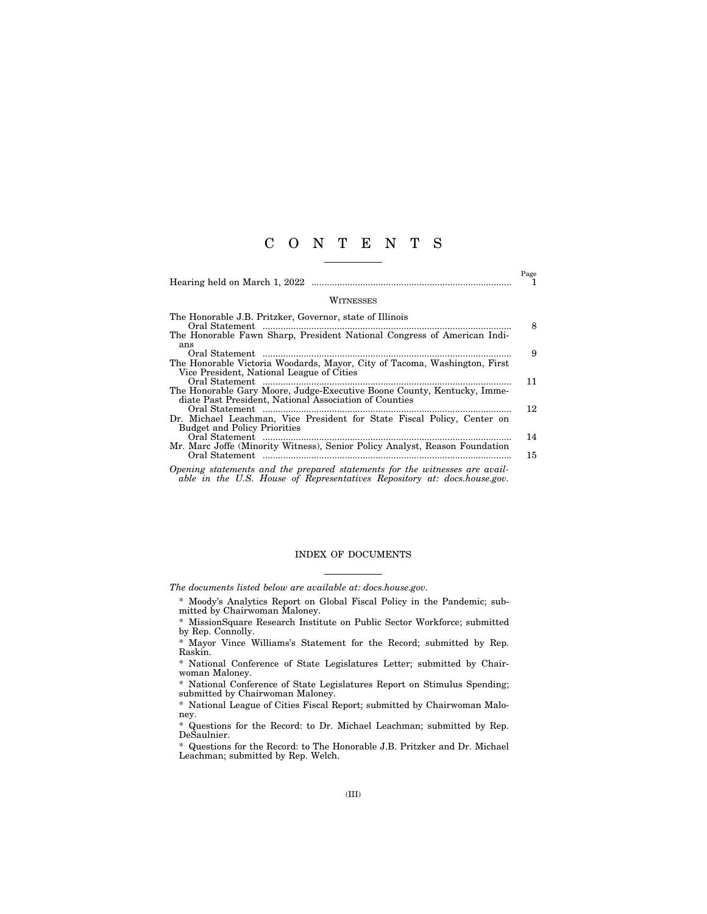### C O N T E N T S

|                                                                                                                                                                                                                                                                                                                                                                                                                                                                                                                                                                                     | Page |
|-------------------------------------------------------------------------------------------------------------------------------------------------------------------------------------------------------------------------------------------------------------------------------------------------------------------------------------------------------------------------------------------------------------------------------------------------------------------------------------------------------------------------------------------------------------------------------------|------|
| WITNESSES                                                                                                                                                                                                                                                                                                                                                                                                                                                                                                                                                                           |      |
| The Honorable J.B. Pritzker, Governor, state of Illinois<br>Oral Statement<br>$\begin{minipage}{0.9\linewidth} \begin{tabular}{l} \hline \textbf{1} & \textbf{2} & \textbf{3} & \textbf{4} & \textbf{5} & \textbf{6} & \textbf{6} & \textbf{7} & \textbf{8} & \textbf{9} & \textbf{10} & \textbf{10} & \textbf{10} & \textbf{10} & \textbf{10} & \textbf{10} & \textbf{10} & \textbf{10} & \textbf{10} & \textbf{10} & \textbf{10} & \textbf{10} & \textbf{10} & \textbf{10} & \textbf{10} & \textbf{10$<br>The Honorable Fawn Sharp, President National Congress of American Indi- | 8    |
| ans<br>Oral Statement<br>The Honorable Victoria Woodards, Mayor, City of Tacoma, Washington, First                                                                                                                                                                                                                                                                                                                                                                                                                                                                                  | 9    |
| Vice President, National League of Cities<br>Oral Statement<br>The Honorable Gary Moore, Judge-Executive Boone County, Kentucky, Imme-                                                                                                                                                                                                                                                                                                                                                                                                                                              | 11   |
| diate Past President, National Association of Counties<br>Oral Statement<br>Dr. Michael Leachman, Vice President for State Fiscal Policy, Center on                                                                                                                                                                                                                                                                                                                                                                                                                                 | 12   |
| <b>Budget and Policy Priorities</b><br>Mr. Marc Joffe (Minority Witness), Senior Policy Analyst, Reason Foundation                                                                                                                                                                                                                                                                                                                                                                                                                                                                  | 14   |
| Opening statements and the prepared statements for the witnesses are avail-                                                                                                                                                                                                                                                                                                                                                                                                                                                                                                         | 15   |

*able in the U.S. House of Representatives Repository at: docs.house.gov.* 

#### INDEX OF DOCUMENTS

*The documents listed below are available at: docs.house.gov.* 

- \* Moody's Analytics Report on Global Fiscal Policy in the Pandemic; submitted by Chairwoman Maloney.
- \* MissionSquare Research Institute on Public Sector Workforce; submitted by Rep. Connolly.
- \* Mayor Vince Williams's Statement for the Record; submitted by Rep. Raskin.
- \* National Conference of State Legislatures Letter; submitted by Chairwoman Maloney.
- \* National Conference of State Legislatures Report on Stimulus Spending; submitted by Chairwoman Maloney.
- \* National League of Cities Fiscal Report; submitted by Chairwoman Maloney.
- \* Questions for the Record: to Dr. Michael Leachman; submitted by Rep. DeSaulnier.

\* Questions for the Record: to The Honorable J.B. Pritzker and Dr. Michael Leachman; submitted by Rep. Welch.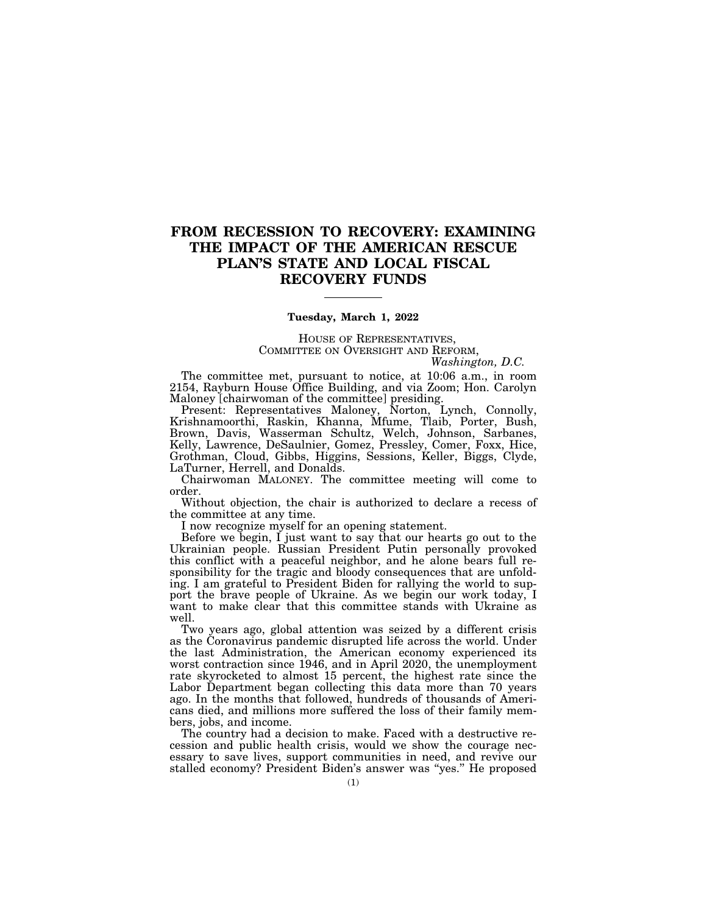## **FROM RECESSION TO RECOVERY: EXAMINING THE IMPACT OF THE AMERICAN RESCUE PLAN'S STATE AND LOCAL FISCAL RECOVERY FUNDS**

#### **Tuesday, March 1, 2022**

HOUSE OF REPRESENTATIVES, COMMITTEE ON OVERSIGHT AND REFORM,

*Washington, D.C.* 

The committee met, pursuant to notice, at 10:06 a.m., in room 2154, Rayburn House Office Building, and via Zoom; Hon. Carolyn Maloney [chairwoman of the committee] presiding.

Present: Representatives Maloney, Norton, Lynch, Connolly, Krishnamoorthi, Raskin, Khanna, Mfume, Tlaib, Porter, Bush, Brown, Davis, Wasserman Schultz, Welch, Johnson, Sarbanes, Kelly, Lawrence, DeSaulnier, Gomez, Pressley, Comer, Foxx, Hice, Grothman, Cloud, Gibbs, Higgins, Sessions, Keller, Biggs, Clyde, LaTurner, Herrell, and Donalds.

Chairwoman MALONEY. The committee meeting will come to order.

Without objection, the chair is authorized to declare a recess of the committee at any time.

I now recognize myself for an opening statement.

Before we begin, I just want to say that our hearts go out to the Ukrainian people. Russian President Putin personally provoked this conflict with a peaceful neighbor, and he alone bears full responsibility for the tragic and bloody consequences that are unfolding. I am grateful to President Biden for rallying the world to support the brave people of Ukraine. As we begin our work today, I want to make clear that this committee stands with Ukraine as well.

Two years ago, global attention was seized by a different crisis as the Coronavirus pandemic disrupted life across the world. Under the last Administration, the American economy experienced its worst contraction since 1946, and in April 2020, the unemployment rate skyrocketed to almost 15 percent, the highest rate since the Labor Department began collecting this data more than 70 years ago. In the months that followed, hundreds of thousands of Americans died, and millions more suffered the loss of their family members, jobs, and income.

The country had a decision to make. Faced with a destructive recession and public health crisis, would we show the courage necessary to save lives, support communities in need, and revive our stalled economy? President Biden's answer was ''yes.'' He proposed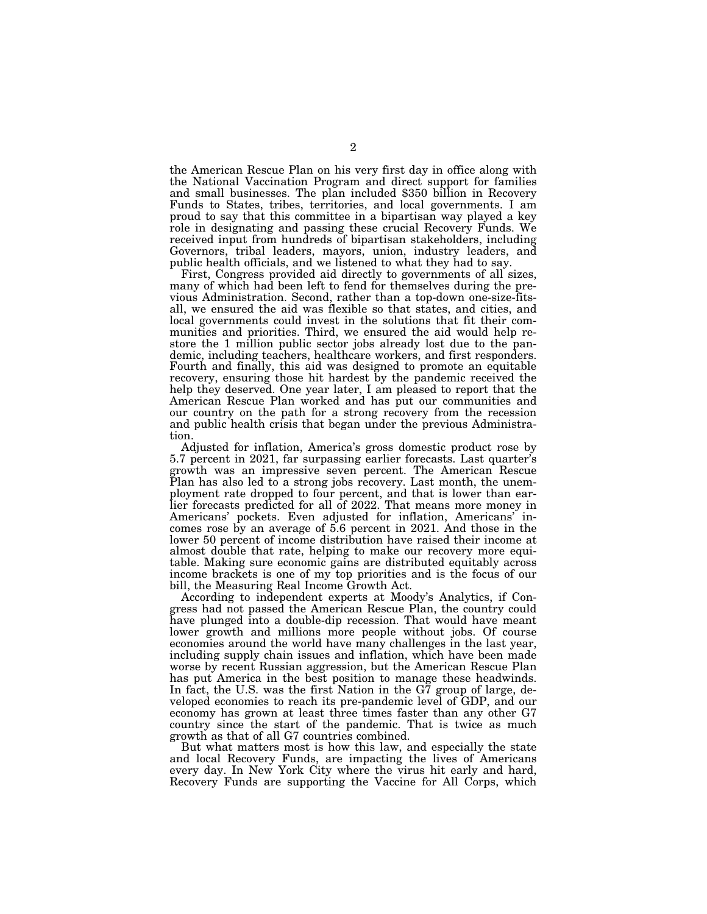the American Rescue Plan on his very first day in office along with the National Vaccination Program and direct support for families and small businesses. The plan included \$350 billion in Recovery Funds to States, tribes, territories, and local governments. I am proud to say that this committee in a bipartisan way played a key role in designating and passing these crucial Recovery Funds. We received input from hundreds of bipartisan stakeholders, including Governors, tribal leaders, mayors, union, industry leaders, and public health officials, and we listened to what they had to say.

First, Congress provided aid directly to governments of all sizes, many of which had been left to fend for themselves during the previous Administration. Second, rather than a top-down one-size-fitsall, we ensured the aid was flexible so that states, and cities, and local governments could invest in the solutions that fit their communities and priorities. Third, we ensured the aid would help restore the 1 million public sector jobs already lost due to the pandemic, including teachers, healthcare workers, and first responders. Fourth and finally, this aid was designed to promote an equitable recovery, ensuring those hit hardest by the pandemic received the help they deserved. One year later, I am pleased to report that the American Rescue Plan worked and has put our communities and our country on the path for a strong recovery from the recession and public health crisis that began under the previous Administration.

Adjusted for inflation, America's gross domestic product rose by 5.7 percent in 2021, far surpassing earlier forecasts. Last quarter's growth was an impressive seven percent. The American Rescue Plan has also led to a strong jobs recovery. Last month, the unemployment rate dropped to four percent, and that is lower than earlier forecasts predicted for all of 2022. That means more money in Americans' pockets. Even adjusted for inflation, Americans' incomes rose by an average of 5.6 percent in 2021. And those in the lower 50 percent of income distribution have raised their income at almost double that rate, helping to make our recovery more equitable. Making sure economic gains are distributed equitably across income brackets is one of my top priorities and is the focus of our bill, the Measuring Real Income Growth Act.

According to independent experts at Moody's Analytics, if Congress had not passed the American Rescue Plan, the country could have plunged into a double-dip recession. That would have meant lower growth and millions more people without jobs. Of course economies around the world have many challenges in the last year, including supply chain issues and inflation, which have been made worse by recent Russian aggression, but the American Rescue Plan has put America in the best position to manage these headwinds. In fact, the U.S. was the first Nation in the G7 group of large, developed economies to reach its pre-pandemic level of GDP, and our economy has grown at least three times faster than any other G7 country since the start of the pandemic. That is twice as much growth as that of all G7 countries combined.

But what matters most is how this law, and especially the state and local Recovery Funds, are impacting the lives of Americans every day. In New York City where the virus hit early and hard, Recovery Funds are supporting the Vaccine for All Corps, which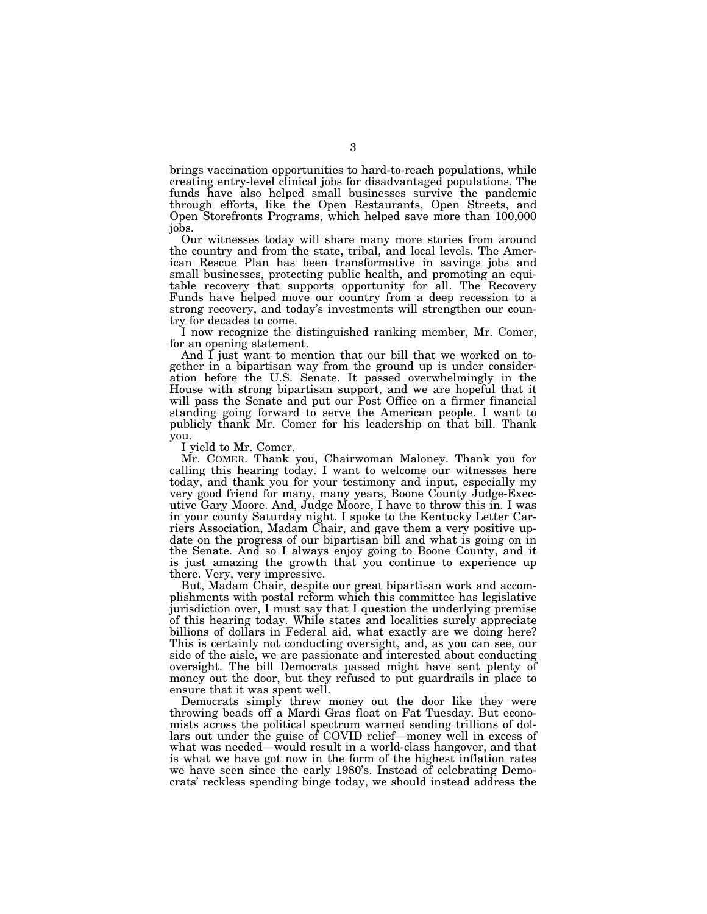brings vaccination opportunities to hard-to-reach populations, while creating entry-level clinical jobs for disadvantaged populations. The funds have also helped small businesses survive the pandemic through efforts, like the Open Restaurants, Open Streets, and Open Storefronts Programs, which helped save more than 100,000 jobs.

Our witnesses today will share many more stories from around the country and from the state, tribal, and local levels. The American Rescue Plan has been transformative in savings jobs and small businesses, protecting public health, and promoting an equitable recovery that supports opportunity for all. The Recovery Funds have helped move our country from a deep recession to a strong recovery, and today's investments will strengthen our country for decades to come.

I now recognize the distinguished ranking member, Mr. Comer, for an opening statement.

And I just want to mention that our bill that we worked on together in a bipartisan way from the ground up is under consideration before the U.S. Senate. It passed overwhelmingly in the House with strong bipartisan support, and we are hopeful that it will pass the Senate and put our Post Office on a firmer financial standing going forward to serve the American people. I want to publicly thank Mr. Comer for his leadership on that bill. Thank you.

I yield to Mr. Comer.

Mr. COMER. Thank you, Chairwoman Maloney. Thank you for calling this hearing today. I want to welcome our witnesses here today, and thank you for your testimony and input, especially my very good friend for many, many years, Boone County Judge-Executive Gary Moore. And, Judge Moore, I have to throw this in. I was in your county Saturday night. I spoke to the Kentucky Letter Carriers Association, Madam Chair, and gave them a very positive update on the progress of our bipartisan bill and what is going on in the Senate. And so I always enjoy going to Boone County, and it is just amazing the growth that you continue to experience up there. Very, very impressive.

But, Madam Chair, despite our great bipartisan work and accomplishments with postal reform which this committee has legislative jurisdiction over, I must say that I question the underlying premise of this hearing today. While states and localities surely appreciate billions of dollars in Federal aid, what exactly are we doing here? This is certainly not conducting oversight, and, as you can see, our side of the aisle, we are passionate and interested about conducting oversight. The bill Democrats passed might have sent plenty of money out the door, but they refused to put guardrails in place to ensure that it was spent well.

Democrats simply threw money out the door like they were throwing beads off a Mardi Gras float on Fat Tuesday. But economists across the political spectrum warned sending trillions of dollars out under the guise of COVID relief—money well in excess of what was needed—would result in a world-class hangover, and that is what we have got now in the form of the highest inflation rates we have seen since the early 1980's. Instead of celebrating Democrats' reckless spending binge today, we should instead address the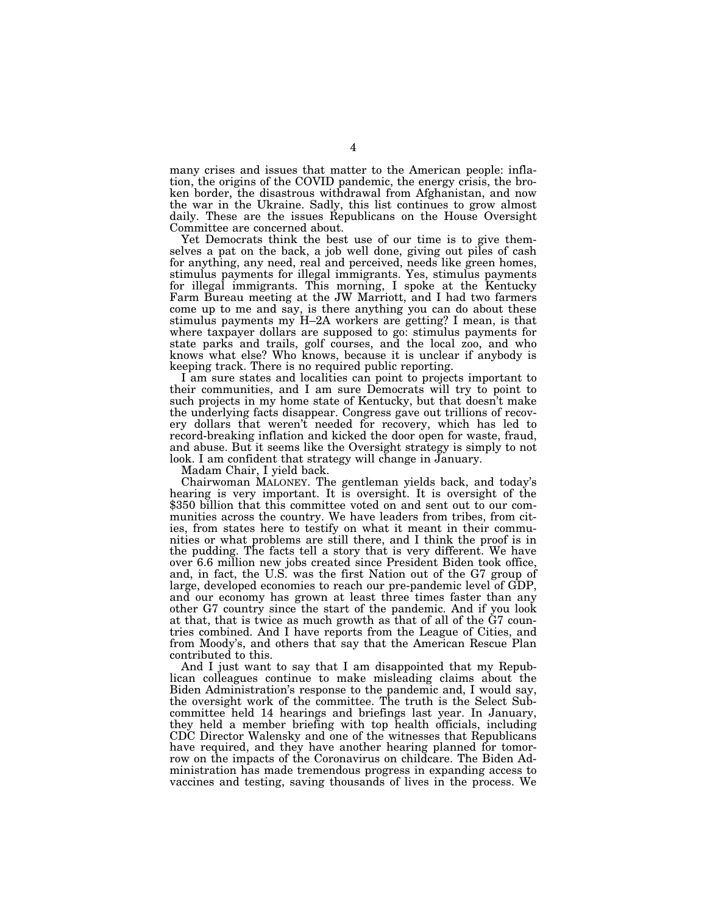many crises and issues that matter to the American people: inflation, the origins of the COVID pandemic, the energy crisis, the broken border, the disastrous withdrawal from Afghanistan, and now the war in the Ukraine. Sadly, this list continues to grow almost daily. These are the issues Republicans on the House Oversight Committee are concerned about.

Yet Democrats think the best use of our time is to give themselves a pat on the back, a job well done, giving out piles of cash for anything, any need, real and perceived, needs like green homes, stimulus payments for illegal immigrants. Yes, stimulus payments for illegal immigrants. This morning, I spoke at the Kentucky Farm Bureau meeting at the JW Marriott, and I had two farmers come up to me and say, is there anything you can do about these stimulus payments my H–2A workers are getting? I mean, is that where taxpayer dollars are supposed to go: stimulus payments for state parks and trails, golf courses, and the local zoo, and who knows what else? Who knows, because it is unclear if anybody is keeping track. There is no required public reporting.

I am sure states and localities can point to projects important to their communities, and I am sure Democrats will try to point to such projects in my home state of Kentucky, but that doesn't make the underlying facts disappear. Congress gave out trillions of recovery dollars that weren't needed for recovery, which has led to record-breaking inflation and kicked the door open for waste, fraud, and abuse. But it seems like the Oversight strategy is simply to not look. I am confident that strategy will change in January.

Madam Chair, I yield back.

Chairwoman MALONEY. The gentleman yields back, and today's hearing is very important. It is oversight. It is oversight of the \$350 billion that this committee voted on and sent out to our communities across the country. We have leaders from tribes, from cities, from states here to testify on what it meant in their communities or what problems are still there, and I think the proof is in the pudding. The facts tell a story that is very different. We have over 6.6 million new jobs created since President Biden took office, and, in fact, the U.S. was the first Nation out of the G7 group of large, developed economies to reach our pre-pandemic level of GDP, and our economy has grown at least three times faster than any other G7 country since the start of the pandemic. And if you look at that, that is twice as much growth as that of all of the G7 countries combined. And I have reports from the League of Cities, and from Moody's, and others that say that the American Rescue Plan contributed to this.

And I just want to say that I am disappointed that my Republican colleagues continue to make misleading claims about the Biden Administration's response to the pandemic and, I would say, the oversight work of the committee. The truth is the Select Subcommittee held 14 hearings and briefings last year. In January, they held a member briefing with top health officials, including CDC Director Walensky and one of the witnesses that Republicans have required, and they have another hearing planned for tomorrow on the impacts of the Coronavirus on childcare. The Biden Administration has made tremendous progress in expanding access to vaccines and testing, saving thousands of lives in the process. We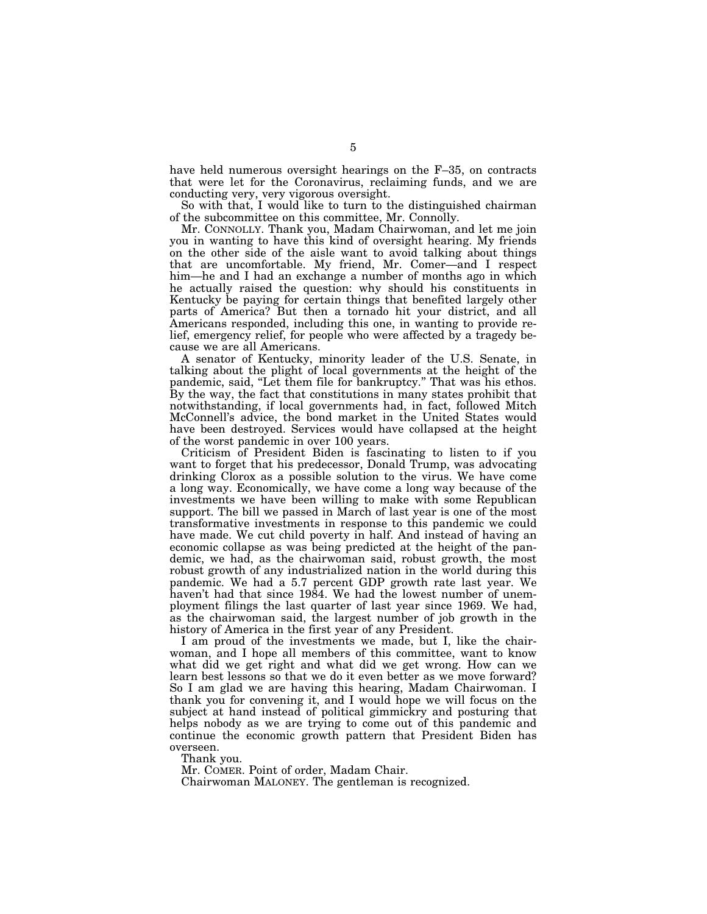have held numerous oversight hearings on the F-35, on contracts that were let for the Coronavirus, reclaiming funds, and we are conducting very, very vigorous oversight.

So with that, I would like to turn to the distinguished chairman of the subcommittee on this committee, Mr. Connolly.

Mr. CONNOLLY. Thank you, Madam Chairwoman, and let me join you in wanting to have this kind of oversight hearing. My friends on the other side of the aisle want to avoid talking about things that are uncomfortable. My friend, Mr. Comer—and I respect him—he and I had an exchange a number of months ago in which he actually raised the question: why should his constituents in Kentucky be paying for certain things that benefited largely other parts of America? But then a tornado hit your district, and all Americans responded, including this one, in wanting to provide relief, emergency relief, for people who were affected by a tragedy because we are all Americans.

A senator of Kentucky, minority leader of the U.S. Senate, in talking about the plight of local governments at the height of the pandemic, said, ''Let them file for bankruptcy.'' That was his ethos. By the way, the fact that constitutions in many states prohibit that notwithstanding, if local governments had, in fact, followed Mitch McConnell's advice, the bond market in the United States would have been destroyed. Services would have collapsed at the height of the worst pandemic in over 100 years.

Criticism of President Biden is fascinating to listen to if you want to forget that his predecessor, Donald Trump, was advocating drinking Clorox as a possible solution to the virus. We have come a long way. Economically, we have come a long way because of the investments we have been willing to make with some Republican support. The bill we passed in March of last year is one of the most transformative investments in response to this pandemic we could have made. We cut child poverty in half. And instead of having an economic collapse as was being predicted at the height of the pandemic, we had, as the chairwoman said, robust growth, the most robust growth of any industrialized nation in the world during this pandemic. We had a 5.7 percent GDP growth rate last year. We haven't had that since 1984. We had the lowest number of unemployment filings the last quarter of last year since 1969. We had, as the chairwoman said, the largest number of job growth in the history of America in the first year of any President.

I am proud of the investments we made, but I, like the chairwoman, and I hope all members of this committee, want to know what did we get right and what did we get wrong. How can we learn best lessons so that we do it even better as we move forward? So I am glad we are having this hearing, Madam Chairwoman. I thank you for convening it, and I would hope we will focus on the subject at hand instead of political gimmickry and posturing that helps nobody as we are trying to come out of this pandemic and continue the economic growth pattern that President Biden has overseen.

Thank you.

Mr. COMER. Point of order, Madam Chair.

Chairwoman MALONEY. The gentleman is recognized.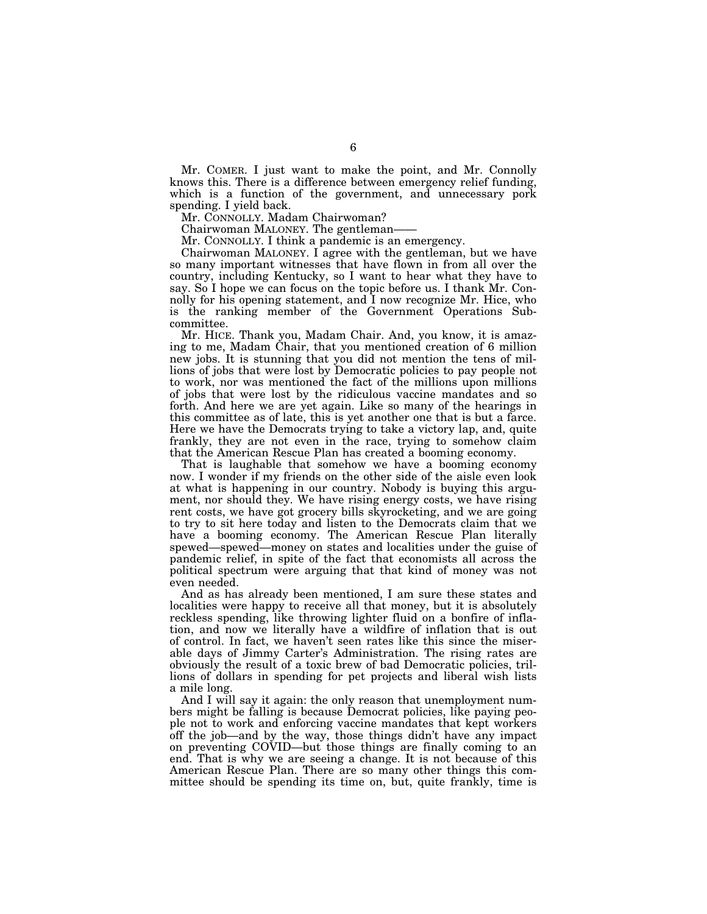Mr. COMER. I just want to make the point, and Mr. Connolly knows this. There is a difference between emergency relief funding, which is a function of the government, and unnecessary pork spending. I yield back.

Mr. CONNOLLY. Madam Chairwoman?

Chairwoman MALONEY. The gentleman-

Mr. CONNOLLY. I think a pandemic is an emergency.

Chairwoman MALONEY. I agree with the gentleman, but we have so many important witnesses that have flown in from all over the country, including Kentucky, so I want to hear what they have to say. So I hope we can focus on the topic before us. I thank Mr. Connolly for his opening statement, and I now recognize Mr. Hice, who is the ranking member of the Government Operations Subcommittee.

Mr. HICE. Thank you, Madam Chair. And, you know, it is amazing to me, Madam Chair, that you mentioned creation of 6 million new jobs. It is stunning that you did not mention the tens of millions of jobs that were lost by Democratic policies to pay people not to work, nor was mentioned the fact of the millions upon millions of jobs that were lost by the ridiculous vaccine mandates and so forth. And here we are yet again. Like so many of the hearings in this committee as of late, this is yet another one that is but a farce. Here we have the Democrats trying to take a victory lap, and, quite frankly, they are not even in the race, trying to somehow claim that the American Rescue Plan has created a booming economy.

That is laughable that somehow we have a booming economy now. I wonder if my friends on the other side of the aisle even look at what is happening in our country. Nobody is buying this argument, nor should they. We have rising energy costs, we have rising rent costs, we have got grocery bills skyrocketing, and we are going to try to sit here today and listen to the Democrats claim that we have a booming economy. The American Rescue Plan literally spewed—spewed—money on states and localities under the guise of pandemic relief, in spite of the fact that economists all across the political spectrum were arguing that that kind of money was not even needed.

And as has already been mentioned, I am sure these states and localities were happy to receive all that money, but it is absolutely reckless spending, like throwing lighter fluid on a bonfire of inflation, and now we literally have a wildfire of inflation that is out of control. In fact, we haven't seen rates like this since the miserable days of Jimmy Carter's Administration. The rising rates are obviously the result of a toxic brew of bad Democratic policies, trillions of dollars in spending for pet projects and liberal wish lists a mile long.

And I will say it again: the only reason that unemployment numbers might be falling is because Democrat policies, like paying people not to work and enforcing vaccine mandates that kept workers off the job—and by the way, those things didn't have any impact on preventing COVID—but those things are finally coming to an end. That is why we are seeing a change. It is not because of this American Rescue Plan. There are so many other things this committee should be spending its time on, but, quite frankly, time is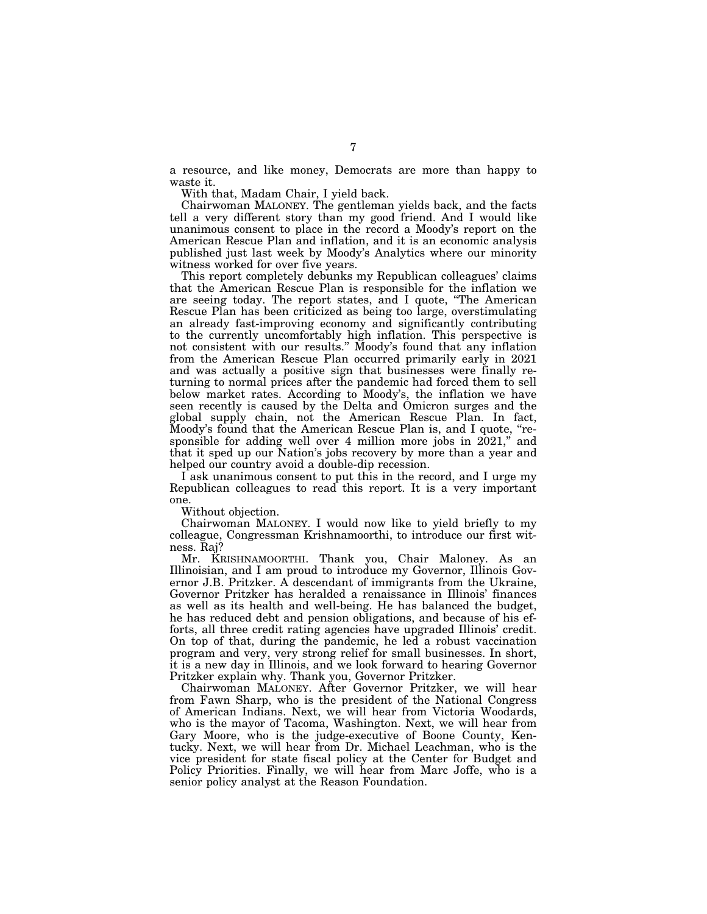a resource, and like money, Democrats are more than happy to waste it.

With that, Madam Chair, I yield back.

Chairwoman MALONEY. The gentleman yields back, and the facts tell a very different story than my good friend. And I would like unanimous consent to place in the record a Moody's report on the American Rescue Plan and inflation, and it is an economic analysis published just last week by Moody's Analytics where our minority witness worked for over five years.

This report completely debunks my Republican colleagues' claims that the American Rescue Plan is responsible for the inflation we are seeing today. The report states, and I quote, ''The American Rescue Plan has been criticized as being too large, overstimulating an already fast-improving economy and significantly contributing to the currently uncomfortably high inflation. This perspective is not consistent with our results.'' Moody's found that any inflation from the American Rescue Plan occurred primarily early in 2021 and was actually a positive sign that businesses were finally returning to normal prices after the pandemic had forced them to sell below market rates. According to Moody's, the inflation we have seen recently is caused by the Delta and Omicron surges and the global supply chain, not the American Rescue Plan. In fact, Moody's found that the American Rescue Plan is, and I quote, "responsible for adding well over 4 million more jobs in  $2021$ ," and that it sped up our Nation's jobs recovery by more than a year and helped our country avoid a double-dip recession.

I ask unanimous consent to put this in the record, and I urge my Republican colleagues to read this report. It is a very important one.

Without objection.

Chairwoman MALONEY. I would now like to yield briefly to my colleague, Congressman Krishnamoorthi, to introduce our first witness. Raj?

Mr. KRISHNAMOORTHI. Thank you, Chair Maloney. As an Illinoisian, and I am proud to introduce my Governor, Illinois Governor J.B. Pritzker. A descendant of immigrants from the Ukraine, Governor Pritzker has heralded a renaissance in Illinois' finances as well as its health and well-being. He has balanced the budget, he has reduced debt and pension obligations, and because of his efforts, all three credit rating agencies have upgraded Illinois' credit. On top of that, during the pandemic, he led a robust vaccination program and very, very strong relief for small businesses. In short, it is a new day in Illinois, and we look forward to hearing Governor Pritzker explain why. Thank you, Governor Pritzker.

Chairwoman MALONEY. After Governor Pritzker, we will hear from Fawn Sharp, who is the president of the National Congress of American Indians. Next, we will hear from Victoria Woodards, who is the mayor of Tacoma, Washington. Next, we will hear from Gary Moore, who is the judge-executive of Boone County, Kentucky. Next, we will hear from Dr. Michael Leachman, who is the vice president for state fiscal policy at the Center for Budget and Policy Priorities. Finally, we will hear from Marc Joffe, who is a senior policy analyst at the Reason Foundation.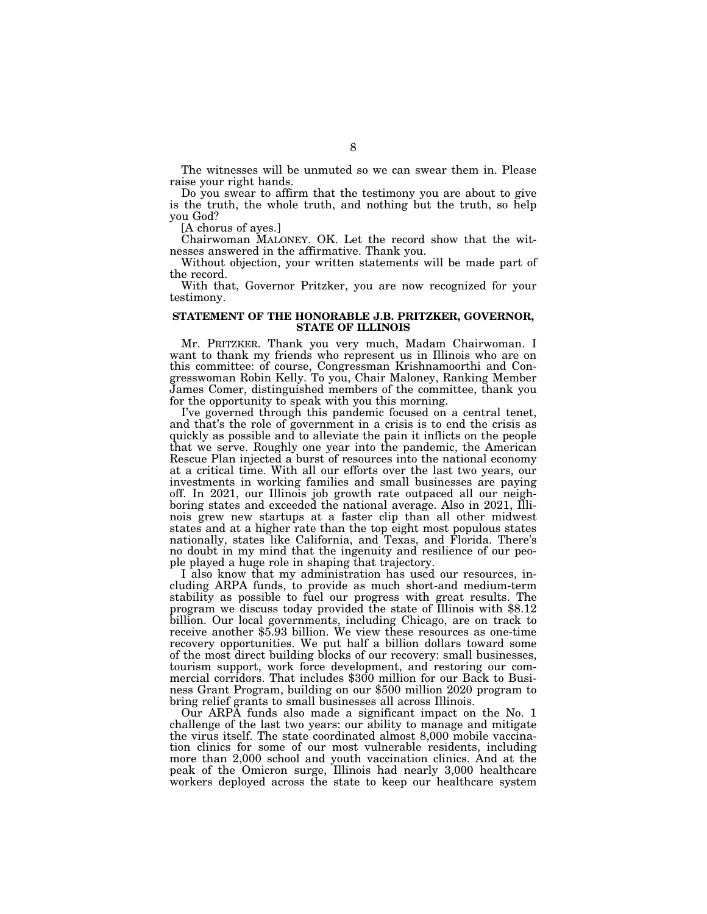The witnesses will be unmuted so we can swear them in. Please raise your right hands.

Do you swear to affirm that the testimony you are about to give is the truth, the whole truth, and nothing but the truth, so help you God?

[A chorus of ayes.]

Chairwoman MALONEY. OK. Let the record show that the witnesses answered in the affirmative. Thank you.

Without objection, your written statements will be made part of the record.

With that, Governor Pritzker, you are now recognized for your testimony.

#### **STATEMENT OF THE HONORABLE J.B. PRITZKER, GOVERNOR, STATE OF ILLINOIS**

Mr. PRITZKER. Thank you very much, Madam Chairwoman. I want to thank my friends who represent us in Illinois who are on this committee: of course, Congressman Krishnamoorthi and Congresswoman Robin Kelly. To you, Chair Maloney, Ranking Member James Comer, distinguished members of the committee, thank you for the opportunity to speak with you this morning.

I've governed through this pandemic focused on a central tenet, and that's the role of government in a crisis is to end the crisis as quickly as possible and to alleviate the pain it inflicts on the people that we serve. Roughly one year into the pandemic, the American Rescue Plan injected a burst of resources into the national economy at a critical time. With all our efforts over the last two years, our investments in working families and small businesses are paying off. In 2021, our Illinois job growth rate outpaced all our neighboring states and exceeded the national average. Also in 2021, Illinois grew new startups at a faster clip than all other midwest states and at a higher rate than the top eight most populous states nationally, states like California, and Texas, and Florida. There's no doubt in my mind that the ingenuity and resilience of our people played a huge role in shaping that trajectory.

I also know that my administration has used our resources, including ARPA funds, to provide as much short-and medium-term stability as possible to fuel our progress with great results. The program we discuss today provided the state of Illinois with \$8.12 billion. Our local governments, including Chicago, are on track to receive another \$5.93 billion. We view these resources as one-time recovery opportunities. We put half a billion dollars toward some of the most direct building blocks of our recovery: small businesses, tourism support, work force development, and restoring our commercial corridors. That includes \$300 million for our Back to Business Grant Program, building on our \$500 million 2020 program to bring relief grants to small businesses all across Illinois.

Our ARPA funds also made a significant impact on the No. 1 challenge of the last two years: our ability to manage and mitigate the virus itself. The state coordinated almost 8,000 mobile vaccination clinics for some of our most vulnerable residents, including more than 2,000 school and youth vaccination clinics. And at the peak of the Omicron surge, Illinois had nearly 3,000 healthcare workers deployed across the state to keep our healthcare system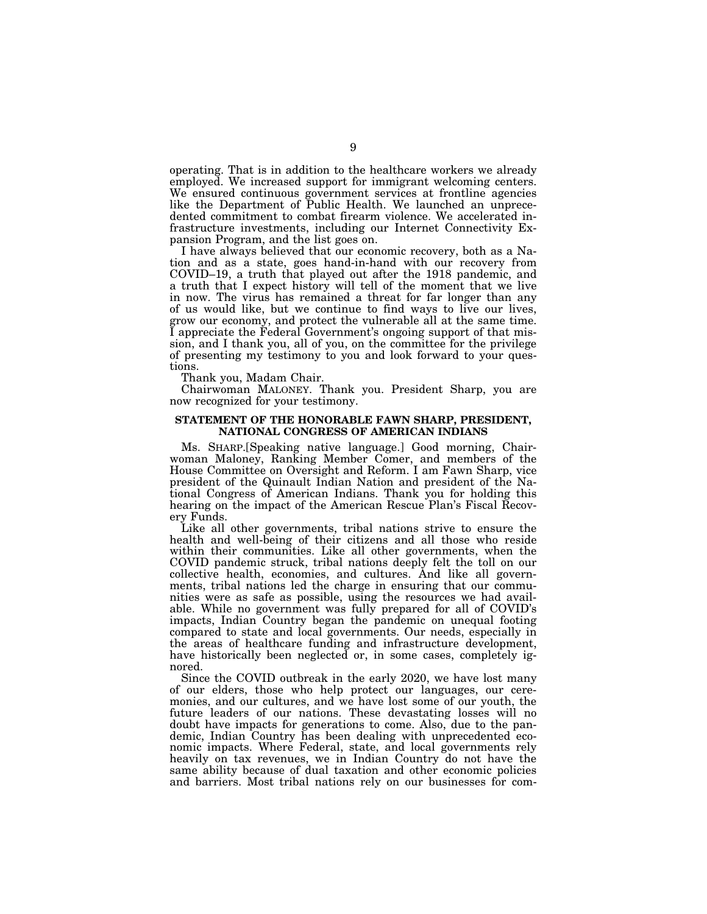operating. That is in addition to the healthcare workers we already employed. We increased support for immigrant welcoming centers. We ensured continuous government services at frontline agencies like the Department of Public Health. We launched an unprecedented commitment to combat firearm violence. We accelerated infrastructure investments, including our Internet Connectivity Expansion Program, and the list goes on.

I have always believed that our economic recovery, both as a Nation and as a state, goes hand-in-hand with our recovery from COVID–19, a truth that played out after the 1918 pandemic, and a truth that I expect history will tell of the moment that we live in now. The virus has remained a threat for far longer than any of us would like, but we continue to find ways to live our lives, grow our economy, and protect the vulnerable all at the same time. I appreciate the Federal Government's ongoing support of that mission, and I thank you, all of you, on the committee for the privilege of presenting my testimony to you and look forward to your questions.

Thank you, Madam Chair.

Chairwoman MALONEY. Thank you. President Sharp, you are now recognized for your testimony.

#### **STATEMENT OF THE HONORABLE FAWN SHARP, PRESIDENT, NATIONAL CONGRESS OF AMERICAN INDIANS**

Ms. SHARP.[Speaking native language.] Good morning, Chairwoman Maloney, Ranking Member Comer, and members of the House Committee on Oversight and Reform. I am Fawn Sharp, vice president of the Quinault Indian Nation and president of the National Congress of American Indians. Thank you for holding this hearing on the impact of the American Rescue Plan's Fiscal Recovery Funds.

Like all other governments, tribal nations strive to ensure the health and well-being of their citizens and all those who reside within their communities. Like all other governments, when the COVID pandemic struck, tribal nations deeply felt the toll on our collective health, economies, and cultures. And like all governments, tribal nations led the charge in ensuring that our communities were as safe as possible, using the resources we had available. While no government was fully prepared for all of COVID's impacts, Indian Country began the pandemic on unequal footing compared to state and local governments. Our needs, especially in the areas of healthcare funding and infrastructure development, have historically been neglected or, in some cases, completely ignored.

Since the COVID outbreak in the early 2020, we have lost many of our elders, those who help protect our languages, our ceremonies, and our cultures, and we have lost some of our youth, the future leaders of our nations. These devastating losses will no doubt have impacts for generations to come. Also, due to the pandemic, Indian Country has been dealing with unprecedented economic impacts. Where Federal, state, and local governments rely heavily on tax revenues, we in Indian Country do not have the same ability because of dual taxation and other economic policies and barriers. Most tribal nations rely on our businesses for com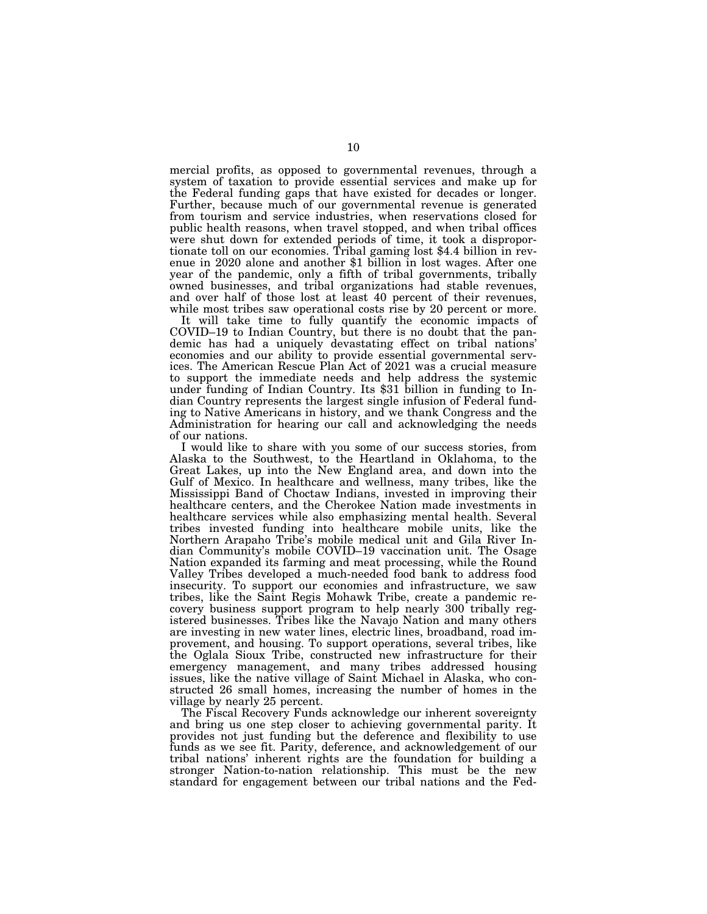mercial profits, as opposed to governmental revenues, through a system of taxation to provide essential services and make up for the Federal funding gaps that have existed for decades or longer. Further, because much of our governmental revenue is generated from tourism and service industries, when reservations closed for public health reasons, when travel stopped, and when tribal offices were shut down for extended periods of time, it took a disproportionate toll on our economies. Tribal gaming lost \$4.4 billion in revenue in 2020 alone and another \$1 billion in lost wages. After one year of the pandemic, only a fifth of tribal governments, tribally owned businesses, and tribal organizations had stable revenues, and over half of those lost at least 40 percent of their revenues, while most tribes saw operational costs rise by 20 percent or more.

It will take time to fully quantify the economic impacts of COVID–19 to Indian Country, but there is no doubt that the pandemic has had a uniquely devastating effect on tribal nations' economies and our ability to provide essential governmental services. The American Rescue Plan Act of 2021 was a crucial measure to support the immediate needs and help address the systemic under funding of Indian Country. Its \$31 billion in funding to Indian Country represents the largest single infusion of Federal funding to Native Americans in history, and we thank Congress and the Administration for hearing our call and acknowledging the needs of our nations.

I would like to share with you some of our success stories, from Alaska to the Southwest, to the Heartland in Oklahoma, to the Great Lakes, up into the New England area, and down into the Gulf of Mexico. In healthcare and wellness, many tribes, like the Mississippi Band of Choctaw Indians, invested in improving their healthcare centers, and the Cherokee Nation made investments in healthcare services while also emphasizing mental health. Several tribes invested funding into healthcare mobile units, like the Northern Arapaho Tribe's mobile medical unit and Gila River Indian Community's mobile COVID–19 vaccination unit. The Osage Nation expanded its farming and meat processing, while the Round Valley Tribes developed a much-needed food bank to address food insecurity. To support our economies and infrastructure, we saw tribes, like the Saint Regis Mohawk Tribe, create a pandemic recovery business support program to help nearly 300 tribally registered businesses. Tribes like the Navajo Nation and many others are investing in new water lines, electric lines, broadband, road improvement, and housing. To support operations, several tribes, like the Oglala Sioux Tribe, constructed new infrastructure for their emergency management, and many tribes addressed housing issues, like the native village of Saint Michael in Alaska, who constructed 26 small homes, increasing the number of homes in the village by nearly 25 percent.

The Fiscal Recovery Funds acknowledge our inherent sovereignty and bring us one step closer to achieving governmental parity. It provides not just funding but the deference and flexibility to use funds as we see fit. Parity, deference, and acknowledgement of our tribal nations' inherent rights are the foundation for building a stronger Nation-to-nation relationship. This must be the new standard for engagement between our tribal nations and the Fed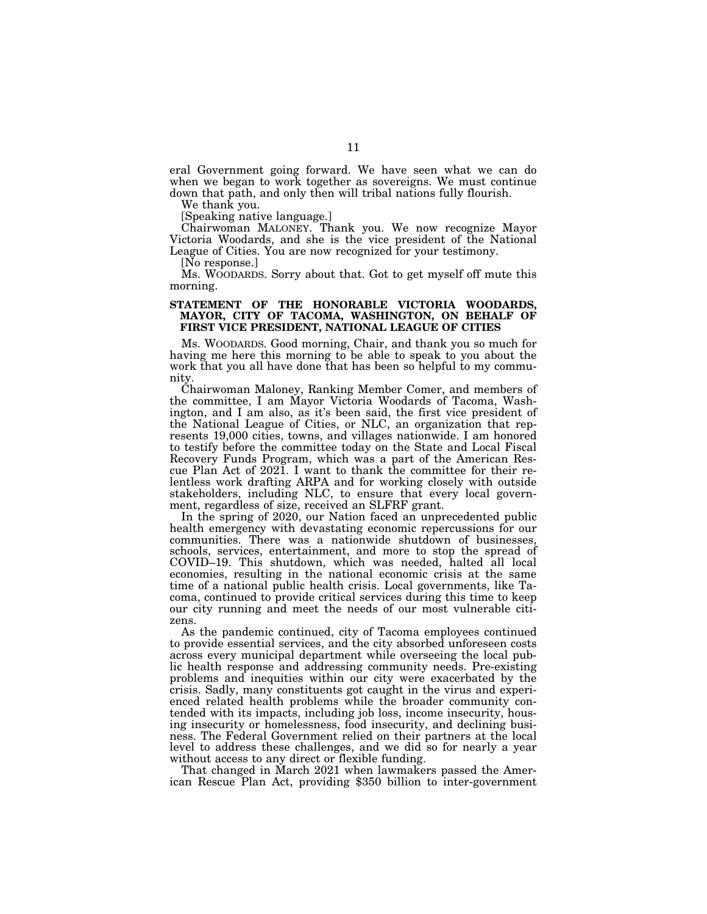eral Government going forward. We have seen what we can do when we began to work together as sovereigns. We must continue down that path, and only then will tribal nations fully flourish.

We thank you.

[Speaking native language.]

Chairwoman MALONEY. Thank you. We now recognize Mayor Victoria Woodards, and she is the vice president of the National League of Cities. You are now recognized for your testimony.

[No response.]

Ms. WOODARDS. Sorry about that. Got to get myself off mute this morning.

#### **STATEMENT OF THE HONORABLE VICTORIA WOODARDS, MAYOR, CITY OF TACOMA, WASHINGTON, ON BEHALF OF FIRST VICE PRESIDENT, NATIONAL LEAGUE OF CITIES**

Ms. WOODARDS. Good morning, Chair, and thank you so much for having me here this morning to be able to speak to you about the work that you all have done that has been so helpful to my community.

Chairwoman Maloney, Ranking Member Comer, and members of the committee, I am Mayor Victoria Woodards of Tacoma, Washington, and I am also, as it's been said, the first vice president of the National League of Cities, or NLC, an organization that represents 19,000 cities, towns, and villages nationwide. I am honored to testify before the committee today on the State and Local Fiscal Recovery Funds Program, which was a part of the American Rescue Plan Act of 2021. I want to thank the committee for their relentless work drafting ARPA and for working closely with outside stakeholders, including NLC, to ensure that every local government, regardless of size, received an SLFRF grant.

In the spring of 2020, our Nation faced an unprecedented public health emergency with devastating economic repercussions for our communities. There was a nationwide shutdown of businesses, schools, services, entertainment, and more to stop the spread of COVID–19. This shutdown, which was needed, halted all local economies, resulting in the national economic crisis at the same time of a national public health crisis. Local governments, like Tacoma, continued to provide critical services during this time to keep our city running and meet the needs of our most vulnerable citizens.

As the pandemic continued, city of Tacoma employees continued to provide essential services, and the city absorbed unforeseen costs across every municipal department while overseeing the local public health response and addressing community needs. Pre-existing problems and inequities within our city were exacerbated by the crisis. Sadly, many constituents got caught in the virus and experienced related health problems while the broader community contended with its impacts, including job loss, income insecurity, housing insecurity or homelessness, food insecurity, and declining business. The Federal Government relied on their partners at the local level to address these challenges, and we did so for nearly a year without access to any direct or flexible funding.

That changed in March 2021 when lawmakers passed the American Rescue Plan Act, providing \$350 billion to inter-government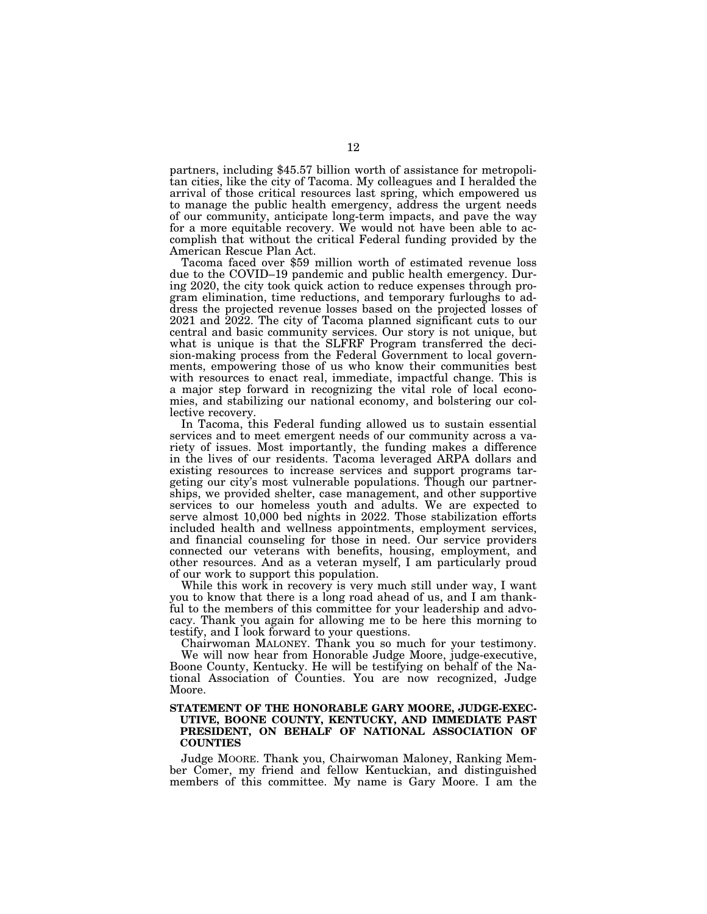partners, including \$45.57 billion worth of assistance for metropolitan cities, like the city of Tacoma. My colleagues and I heralded the arrival of those critical resources last spring, which empowered us to manage the public health emergency, address the urgent needs of our community, anticipate long-term impacts, and pave the way for a more equitable recovery. We would not have been able to accomplish that without the critical Federal funding provided by the American Rescue Plan Act.

Tacoma faced over \$59 million worth of estimated revenue loss due to the COVID–19 pandemic and public health emergency. During 2020, the city took quick action to reduce expenses through program elimination, time reductions, and temporary furloughs to address the projected revenue losses based on the projected losses of 2021 and 2022. The city of Tacoma planned significant cuts to our central and basic community services. Our story is not unique, but what is unique is that the SLFRF Program transferred the decision-making process from the Federal Government to local governments, empowering those of us who know their communities best with resources to enact real, immediate, impactful change. This is a major step forward in recognizing the vital role of local economies, and stabilizing our national economy, and bolstering our collective recovery.

In Tacoma, this Federal funding allowed us to sustain essential services and to meet emergent needs of our community across a variety of issues. Most importantly, the funding makes a difference in the lives of our residents. Tacoma leveraged ARPA dollars and existing resources to increase services and support programs targeting our city's most vulnerable populations. Though our partnerships, we provided shelter, case management, and other supportive services to our homeless youth and adults. We are expected to serve almost 10,000 bed nights in 2022. Those stabilization efforts included health and wellness appointments, employment services, and financial counseling for those in need. Our service providers connected our veterans with benefits, housing, employment, and other resources. And as a veteran myself, I am particularly proud of our work to support this population.

While this work in recovery is very much still under way, I want you to know that there is a long road ahead of us, and I am thankful to the members of this committee for your leadership and advocacy. Thank you again for allowing me to be here this morning to testify, and I look forward to your questions.

Chairwoman MALONEY. Thank you so much for your testimony.

We will now hear from Honorable Judge Moore, judge-executive, Boone County, Kentucky. He will be testifying on behalf of the National Association of Counties. You are now recognized, Judge Moore.

#### **STATEMENT OF THE HONORABLE GARY MOORE, JUDGE-EXEC-UTIVE, BOONE COUNTY, KENTUCKY, AND IMMEDIATE PAST PRESIDENT, ON BEHALF OF NATIONAL ASSOCIATION OF COUNTIES**

Judge MOORE. Thank you, Chairwoman Maloney, Ranking Member Comer, my friend and fellow Kentuckian, and distinguished members of this committee. My name is Gary Moore. I am the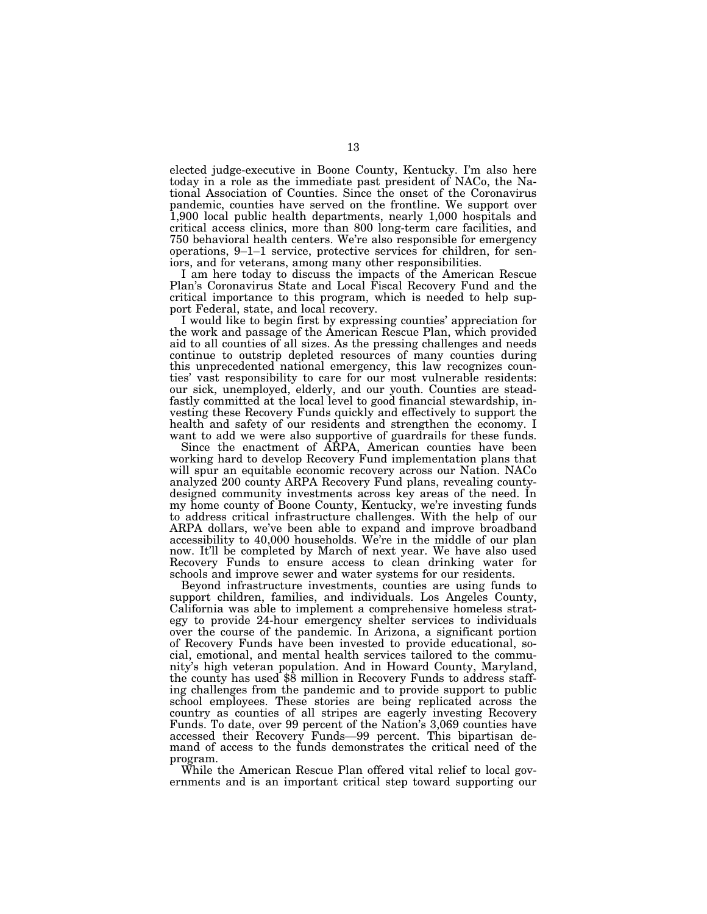elected judge-executive in Boone County, Kentucky. I'm also here today in a role as the immediate past president of NACo, the National Association of Counties. Since the onset of the Coronavirus pandemic, counties have served on the frontline. We support over 1,900 local public health departments, nearly 1,000 hospitals and critical access clinics, more than 800 long-term care facilities, and 750 behavioral health centers. We're also responsible for emergency operations, 9–1–1 service, protective services for children, for seniors, and for veterans, among many other responsibilities.

I am here today to discuss the impacts of the American Rescue Plan's Coronavirus State and Local Fiscal Recovery Fund and the critical importance to this program, which is needed to help support Federal, state, and local recovery.

I would like to begin first by expressing counties' appreciation for the work and passage of the American Rescue Plan, which provided aid to all counties of all sizes. As the pressing challenges and needs continue to outstrip depleted resources of many counties during this unprecedented national emergency, this law recognizes counties' vast responsibility to care for our most vulnerable residents: our sick, unemployed, elderly, and our youth. Counties are steadfastly committed at the local level to good financial stewardship, investing these Recovery Funds quickly and effectively to support the health and safety of our residents and strengthen the economy. I want to add we were also supportive of guardrails for these funds.

Since the enactment of ARPA, American counties have been working hard to develop Recovery Fund implementation plans that will spur an equitable economic recovery across our Nation. NACo analyzed 200 county ARPA Recovery Fund plans, revealing countydesigned community investments across key areas of the need. In my home county of Boone County, Kentucky, we're investing funds to address critical infrastructure challenges. With the help of our ARPA dollars, we've been able to expand and improve broadband accessibility to 40,000 households. We're in the middle of our plan now. It'll be completed by March of next year. We have also used Recovery Funds to ensure access to clean drinking water for schools and improve sewer and water systems for our residents.

Beyond infrastructure investments, counties are using funds to support children, families, and individuals. Los Angeles County, California was able to implement a comprehensive homeless strategy to provide 24-hour emergency shelter services to individuals over the course of the pandemic. In Arizona, a significant portion of Recovery Funds have been invested to provide educational, social, emotional, and mental health services tailored to the community's high veteran population. And in Howard County, Maryland, the county has used \$8 million in Recovery Funds to address staffing challenges from the pandemic and to provide support to public school employees. These stories are being replicated across the country as counties of all stripes are eagerly investing Recovery Funds. To date, over 99 percent of the Nation's 3,069 counties have accessed their Recovery Funds—99 percent. This bipartisan demand of access to the funds demonstrates the critical need of the program.

While the American Rescue Plan offered vital relief to local governments and is an important critical step toward supporting our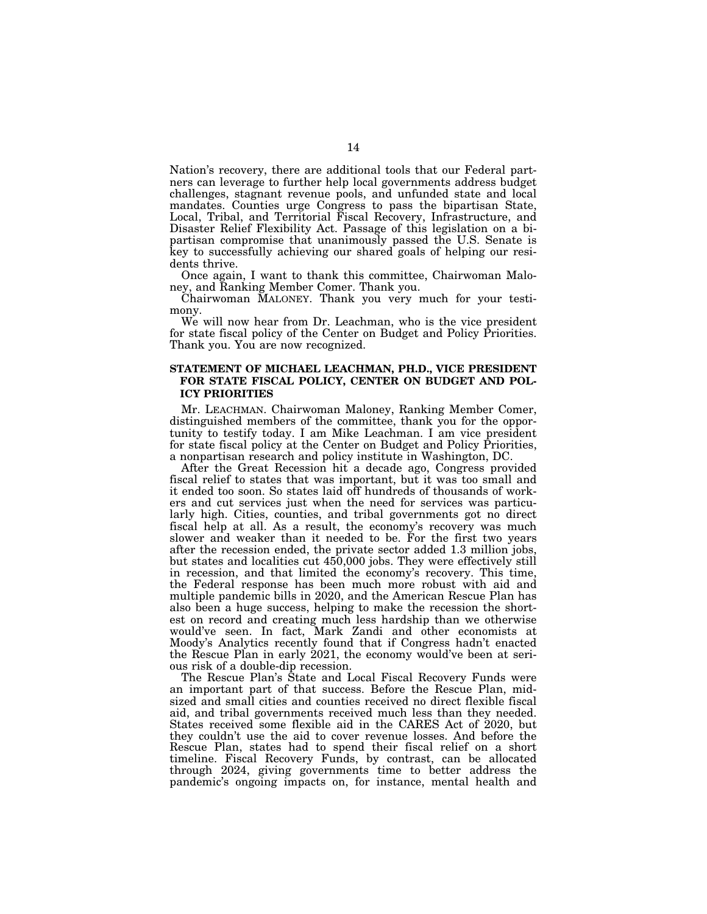Nation's recovery, there are additional tools that our Federal partners can leverage to further help local governments address budget challenges, stagnant revenue pools, and unfunded state and local mandates. Counties urge Congress to pass the bipartisan State, Local, Tribal, and Territorial Fiscal Recovery, Infrastructure, and Disaster Relief Flexibility Act. Passage of this legislation on a bipartisan compromise that unanimously passed the U.S. Senate is key to successfully achieving our shared goals of helping our residents thrive.

Once again, I want to thank this committee, Chairwoman Maloney, and Ranking Member Comer. Thank you.

Chairwoman MALONEY. Thank you very much for your testimony.

We will now hear from Dr. Leachman, who is the vice president for state fiscal policy of the Center on Budget and Policy Priorities. Thank you. You are now recognized.

#### **STATEMENT OF MICHAEL LEACHMAN, PH.D., VICE PRESIDENT FOR STATE FISCAL POLICY, CENTER ON BUDGET AND POL-ICY PRIORITIES**

Mr. LEACHMAN. Chairwoman Maloney, Ranking Member Comer, distinguished members of the committee, thank you for the opportunity to testify today. I am Mike Leachman. I am vice president for state fiscal policy at the Center on Budget and Policy Priorities, a nonpartisan research and policy institute in Washington, DC.

After the Great Recession hit a decade ago, Congress provided fiscal relief to states that was important, but it was too small and it ended too soon. So states laid off hundreds of thousands of workers and cut services just when the need for services was particularly high. Cities, counties, and tribal governments got no direct fiscal help at all. As a result, the economy's recovery was much slower and weaker than it needed to be. For the first two years after the recession ended, the private sector added 1.3 million jobs, but states and localities cut 450,000 jobs. They were effectively still in recession, and that limited the economy's recovery. This time, the Federal response has been much more robust with aid and multiple pandemic bills in 2020, and the American Rescue Plan has also been a huge success, helping to make the recession the shortest on record and creating much less hardship than we otherwise would've seen. In fact, Mark Zandi and other economists at Moody's Analytics recently found that if Congress hadn't enacted the Rescue Plan in early 2021, the economy would've been at serious risk of a double-dip recession.

The Rescue Plan's State and Local Fiscal Recovery Funds were an important part of that success. Before the Rescue Plan, midsized and small cities and counties received no direct flexible fiscal aid, and tribal governments received much less than they needed. States received some flexible aid in the CARES Act of 2020, but they couldn't use the aid to cover revenue losses. And before the Rescue Plan, states had to spend their fiscal relief on a short timeline. Fiscal Recovery Funds, by contrast, can be allocated through 2024, giving governments time to better address the pandemic's ongoing impacts on, for instance, mental health and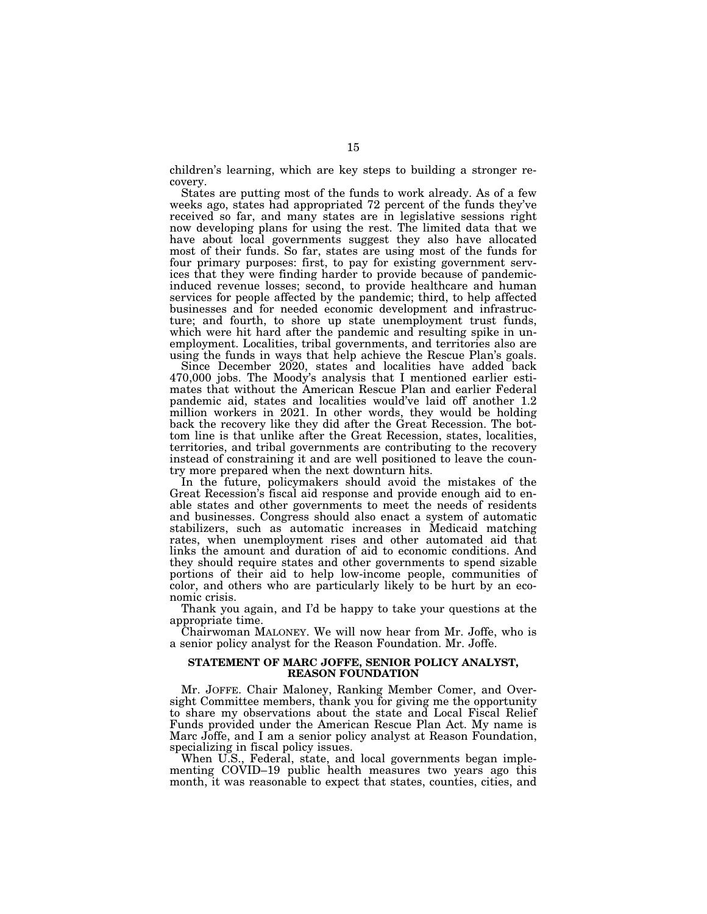children's learning, which are key steps to building a stronger recovery.

States are putting most of the funds to work already. As of a few weeks ago, states had appropriated 72 percent of the funds they've received so far, and many states are in legislative sessions right now developing plans for using the rest. The limited data that we have about local governments suggest they also have allocated most of their funds. So far, states are using most of the funds for four primary purposes: first, to pay for existing government services that they were finding harder to provide because of pandemicinduced revenue losses; second, to provide healthcare and human services for people affected by the pandemic; third, to help affected businesses and for needed economic development and infrastructure; and fourth, to shore up state unemployment trust funds, which were hit hard after the pandemic and resulting spike in unemployment. Localities, tribal governments, and territories also are using the funds in ways that help achieve the Rescue Plan's goals.

Since December 2020, states and localities have added back 470,000 jobs. The Moody's analysis that I mentioned earlier estimates that without the American Rescue Plan and earlier Federal pandemic aid, states and localities would've laid off another 1.2 million workers in 2021. In other words, they would be holding back the recovery like they did after the Great Recession. The bottom line is that unlike after the Great Recession, states, localities, territories, and tribal governments are contributing to the recovery instead of constraining it and are well positioned to leave the country more prepared when the next downturn hits.

In the future, policymakers should avoid the mistakes of the Great Recession's fiscal aid response and provide enough aid to enable states and other governments to meet the needs of residents and businesses. Congress should also enact a system of automatic stabilizers, such as automatic increases in Medicaid matching rates, when unemployment rises and other automated aid that links the amount and duration of aid to economic conditions. And they should require states and other governments to spend sizable portions of their aid to help low-income people, communities of color, and others who are particularly likely to be hurt by an economic crisis.

Thank you again, and I'd be happy to take your questions at the appropriate time.

Chairwoman MALONEY. We will now hear from Mr. Joffe, who is a senior policy analyst for the Reason Foundation. Mr. Joffe.

#### **STATEMENT OF MARC JOFFE, SENIOR POLICY ANALYST, REASON FOUNDATION**

Mr. JOFFE. Chair Maloney, Ranking Member Comer, and Oversight Committee members, thank you for giving me the opportunity to share my observations about the state and Local Fiscal Relief Funds provided under the American Rescue Plan Act. My name is Marc Joffe, and I am a senior policy analyst at Reason Foundation, specializing in fiscal policy issues.

When U.S., Federal, state, and local governments began implementing COVID–19 public health measures two years ago this month, it was reasonable to expect that states, counties, cities, and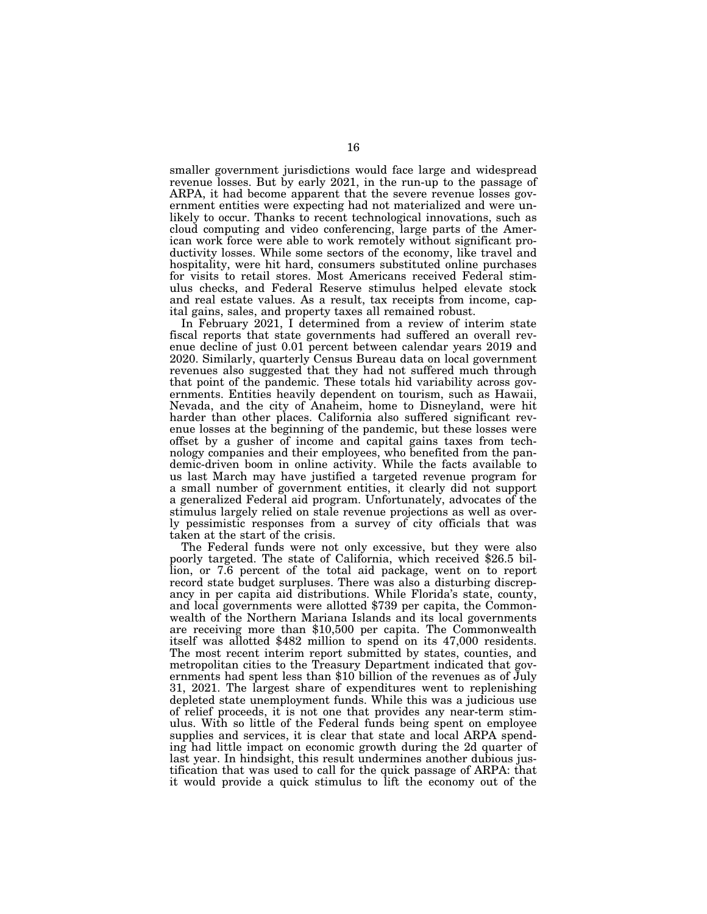smaller government jurisdictions would face large and widespread revenue losses. But by early 2021, in the run-up to the passage of ARPA, it had become apparent that the severe revenue losses government entities were expecting had not materialized and were unlikely to occur. Thanks to recent technological innovations, such as cloud computing and video conferencing, large parts of the American work force were able to work remotely without significant productivity losses. While some sectors of the economy, like travel and hospitality, were hit hard, consumers substituted online purchases for visits to retail stores. Most Americans received Federal stimulus checks, and Federal Reserve stimulus helped elevate stock and real estate values. As a result, tax receipts from income, capital gains, sales, and property taxes all remained robust.

In February 2021, I determined from a review of interim state fiscal reports that state governments had suffered an overall revenue decline of just 0.01 percent between calendar years 2019 and 2020. Similarly, quarterly Census Bureau data on local government revenues also suggested that they had not suffered much through that point of the pandemic. These totals hid variability across governments. Entities heavily dependent on tourism, such as Hawaii, Nevada, and the city of Anaheim, home to Disneyland, were hit harder than other places. California also suffered significant revenue losses at the beginning of the pandemic, but these losses were offset by a gusher of income and capital gains taxes from technology companies and their employees, who benefited from the pandemic-driven boom in online activity. While the facts available to us last March may have justified a targeted revenue program for a small number of government entities, it clearly did not support a generalized Federal aid program. Unfortunately, advocates of the stimulus largely relied on stale revenue projections as well as overly pessimistic responses from a survey of city officials that was taken at the start of the crisis.

The Federal funds were not only excessive, but they were also poorly targeted. The state of California, which received \$26.5 billion, or 7.6 percent of the total aid package, went on to report record state budget surpluses. There was also a disturbing discrepancy in per capita aid distributions. While Florida's state, county, and local governments were allotted \$739 per capita, the Commonwealth of the Northern Mariana Islands and its local governments are receiving more than \$10,500 per capita. The Commonwealth itself was allotted \$482 million to spend on its 47,000 residents. The most recent interim report submitted by states, counties, and metropolitan cities to the Treasury Department indicated that governments had spent less than \$10 billion of the revenues as of July 31, 2021. The largest share of expenditures went to replenishing depleted state unemployment funds. While this was a judicious use of relief proceeds, it is not one that provides any near-term stimulus. With so little of the Federal funds being spent on employee supplies and services, it is clear that state and local ARPA spending had little impact on economic growth during the 2d quarter of last year. In hindsight, this result undermines another dubious justification that was used to call for the quick passage of ARPA: that it would provide a quick stimulus to lift the economy out of the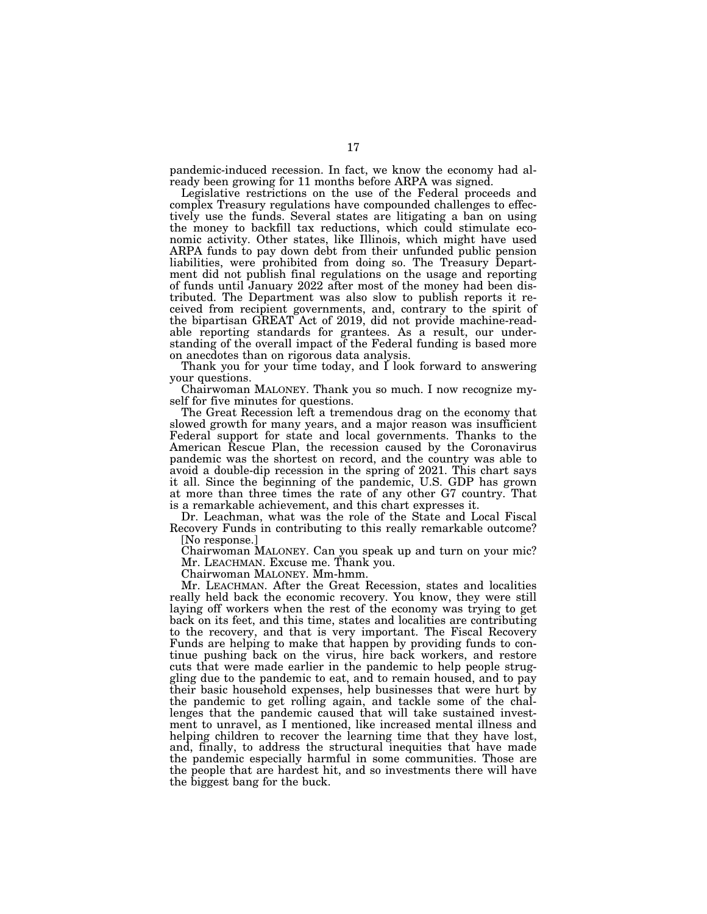pandemic-induced recession. In fact, we know the economy had already been growing for 11 months before ARPA was signed.

Legislative restrictions on the use of the Federal proceeds and complex Treasury regulations have compounded challenges to effectively use the funds. Several states are litigating a ban on using the money to backfill tax reductions, which could stimulate economic activity. Other states, like Illinois, which might have used ARPA funds to pay down debt from their unfunded public pension liabilities, were prohibited from doing so. The Treasury Department did not publish final regulations on the usage and reporting of funds until January 2022 after most of the money had been distributed. The Department was also slow to publish reports it received from recipient governments, and, contrary to the spirit of the bipartisan GREAT Act of 2019, did not provide machine-readable reporting standards for grantees. As a result, our understanding of the overall impact of the Federal funding is based more on anecdotes than on rigorous data analysis.

Thank you for your time today, and I look forward to answering your questions.

Chairwoman MALONEY. Thank you so much. I now recognize myself for five minutes for questions.

The Great Recession left a tremendous drag on the economy that slowed growth for many years, and a major reason was insufficient Federal support for state and local governments. Thanks to the American Rescue Plan, the recession caused by the Coronavirus pandemic was the shortest on record, and the country was able to avoid a double-dip recession in the spring of 2021. This chart says it all. Since the beginning of the pandemic, U.S. GDP has grown at more than three times the rate of any other G7 country. That is a remarkable achievement, and this chart expresses it.

Dr. Leachman, what was the role of the State and Local Fiscal Recovery Funds in contributing to this really remarkable outcome? [No response.]

Chairwoman MALONEY. Can you speak up and turn on your mic? Mr. LEACHMAN. Excuse me. Thank you.

Chairwoman MALONEY. Mm-hmm.

Mr. LEACHMAN. After the Great Recession, states and localities really held back the economic recovery. You know, they were still laying off workers when the rest of the economy was trying to get back on its feet, and this time, states and localities are contributing to the recovery, and that is very important. The Fiscal Recovery Funds are helping to make that happen by providing funds to continue pushing back on the virus, hire back workers, and restore cuts that were made earlier in the pandemic to help people struggling due to the pandemic to eat, and to remain housed, and to pay their basic household expenses, help businesses that were hurt by the pandemic to get rolling again, and tackle some of the challenges that the pandemic caused that will take sustained investment to unravel, as I mentioned, like increased mental illness and helping children to recover the learning time that they have lost, and, finally, to address the structural inequities that have made the pandemic especially harmful in some communities. Those are the people that are hardest hit, and so investments there will have the biggest bang for the buck.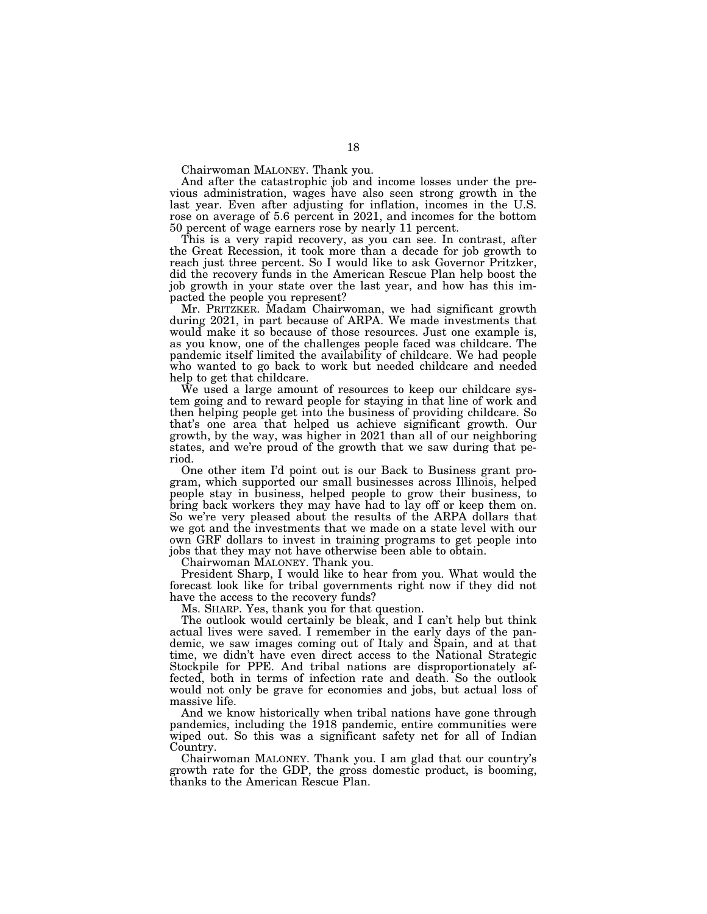Chairwoman MALONEY. Thank you.

And after the catastrophic job and income losses under the previous administration, wages have also seen strong growth in the last year. Even after adjusting for inflation, incomes in the U.S. rose on average of 5.6 percent in 2021, and incomes for the bottom 50 percent of wage earners rose by nearly 11 percent.

This is a very rapid recovery, as you can see. In contrast, after the Great Recession, it took more than a decade for job growth to reach just three percent. So I would like to ask Governor Pritzker, did the recovery funds in the American Rescue Plan help boost the job growth in your state over the last year, and how has this impacted the people you represent?

Mr. PRITZKER. Madam Chairwoman, we had significant growth during 2021, in part because of ARPA. We made investments that would make it so because of those resources. Just one example is, as you know, one of the challenges people faced was childcare. The pandemic itself limited the availability of childcare. We had people who wanted to go back to work but needed childcare and needed help to get that childcare.

We used a large amount of resources to keep our childcare system going and to reward people for staying in that line of work and then helping people get into the business of providing childcare. So that's one area that helped us achieve significant growth. Our growth, by the way, was higher in 2021 than all of our neighboring states, and we're proud of the growth that we saw during that period.

One other item I'd point out is our Back to Business grant program, which supported our small businesses across Illinois, helped people stay in business, helped people to grow their business, to bring back workers they may have had to lay off or keep them on. So we're very pleased about the results of the ARPA dollars that we got and the investments that we made on a state level with our own GRF dollars to invest in training programs to get people into jobs that they may not have otherwise been able to obtain.

Chairwoman MALONEY. Thank you.

President Sharp, I would like to hear from you. What would the forecast look like for tribal governments right now if they did not have the access to the recovery funds?

Ms. SHARP. Yes, thank you for that question.

The outlook would certainly be bleak, and I can't help but think actual lives were saved. I remember in the early days of the pandemic, we saw images coming out of Italy and Spain, and at that time, we didn't have even direct access to the National Strategic Stockpile for PPE. And tribal nations are disproportionately affected, both in terms of infection rate and death. So the outlook would not only be grave for economies and jobs, but actual loss of massive life.

And we know historically when tribal nations have gone through pandemics, including the 1918 pandemic, entire communities were wiped out. So this was a significant safety net for all of Indian Country.

Chairwoman MALONEY. Thank you. I am glad that our country's growth rate for the GDP, the gross domestic product, is booming, thanks to the American Rescue Plan.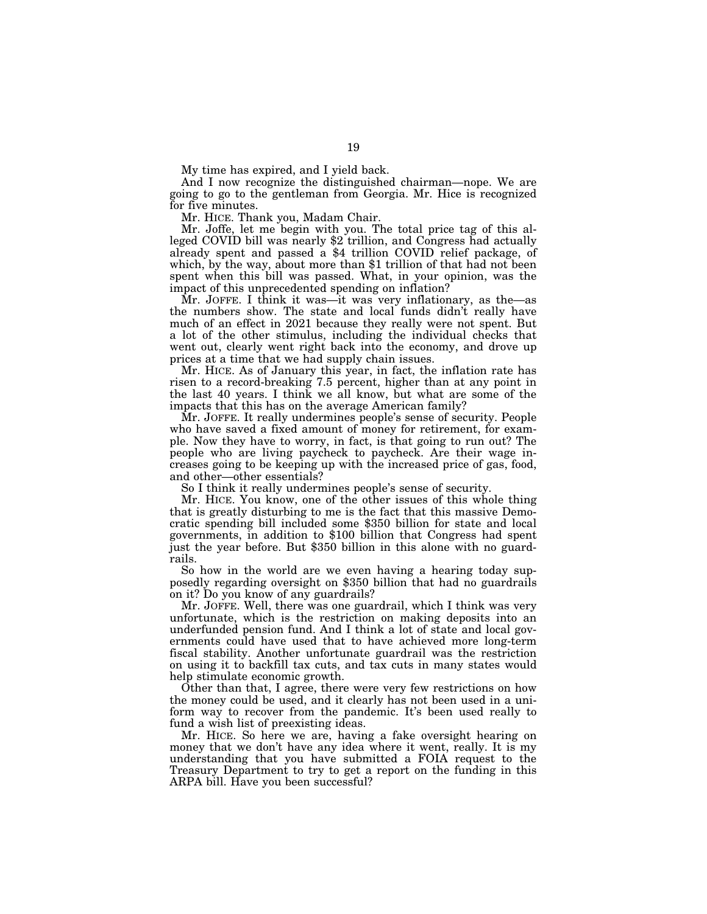My time has expired, and I yield back.

And I now recognize the distinguished chairman—nope. We are going to go to the gentleman from Georgia. Mr. Hice is recognized for five minutes.

Mr. HICE. Thank you, Madam Chair.

Mr. Joffe, let me begin with you. The total price tag of this alleged COVID bill was nearly \$2 trillion, and Congress had actually already spent and passed a \$4 trillion COVID relief package, of which, by the way, about more than \$1 trillion of that had not been spent when this bill was passed. What, in your opinion, was the impact of this unprecedented spending on inflation?

Mr. JOFFE. I think it was—it was very inflationary, as the—as the numbers show. The state and local funds didn't really have much of an effect in 2021 because they really were not spent. But a lot of the other stimulus, including the individual checks that went out, clearly went right back into the economy, and drove up prices at a time that we had supply chain issues.

Mr. HICE. As of January this year, in fact, the inflation rate has risen to a record-breaking 7.5 percent, higher than at any point in the last 40 years. I think we all know, but what are some of the impacts that this has on the average American family?

Mr. JOFFE. It really undermines people's sense of security. People who have saved a fixed amount of money for retirement, for example. Now they have to worry, in fact, is that going to run out? The people who are living paycheck to paycheck. Are their wage increases going to be keeping up with the increased price of gas, food, and other—other essentials?

So I think it really undermines people's sense of security.

Mr. HICE. You know, one of the other issues of this whole thing that is greatly disturbing to me is the fact that this massive Democratic spending bill included some \$350 billion for state and local governments, in addition to \$100 billion that Congress had spent just the year before. But \$350 billion in this alone with no guardrails.

So how in the world are we even having a hearing today supposedly regarding oversight on \$350 billion that had no guardrails on it? Do you know of any guardrails?

Mr. JOFFE. Well, there was one guardrail, which I think was very unfortunate, which is the restriction on making deposits into an underfunded pension fund. And I think a lot of state and local governments could have used that to have achieved more long-term fiscal stability. Another unfortunate guardrail was the restriction on using it to backfill tax cuts, and tax cuts in many states would help stimulate economic growth.

Other than that, I agree, there were very few restrictions on how the money could be used, and it clearly has not been used in a uniform way to recover from the pandemic. It's been used really to fund a wish list of preexisting ideas.

Mr. HICE. So here we are, having a fake oversight hearing on money that we don't have any idea where it went, really. It is my understanding that you have submitted a FOIA request to the Treasury Department to try to get a report on the funding in this ARPA bill. Have you been successful?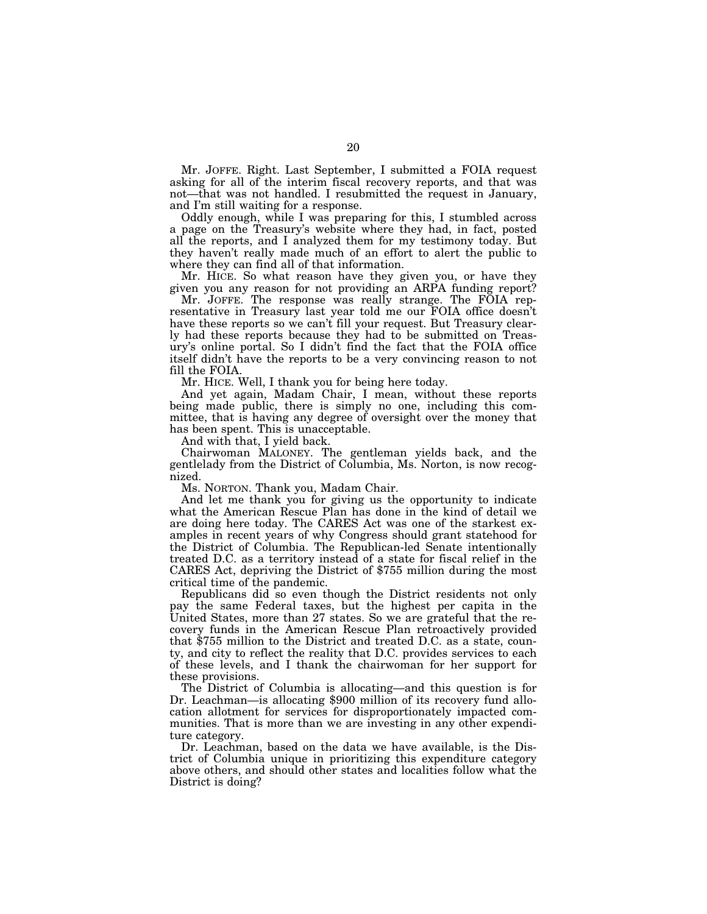Mr. JOFFE. Right. Last September, I submitted a FOIA request asking for all of the interim fiscal recovery reports, and that was not—that was not handled. I resubmitted the request in January, and I'm still waiting for a response.

Oddly enough, while I was preparing for this, I stumbled across a page on the Treasury's website where they had, in fact, posted all the reports, and I analyzed them for my testimony today. But they haven't really made much of an effort to alert the public to where they can find all of that information.

Mr. HICE. So what reason have they given you, or have they given you any reason for not providing an ARPA funding report?

Mr. JOFFE. The response was really strange. The FOIA representative in Treasury last year told me our FOIA office doesn't have these reports so we can't fill your request. But Treasury clearly had these reports because they had to be submitted on Treasury's online portal. So I didn't find the fact that the FOIA office itself didn't have the reports to be a very convincing reason to not fill the FOIA.

Mr. HICE. Well, I thank you for being here today.

And yet again, Madam Chair, I mean, without these reports being made public, there is simply no one, including this committee, that is having any degree of oversight over the money that has been spent. This is unacceptable.

And with that, I yield back.

Chairwoman MALONEY. The gentleman yields back, and the gentlelady from the District of Columbia, Ms. Norton, is now recognized.

Ms. NORTON. Thank you, Madam Chair.

And let me thank you for giving us the opportunity to indicate what the American Rescue Plan has done in the kind of detail we are doing here today. The CARES Act was one of the starkest examples in recent years of why Congress should grant statehood for the District of Columbia. The Republican-led Senate intentionally treated D.C. as a territory instead of a state for fiscal relief in the CARES Act, depriving the District of \$755 million during the most critical time of the pandemic.

Republicans did so even though the District residents not only pay the same Federal taxes, but the highest per capita in the United States, more than 27 states. So we are grateful that the recovery funds in the American Rescue Plan retroactively provided that \$755 million to the District and treated D.C. as a state, county, and city to reflect the reality that D.C. provides services to each of these levels, and I thank the chairwoman for her support for these provisions.

The District of Columbia is allocating—and this question is for Dr. Leachman—is allocating \$900 million of its recovery fund allocation allotment for services for disproportionately impacted communities. That is more than we are investing in any other expenditure category.

Dr. Leachman, based on the data we have available, is the District of Columbia unique in prioritizing this expenditure category above others, and should other states and localities follow what the District is doing?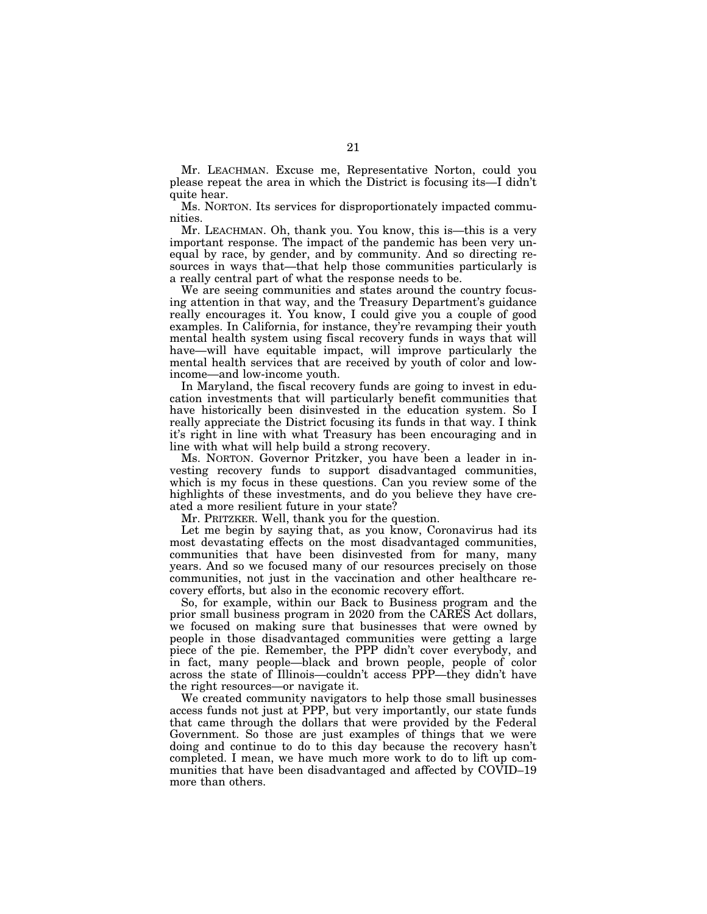Mr. LEACHMAN. Excuse me, Representative Norton, could you please repeat the area in which the District is focusing its—I didn't quite hear.

Ms. NORTON. Its services for disproportionately impacted communities.

Mr. LEACHMAN. Oh, thank you. You know, this is—this is a very important response. The impact of the pandemic has been very unequal by race, by gender, and by community. And so directing resources in ways that—that help those communities particularly is a really central part of what the response needs to be.

We are seeing communities and states around the country focusing attention in that way, and the Treasury Department's guidance really encourages it. You know, I could give you a couple of good examples. In California, for instance, they're revamping their youth mental health system using fiscal recovery funds in ways that will have—will have equitable impact, will improve particularly the mental health services that are received by youth of color and lowincome—and low-income youth.

In Maryland, the fiscal recovery funds are going to invest in education investments that will particularly benefit communities that have historically been disinvested in the education system. So I really appreciate the District focusing its funds in that way. I think it's right in line with what Treasury has been encouraging and in line with what will help build a strong recovery.

Ms. NORTON. Governor Pritzker, you have been a leader in investing recovery funds to support disadvantaged communities, which is my focus in these questions. Can you review some of the highlights of these investments, and do you believe they have created a more resilient future in your state?

Mr. PRITZKER. Well, thank you for the question.

Let me begin by saying that, as you know, Coronavirus had its most devastating effects on the most disadvantaged communities, communities that have been disinvested from for many, many years. And so we focused many of our resources precisely on those communities, not just in the vaccination and other healthcare recovery efforts, but also in the economic recovery effort.

So, for example, within our Back to Business program and the prior small business program in 2020 from the CARES Act dollars, we focused on making sure that businesses that were owned by people in those disadvantaged communities were getting a large piece of the pie. Remember, the PPP didn't cover everybody, and in fact, many people—black and brown people, people of color across the state of Illinois—couldn't access PPP—they didn't have the right resources—or navigate it.

We created community navigators to help those small businesses access funds not just at PPP, but very importantly, our state funds that came through the dollars that were provided by the Federal Government. So those are just examples of things that we were doing and continue to do to this day because the recovery hasn't completed. I mean, we have much more work to do to lift up communities that have been disadvantaged and affected by COVID–19 more than others.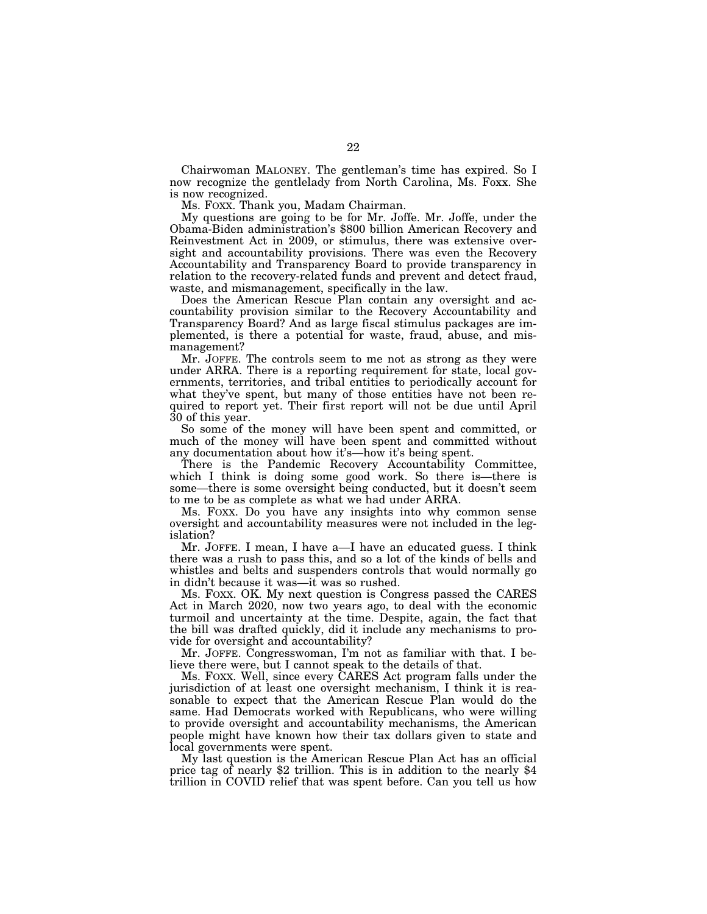Chairwoman MALONEY. The gentleman's time has expired. So I now recognize the gentlelady from North Carolina, Ms. Foxx. She is now recognized.

Ms. FOXX. Thank you, Madam Chairman.

My questions are going to be for Mr. Joffe. Mr. Joffe, under the Obama-Biden administration's \$800 billion American Recovery and Reinvestment Act in 2009, or stimulus, there was extensive oversight and accountability provisions. There was even the Recovery Accountability and Transparency Board to provide transparency in relation to the recovery-related funds and prevent and detect fraud, waste, and mismanagement, specifically in the law.

Does the American Rescue Plan contain any oversight and accountability provision similar to the Recovery Accountability and Transparency Board? And as large fiscal stimulus packages are implemented, is there a potential for waste, fraud, abuse, and mismanagement?

Mr. JOFFE. The controls seem to me not as strong as they were under ARRA. There is a reporting requirement for state, local governments, territories, and tribal entities to periodically account for what they've spent, but many of those entities have not been required to report yet. Their first report will not be due until April 30 of this year.

So some of the money will have been spent and committed, or much of the money will have been spent and committed without any documentation about how it's—how it's being spent.

There is the Pandemic Recovery Accountability Committee, which I think is doing some good work. So there is—there is some—there is some oversight being conducted, but it doesn't seem to me to be as complete as what we had under ARRA.

Ms. FOXX. Do you have any insights into why common sense oversight and accountability measures were not included in the legislation?

Mr. JOFFE. I mean, I have a—I have an educated guess. I think there was a rush to pass this, and so a lot of the kinds of bells and whistles and belts and suspenders controls that would normally go in didn't because it was—it was so rushed.

Ms. FOXX. OK. My next question is Congress passed the CARES Act in March 2020, now two years ago, to deal with the economic turmoil and uncertainty at the time. Despite, again, the fact that the bill was drafted quickly, did it include any mechanisms to provide for oversight and accountability?

Mr. JOFFE. Congresswoman, I'm not as familiar with that. I believe there were, but I cannot speak to the details of that.

Ms. FOXX. Well, since every CARES Act program falls under the jurisdiction of at least one oversight mechanism, I think it is reasonable to expect that the American Rescue Plan would do the same. Had Democrats worked with Republicans, who were willing to provide oversight and accountability mechanisms, the American people might have known how their tax dollars given to state and local governments were spent.

My last question is the American Rescue Plan Act has an official price tag of nearly \$2 trillion. This is in addition to the nearly \$4 trillion in COVID relief that was spent before. Can you tell us how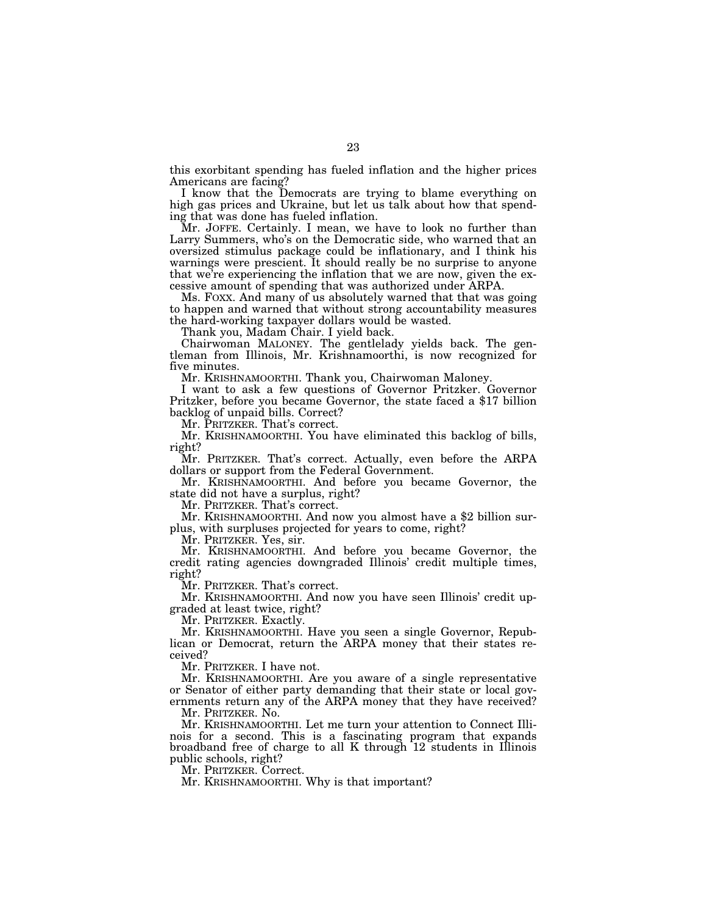this exorbitant spending has fueled inflation and the higher prices Americans are facing?

I know that the Democrats are trying to blame everything on high gas prices and Ukraine, but let us talk about how that spending that was done has fueled inflation.

Mr. JOFFE. Certainly. I mean, we have to look no further than Larry Summers, who's on the Democratic side, who warned that an oversized stimulus package could be inflationary, and I think his warnings were prescient. It should really be no surprise to anyone that we're experiencing the inflation that we are now, given the excessive amount of spending that was authorized under ARPA.

Ms. FOXX. And many of us absolutely warned that that was going to happen and warned that without strong accountability measures the hard-working taxpayer dollars would be wasted.

Thank you, Madam Chair. I yield back.

Chairwoman MALONEY. The gentlelady yields back. The gentleman from Illinois, Mr. Krishnamoorthi, is now recognized for five minutes.

Mr. KRISHNAMOORTHI. Thank you, Chairwoman Maloney.

I want to ask a few questions of Governor Pritzker. Governor Pritzker, before you became Governor, the state faced a \$17 billion backlog of unpaid bills. Correct?

Mr. PRITZKER. That's correct.

Mr. KRISHNAMOORTHI. You have eliminated this backlog of bills, right?

Mr. PRITZKER. That's correct. Actually, even before the ARPA dollars or support from the Federal Government.

Mr. KRISHNAMOORTHI. And before you became Governor, the state did not have a surplus, right?

Mr. PRITZKER. That's correct.

Mr. KRISHNAMOORTHI. And now you almost have a \$2 billion surplus, with surpluses projected for years to come, right?

Mr. PRITZKER. Yes, sir.

Mr. KRISHNAMOORTHI. And before you became Governor, the credit rating agencies downgraded Illinois' credit multiple times, right?

Mr. PRITZKER. That's correct.

Mr. KRISHNAMOORTHI. And now you have seen Illinois' credit upgraded at least twice, right?

Mr. PRITZKER. Exactly.

Mr. KRISHNAMOORTHI. Have you seen a single Governor, Republican or Democrat, return the ARPA money that their states received?

Mr. PRITZKER. I have not.

Mr. KRISHNAMOORTHI. Are you aware of a single representative or Senator of either party demanding that their state or local governments return any of the ARPA money that they have received?

Mr. PRITZKER. No.

Mr. KRISHNAMOORTHI. Let me turn your attention to Connect Illinois for a second. This is a fascinating program that expands broadband free of charge to all K through 12 students in Illinois public schools, right?

Mr. PRITZKER. Correct.

Mr. KRISHNAMOORTHI. Why is that important?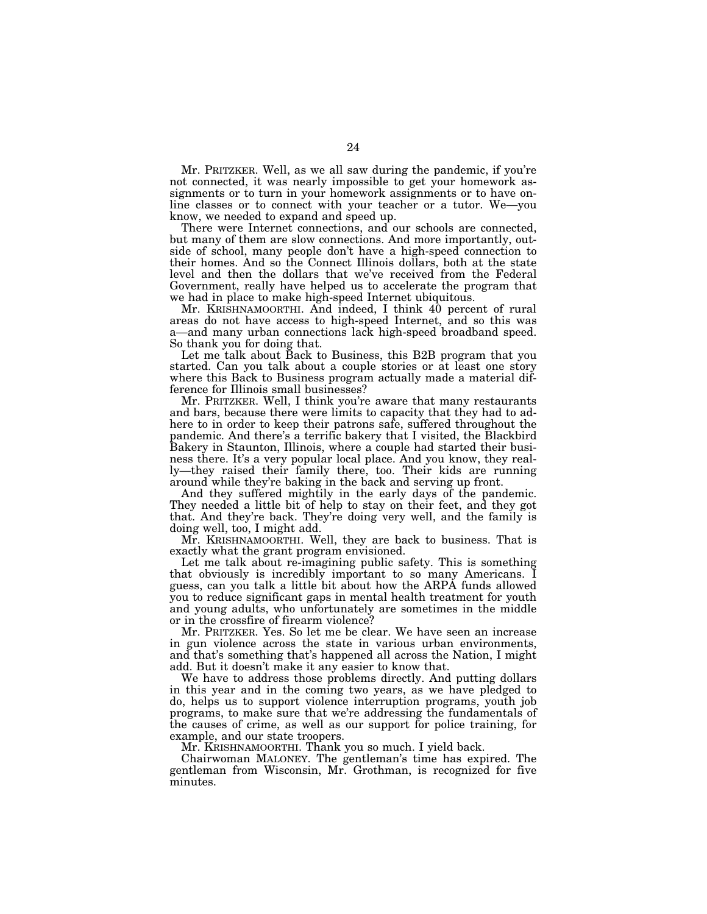Mr. PRITZKER. Well, as we all saw during the pandemic, if you're not connected, it was nearly impossible to get your homework assignments or to turn in your homework assignments or to have online classes or to connect with your teacher or a tutor. We—you know, we needed to expand and speed up.

There were Internet connections, and our schools are connected, but many of them are slow connections. And more importantly, outside of school, many people don't have a high-speed connection to their homes. And so the Connect Illinois dollars, both at the state level and then the dollars that we've received from the Federal Government, really have helped us to accelerate the program that we had in place to make high-speed Internet ubiquitous.

Mr. KRISHNAMOORTHI. And indeed, I think 40 percent of rural areas do not have access to high-speed Internet, and so this was a—and many urban connections lack high-speed broadband speed. So thank you for doing that.

Let me talk about Back to Business, this B2B program that you started. Can you talk about a couple stories or at least one story where this Back to Business program actually made a material difference for Illinois small businesses?

Mr. PRITZKER. Well, I think you're aware that many restaurants and bars, because there were limits to capacity that they had to adhere to in order to keep their patrons safe, suffered throughout the pandemic. And there's a terrific bakery that I visited, the Blackbird Bakery in Staunton, Illinois, where a couple had started their business there. It's a very popular local place. And you know, they really—they raised their family there, too. Their kids are running around while they're baking in the back and serving up front.

And they suffered mightily in the early days of the pandemic. They needed a little bit of help to stay on their feet, and they got that. And they're back. They're doing very well, and the family is doing well, too, I might add.

Mr. KRISHNAMOORTHI. Well, they are back to business. That is exactly what the grant program envisioned.

Let me talk about re-imagining public safety. This is something that obviously is incredibly important to so many Americans. I guess, can you talk a little bit about how the ARPA funds allowed you to reduce significant gaps in mental health treatment for youth and young adults, who unfortunately are sometimes in the middle or in the crossfire of firearm violence?

Mr. PRITZKER. Yes. So let me be clear. We have seen an increase in gun violence across the state in various urban environments, and that's something that's happened all across the Nation, I might add. But it doesn't make it any easier to know that.

We have to address those problems directly. And putting dollars in this year and in the coming two years, as we have pledged to do, helps us to support violence interruption programs, youth job programs, to make sure that we're addressing the fundamentals of the causes of crime, as well as our support for police training, for example, and our state troopers.

Mr. KRISHNAMOORTHI. Thank you so much. I yield back.

Chairwoman MALONEY. The gentleman's time has expired. The gentleman from Wisconsin, Mr. Grothman, is recognized for five minutes.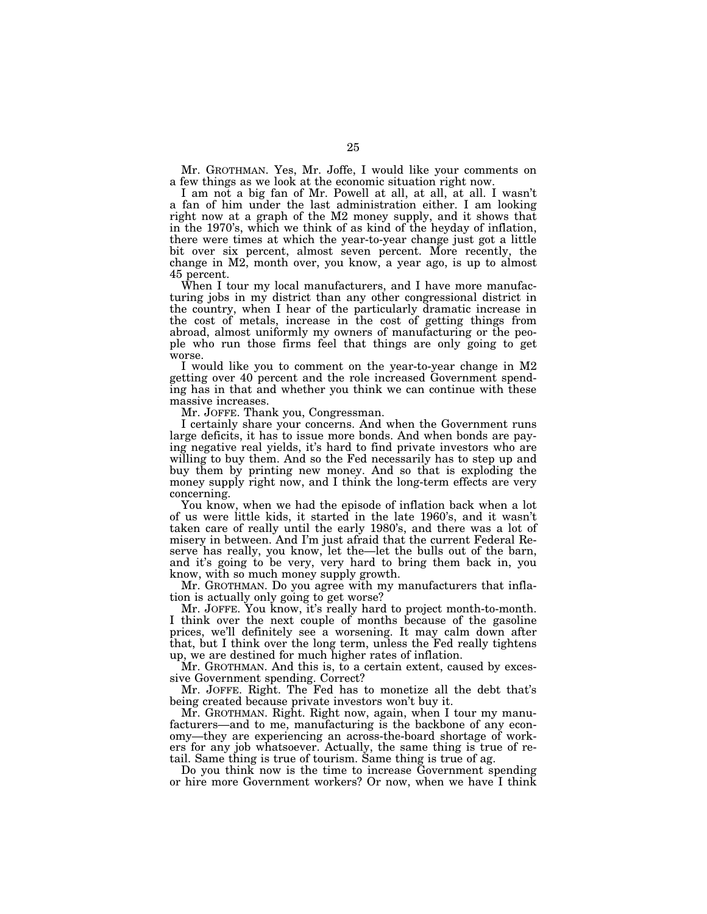Mr. GROTHMAN. Yes, Mr. Joffe, I would like your comments on a few things as we look at the economic situation right now.

I am not a big fan of Mr. Powell at all, at all, at all. I wasn't a fan of him under the last administration either. I am looking right now at a graph of the M2 money supply, and it shows that in the 1970's, which we think of as kind of the heyday of inflation, there were times at which the year-to-year change just got a little bit over six percent, almost seven percent. More recently, the change in M2, month over, you know, a year ago, is up to almost 45 percent.

When I tour my local manufacturers, and I have more manufacturing jobs in my district than any other congressional district in the country, when I hear of the particularly dramatic increase in the cost of metals, increase in the cost of getting things from abroad, almost uniformly my owners of manufacturing or the people who run those firms feel that things are only going to get worse.

I would like you to comment on the year-to-year change in M2 getting over 40 percent and the role increased Government spending has in that and whether you think we can continue with these massive increases.

Mr. JOFFE. Thank you, Congressman.

I certainly share your concerns. And when the Government runs large deficits, it has to issue more bonds. And when bonds are paying negative real yields, it's hard to find private investors who are willing to buy them. And so the Fed necessarily has to step up and buy them by printing new money. And so that is exploding the money supply right now, and I think the long-term effects are very concerning.

You know, when we had the episode of inflation back when a lot of us were little kids, it started in the late 1960's, and it wasn't taken care of really until the early 1980's, and there was a lot of misery in between. And I'm just afraid that the current Federal Reserve has really, you know, let the—let the bulls out of the barn, and it's going to be very, very hard to bring them back in, you know, with so much money supply growth.

Mr. GROTHMAN. Do you agree with my manufacturers that inflation is actually only going to get worse?

Mr. JOFFE. You know, it's really hard to project month-to-month. I think over the next couple of months because of the gasoline prices, we'll definitely see a worsening. It may calm down after that, but I think over the long term, unless the Fed really tightens up, we are destined for much higher rates of inflation.

Mr. GROTHMAN. And this is, to a certain extent, caused by excessive Government spending. Correct?

Mr. JOFFE. Right. The Fed has to monetize all the debt that's being created because private investors won't buy it.

Mr. GROTHMAN. Right. Right now, again, when I tour my manufacturers—and to me, manufacturing is the backbone of any economy—they are experiencing an across-the-board shortage of workers for any job whatsoever. Actually, the same thing is true of retail. Same thing is true of tourism. Same thing is true of ag.

Do you think now is the time to increase Government spending or hire more Government workers? Or now, when we have I think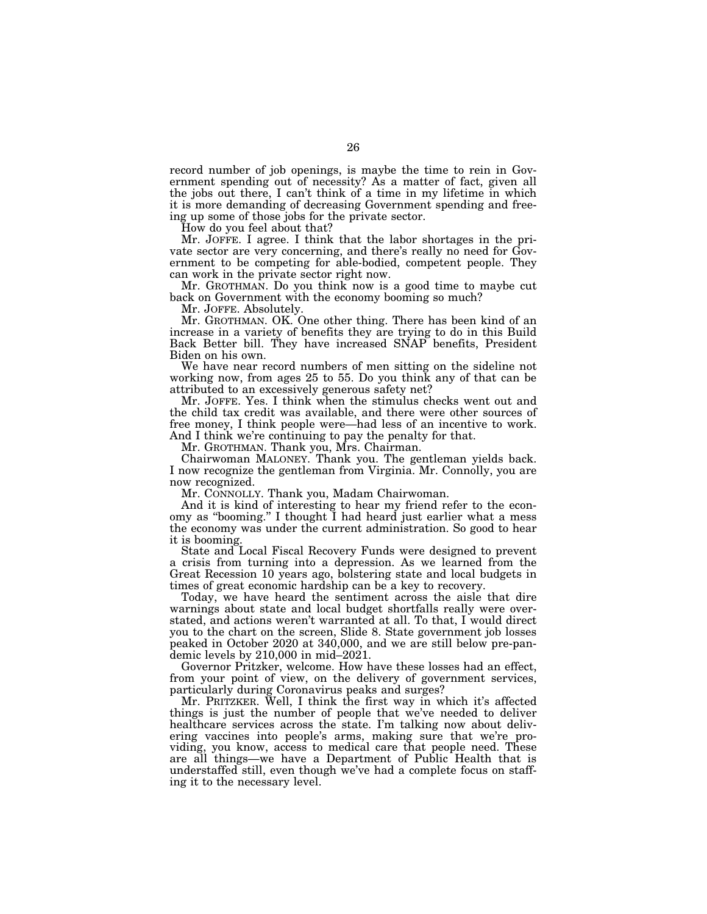record number of job openings, is maybe the time to rein in Government spending out of necessity? As a matter of fact, given all the jobs out there, I can't think of a time in my lifetime in which it is more demanding of decreasing Government spending and freeing up some of those jobs for the private sector.

How do you feel about that?

Mr. JOFFE. I agree. I think that the labor shortages in the private sector are very concerning, and there's really no need for Government to be competing for able-bodied, competent people. They can work in the private sector right now.

Mr. GROTHMAN. Do you think now is a good time to maybe cut back on Government with the economy booming so much?

Mr. JOFFE. Absolutely.

Mr. GROTHMAN. OK. One other thing. There has been kind of an increase in a variety of benefits they are trying to do in this Build Back Better bill. They have increased SNAP benefits, President Biden on his own.

We have near record numbers of men sitting on the sideline not working now, from ages 25 to 55. Do you think any of that can be attributed to an excessively generous safety net?

Mr. JOFFE. Yes. I think when the stimulus checks went out and the child tax credit was available, and there were other sources of free money, I think people were—had less of an incentive to work. And I think we're continuing to pay the penalty for that.

Mr. GROTHMAN. Thank you, Mrs. Chairman.

Chairwoman MALONEY. Thank you. The gentleman yields back. I now recognize the gentleman from Virginia. Mr. Connolly, you are now recognized.

Mr. CONNOLLY. Thank you, Madam Chairwoman.

And it is kind of interesting to hear my friend refer to the economy as ''booming.'' I thought I had heard just earlier what a mess the economy was under the current administration. So good to hear it is booming.

State and Local Fiscal Recovery Funds were designed to prevent a crisis from turning into a depression. As we learned from the Great Recession 10 years ago, bolstering state and local budgets in times of great economic hardship can be a key to recovery.

Today, we have heard the sentiment across the aisle that dire warnings about state and local budget shortfalls really were overstated, and actions weren't warranted at all. To that, I would direct you to the chart on the screen, Slide 8. State government job losses peaked in October 2020 at 340,000, and we are still below pre-pandemic levels by 210,000 in mid–2021.

Governor Pritzker, welcome. How have these losses had an effect, from your point of view, on the delivery of government services, particularly during Coronavirus peaks and surges?

Mr. PRITZKER. Well, I think the first way in which it's affected things is just the number of people that we've needed to deliver healthcare services across the state. I'm talking now about delivering vaccines into people's arms, making sure that we're providing, you know, access to medical care that people need. These are all things—we have a Department of Public Health that is understaffed still, even though we've had a complete focus on staffing it to the necessary level.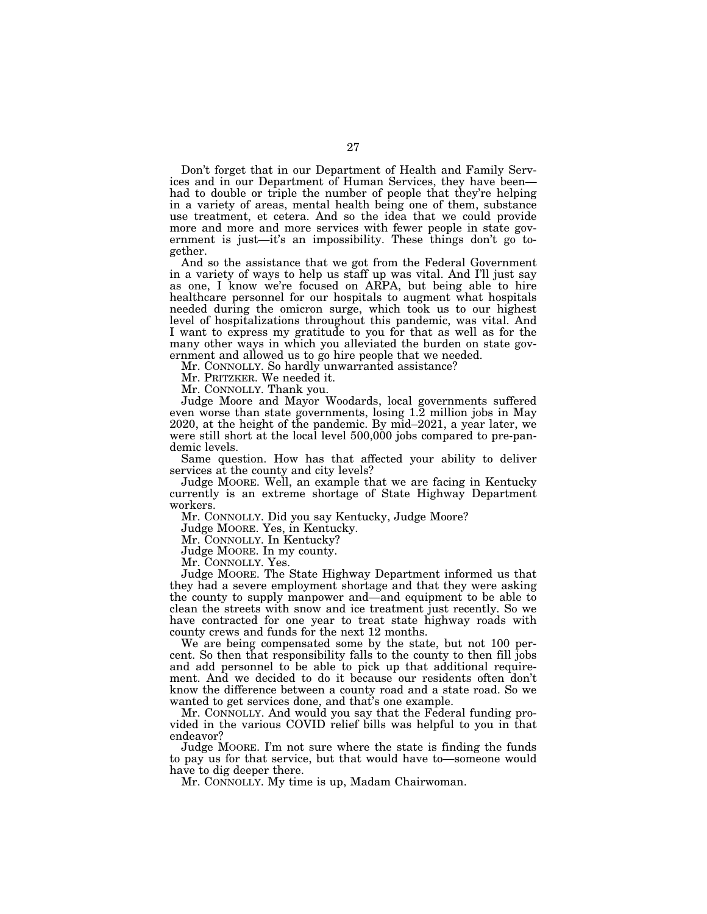Don't forget that in our Department of Health and Family Services and in our Department of Human Services, they have been had to double or triple the number of people that they're helping in a variety of areas, mental health being one of them, substance use treatment, et cetera. And so the idea that we could provide more and more and more services with fewer people in state government is just—it's an impossibility. These things don't go together.

And so the assistance that we got from the Federal Government in a variety of ways to help us staff up was vital. And I'll just say as one, I know we're focused on ARPA, but being able to hire healthcare personnel for our hospitals to augment what hospitals needed during the omicron surge, which took us to our highest level of hospitalizations throughout this pandemic, was vital. And I want to express my gratitude to you for that as well as for the many other ways in which you alleviated the burden on state government and allowed us to go hire people that we needed.

Mr. CONNOLLY. So hardly unwarranted assistance?

Mr. PRITZKER. We needed it.

Mr. CONNOLLY. Thank you.

Judge Moore and Mayor Woodards, local governments suffered even worse than state governments, losing 1.2 million jobs in May 2020, at the height of the pandemic. By mid–2021, a year later, we were still short at the local level 500,000 jobs compared to pre-pandemic levels.

Same question. How has that affected your ability to deliver services at the county and city levels?

Judge MOORE. Well, an example that we are facing in Kentucky currently is an extreme shortage of State Highway Department workers.

Mr. CONNOLLY. Did you say Kentucky, Judge Moore?

Judge MOORE. Yes, in Kentucky.

Mr. CONNOLLY. In Kentucky?

Judge MOORE. In my county.

Mr. CONNOLLY. Yes.

Judge MOORE. The State Highway Department informed us that they had a severe employment shortage and that they were asking the county to supply manpower and—and equipment to be able to clean the streets with snow and ice treatment just recently. So we have contracted for one year to treat state highway roads with county crews and funds for the next 12 months.

We are being compensated some by the state, but not 100 percent. So then that responsibility falls to the county to then fill jobs and add personnel to be able to pick up that additional requirement. And we decided to do it because our residents often don't know the difference between a county road and a state road. So we wanted to get services done, and that's one example.

Mr. CONNOLLY. And would you say that the Federal funding provided in the various COVID relief bills was helpful to you in that endeavor?

Judge MOORE. I'm not sure where the state is finding the funds to pay us for that service, but that would have to—someone would have to dig deeper there.

Mr. CONNOLLY. My time is up, Madam Chairwoman.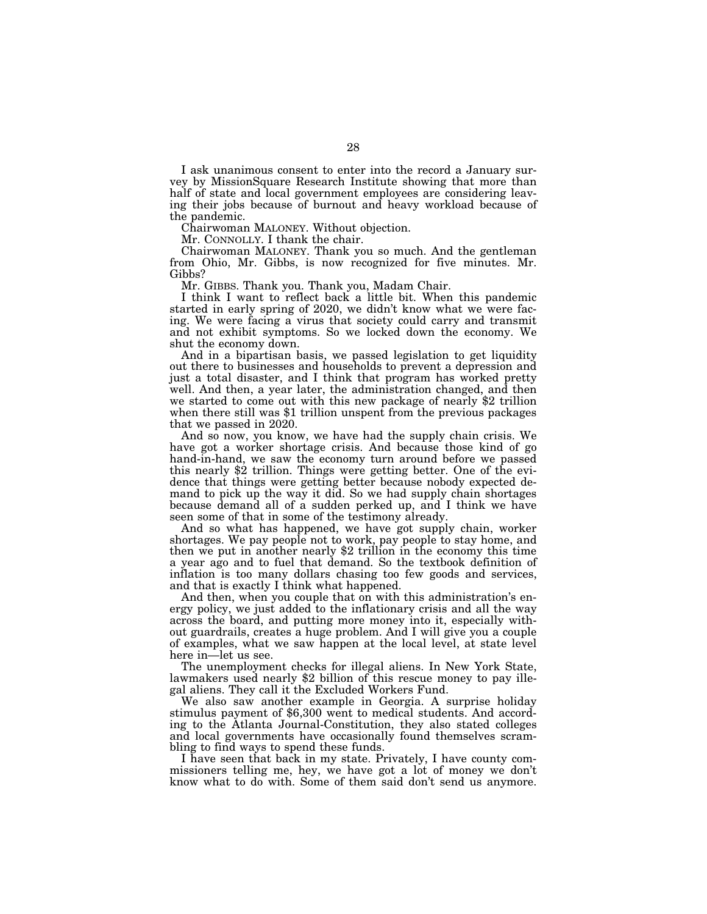I ask unanimous consent to enter into the record a January survey by MissionSquare Research Institute showing that more than half of state and local government employees are considering leaving their jobs because of burnout and heavy workload because of the pandemic.

Chairwoman MALONEY. Without objection.

Mr. CONNOLLY. I thank the chair.

Chairwoman MALONEY. Thank you so much. And the gentleman from Ohio, Mr. Gibbs, is now recognized for five minutes. Mr. Gibbs?

Mr. GIBBS. Thank you. Thank you, Madam Chair.

I think I want to reflect back a little bit. When this pandemic started in early spring of 2020, we didn't know what we were facing. We were facing a virus that society could carry and transmit and not exhibit symptoms. So we locked down the economy. We shut the economy down.

And in a bipartisan basis, we passed legislation to get liquidity out there to businesses and households to prevent a depression and just a total disaster, and I think that program has worked pretty well. And then, a year later, the administration changed, and then we started to come out with this new package of nearly \$2 trillion when there still was \$1 trillion unspent from the previous packages that we passed in 2020.

And so now, you know, we have had the supply chain crisis. We have got a worker shortage crisis. And because those kind of go hand-in-hand, we saw the economy turn around before we passed this nearly \$2 trillion. Things were getting better. One of the evidence that things were getting better because nobody expected demand to pick up the way it did. So we had supply chain shortages because demand all of a sudden perked up, and I think we have seen some of that in some of the testimony already.

And so what has happened, we have got supply chain, worker shortages. We pay people not to work, pay people to stay home, and then we put in another nearly \$2 trillion in the economy this time a year ago and to fuel that demand. So the textbook definition of inflation is too many dollars chasing too few goods and services, and that is exactly I think what happened.

And then, when you couple that on with this administration's energy policy, we just added to the inflationary crisis and all the way across the board, and putting more money into it, especially without guardrails, creates a huge problem. And I will give you a couple of examples, what we saw happen at the local level, at state level here in—let us see.

The unemployment checks for illegal aliens. In New York State, lawmakers used nearly \$2 billion of this rescue money to pay illegal aliens. They call it the Excluded Workers Fund.

We also saw another example in Georgia. A surprise holiday stimulus payment of \$6,300 went to medical students. And according to the Atlanta Journal-Constitution, they also stated colleges and local governments have occasionally found themselves scrambling to find ways to spend these funds.

I have seen that back in my state. Privately, I have county commissioners telling me, hey, we have got a lot of money we don't know what to do with. Some of them said don't send us anymore.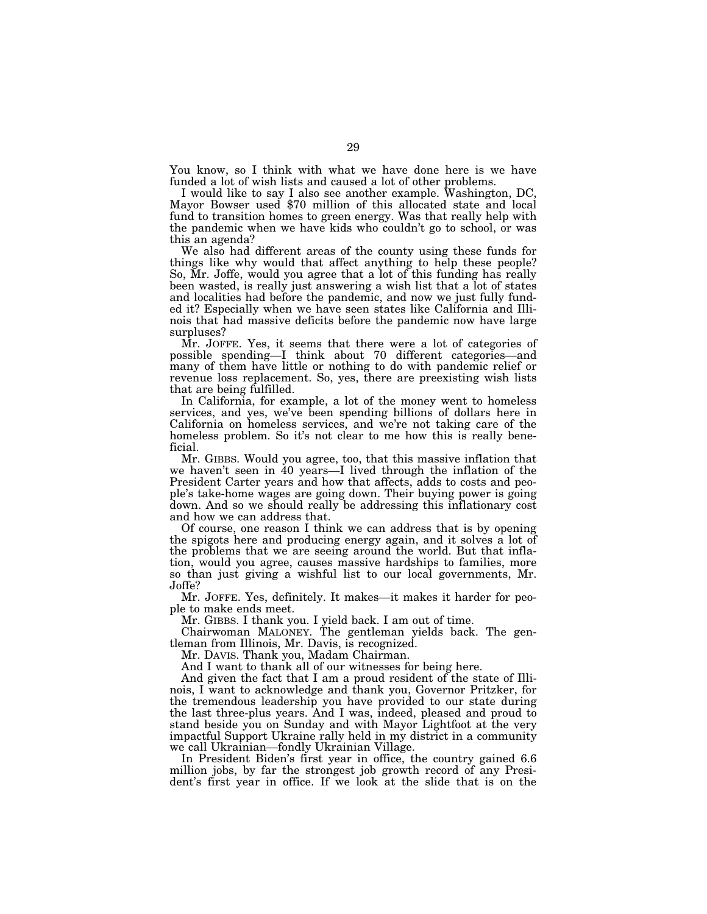You know, so I think with what we have done here is we have funded a lot of wish lists and caused a lot of other problems.<br>I would like to say I also see another example. Washington, DC.

Mayor Bowser used \$70 million of this allocated state and local fund to transition homes to green energy. Was that really help with the pandemic when we have kids who couldn't go to school, or was this an agenda?

We also had different areas of the county using these funds for things like why would that affect anything to help these people? So, Mr. Joffe, would you agree that a lot of this funding has really been wasted, is really just answering a wish list that a lot of states and localities had before the pandemic, and now we just fully funded it? Especially when we have seen states like California and Illinois that had massive deficits before the pandemic now have large surpluses?

Mr. JOFFE. Yes, it seems that there were a lot of categories of possible spending—I think about 70 different categories—and many of them have little or nothing to do with pandemic relief or revenue loss replacement. So, yes, there are preexisting wish lists that are being fulfilled.

In California, for example, a lot of the money went to homeless services, and yes, we've been spending billions of dollars here in California on homeless services, and we're not taking care of the homeless problem. So it's not clear to me how this is really beneficial.

Mr. GIBBS. Would you agree, too, that this massive inflation that we haven't seen in 40 years—I lived through the inflation of the President Carter years and how that affects, adds to costs and people's take-home wages are going down. Their buying power is going down. And so we should really be addressing this inflationary cost and how we can address that.

Of course, one reason I think we can address that is by opening the spigots here and producing energy again, and it solves a lot of the problems that we are seeing around the world. But that inflation, would you agree, causes massive hardships to families, more so than just giving a wishful list to our local governments, Mr. Joffe?

Mr. JOFFE. Yes, definitely. It makes—it makes it harder for people to make ends meet.

Mr. GIBBS. I thank you. I yield back. I am out of time.

Chairwoman MALONEY. The gentleman yields back. The gentleman from Illinois, Mr. Davis, is recognized.

Mr. DAVIS. Thank you, Madam Chairman.

And I want to thank all of our witnesses for being here.

And given the fact that I am a proud resident of the state of Illinois, I want to acknowledge and thank you, Governor Pritzker, for the tremendous leadership you have provided to our state during the last three-plus years. And I was, indeed, pleased and proud to stand beside you on Sunday and with Mayor Lightfoot at the very impactful Support Ukraine rally held in my district in a community we call Ukrainian—fondly Ukrainian Village.

In President Biden's first year in office, the country gained 6.6 million jobs, by far the strongest job growth record of any President's first year in office. If we look at the slide that is on the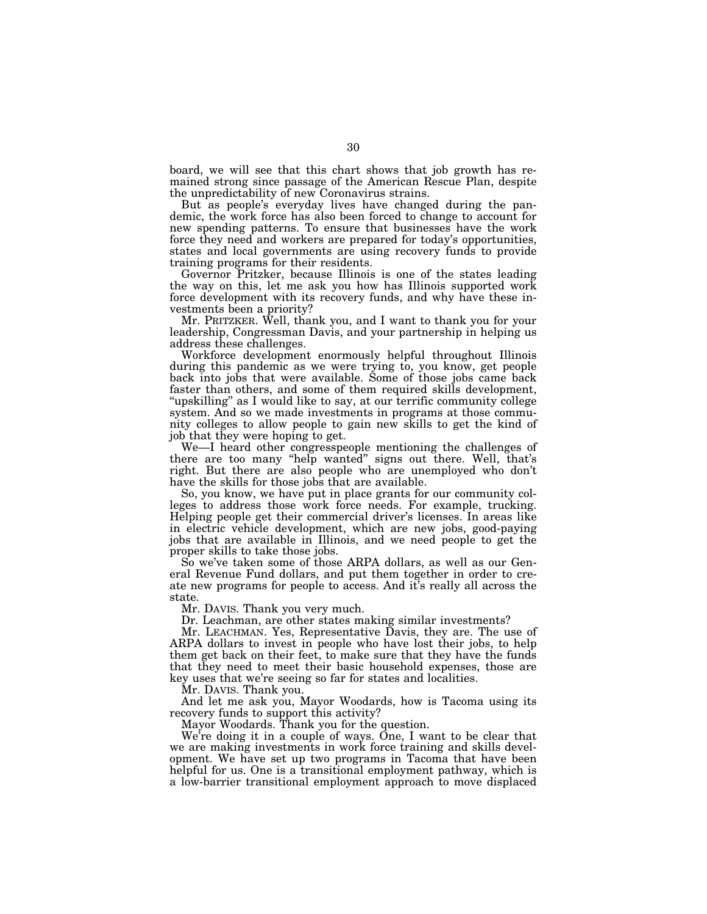board, we will see that this chart shows that job growth has remained strong since passage of the American Rescue Plan, despite the unpredictability of new Coronavirus strains.

But as people's everyday lives have changed during the pandemic, the work force has also been forced to change to account for new spending patterns. To ensure that businesses have the work force they need and workers are prepared for today's opportunities, states and local governments are using recovery funds to provide training programs for their residents.

Governor Pritzker, because Illinois is one of the states leading the way on this, let me ask you how has Illinois supported work force development with its recovery funds, and why have these investments been a priority?

Mr. PRITZKER. Well, thank you, and I want to thank you for your leadership, Congressman Davis, and your partnership in helping us address these challenges.

Workforce development enormously helpful throughout Illinois during this pandemic as we were trying to, you know, get people back into jobs that were available. Some of those jobs came back faster than others, and some of them required skills development, "upskilling" as I would like to say, at our terrific community college system. And so we made investments in programs at those community colleges to allow people to gain new skills to get the kind of job that they were hoping to get.

We—I heard other congresspeople mentioning the challenges of there are too many ''help wanted'' signs out there. Well, that's right. But there are also people who are unemployed who don't have the skills for those jobs that are available.

So, you know, we have put in place grants for our community colleges to address those work force needs. For example, trucking. Helping people get their commercial driver's licenses. In areas like in electric vehicle development, which are new jobs, good-paying jobs that are available in Illinois, and we need people to get the proper skills to take those jobs.

So we've taken some of those ARPA dollars, as well as our General Revenue Fund dollars, and put them together in order to create new programs for people to access. And it's really all across the state.

Mr. DAVIS. Thank you very much.

Dr. Leachman, are other states making similar investments?

Mr. LEACHMAN. Yes, Representative Davis, they are. The use of ARPA dollars to invest in people who have lost their jobs, to help them get back on their feet, to make sure that they have the funds that they need to meet their basic household expenses, those are key uses that we're seeing so far for states and localities.

Mr. DAVIS. Thank you.

And let me ask you, Mayor Woodards, how is Tacoma using its recovery funds to support this activity?

Mayor Woodards. Thank you for the question.

We're doing it in a couple of ways. One, I want to be clear that we are making investments in work force training and skills development. We have set up two programs in Tacoma that have been helpful for us. One is a transitional employment pathway, which is a low-barrier transitional employment approach to move displaced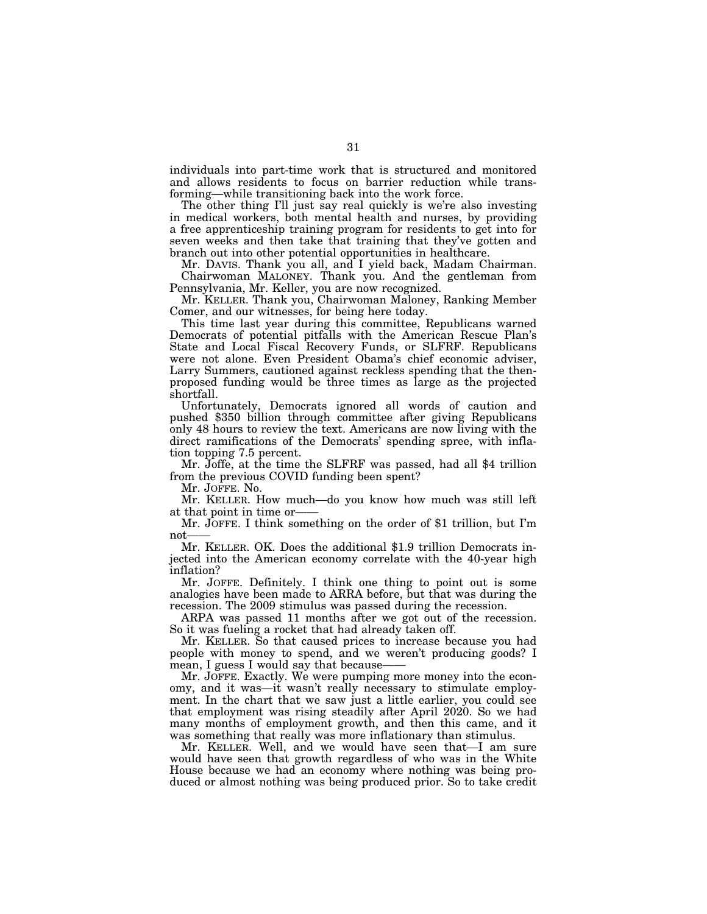individuals into part-time work that is structured and monitored and allows residents to focus on barrier reduction while transforming—while transitioning back into the work force.

The other thing I'll just say real quickly is we're also investing in medical workers, both mental health and nurses, by providing a free apprenticeship training program for residents to get into for seven weeks and then take that training that they've gotten and branch out into other potential opportunities in healthcare.

Mr. DAVIS. Thank you all, and I yield back, Madam Chairman. Chairwoman MALONEY. Thank you. And the gentleman from Pennsylvania, Mr. Keller, you are now recognized.

Mr. KELLER. Thank you, Chairwoman Maloney, Ranking Member Comer, and our witnesses, for being here today.

This time last year during this committee, Republicans warned Democrats of potential pitfalls with the American Rescue Plan's State and Local Fiscal Recovery Funds, or SLFRF. Republicans were not alone. Even President Obama's chief economic adviser, Larry Summers, cautioned against reckless spending that the thenproposed funding would be three times as large as the projected shortfall.

Unfortunately, Democrats ignored all words of caution and pushed \$350 billion through committee after giving Republicans only 48 hours to review the text. Americans are now living with the direct ramifications of the Democrats' spending spree, with inflation topping 7.5 percent.

Mr. Joffe, at the time the SLFRF was passed, had all \$4 trillion from the previous COVID funding been spent?

Mr. JOFFE. No.

Mr. KELLER. How much—do you know how much was still left at that point in time or-

Mr. JOFFE. I think something on the order of \$1 trillion, but I'm  $not$ 

Mr. KELLER. OK. Does the additional \$1.9 trillion Democrats injected into the American economy correlate with the 40-year high inflation?

Mr. JOFFE. Definitely. I think one thing to point out is some analogies have been made to ARRA before, but that was during the recession. The 2009 stimulus was passed during the recession.

ARPA was passed 11 months after we got out of the recession. So it was fueling a rocket that had already taken off.

Mr. KELLER. So that caused prices to increase because you had people with money to spend, and we weren't producing goods? I mean, I guess I would say that because-

Mr. JOFFE. Exactly. We were pumping more money into the economy, and it was—it wasn't really necessary to stimulate employment. In the chart that we saw just a little earlier, you could see that employment was rising steadily after April 2020. So we had many months of employment growth, and then this came, and it was something that really was more inflationary than stimulus.

Mr. KELLER. Well, and we would have seen that—I am sure would have seen that growth regardless of who was in the White House because we had an economy where nothing was being produced or almost nothing was being produced prior. So to take credit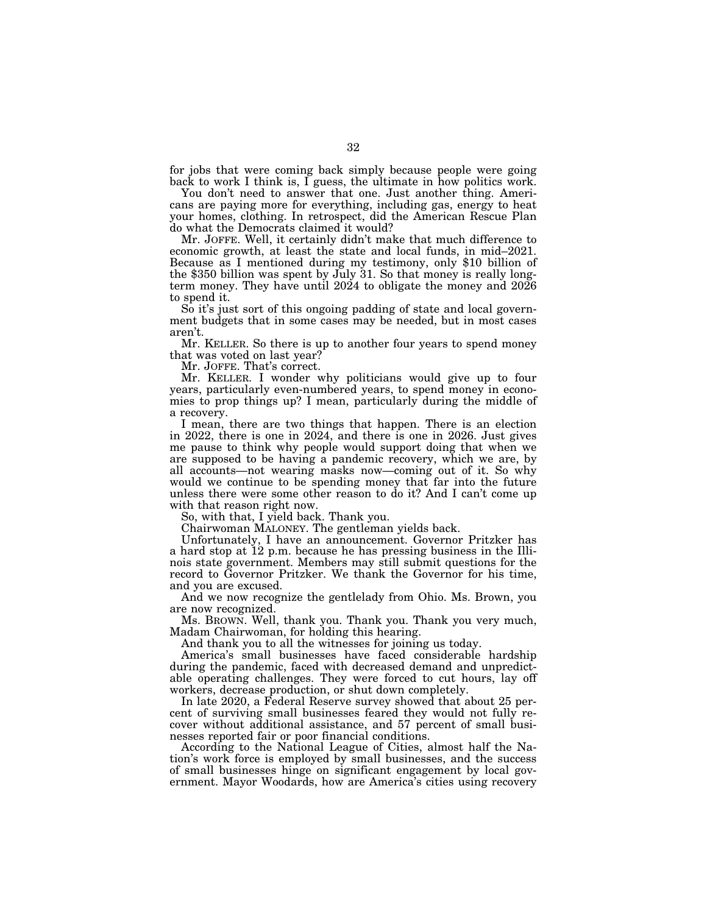for jobs that were coming back simply because people were going back to work I think is, I guess, the ultimate in how politics work.

You don't need to answer that one. Just another thing. Americans are paying more for everything, including gas, energy to heat your homes, clothing. In retrospect, did the American Rescue Plan do what the Democrats claimed it would?

Mr. JOFFE. Well, it certainly didn't make that much difference to economic growth, at least the state and local funds, in mid–2021. Because as I mentioned during my testimony, only \$10 billion of the \$350 billion was spent by July 31. So that money is really longterm money. They have until 2024 to obligate the money and 2026 to spend it.

So it's just sort of this ongoing padding of state and local government budgets that in some cases may be needed, but in most cases aren't.

Mr. KELLER. So there is up to another four years to spend money that was voted on last year?

Mr. JOFFE. That's correct.

Mr. KELLER. I wonder why politicians would give up to four years, particularly even-numbered years, to spend money in economies to prop things up? I mean, particularly during the middle of a recovery.

I mean, there are two things that happen. There is an election in 2022, there is one in 2024, and there is one in 2026. Just gives me pause to think why people would support doing that when we are supposed to be having a pandemic recovery, which we are, by all accounts—not wearing masks now—coming out of it. So why would we continue to be spending money that far into the future unless there were some other reason to do it? And I can't come up with that reason right now.

So, with that, I yield back. Thank you.

Chairwoman MALONEY. The gentleman yields back.

Unfortunately, I have an announcement. Governor Pritzker has a hard stop at 12 p.m. because he has pressing business in the Illinois state government. Members may still submit questions for the record to Governor Pritzker. We thank the Governor for his time, and you are excused.

And we now recognize the gentlelady from Ohio. Ms. Brown, you are now recognized.

Ms. BROWN. Well, thank you. Thank you. Thank you very much, Madam Chairwoman, for holding this hearing.

And thank you to all the witnesses for joining us today.

America's small businesses have faced considerable hardship during the pandemic, faced with decreased demand and unpredictable operating challenges. They were forced to cut hours, lay off workers, decrease production, or shut down completely.

In late 2020, a Federal Reserve survey showed that about 25 percent of surviving small businesses feared they would not fully recover without additional assistance, and 57 percent of small businesses reported fair or poor financial conditions.

According to the National League of Cities, almost half the Nation's work force is employed by small businesses, and the success of small businesses hinge on significant engagement by local government. Mayor Woodards, how are America's cities using recovery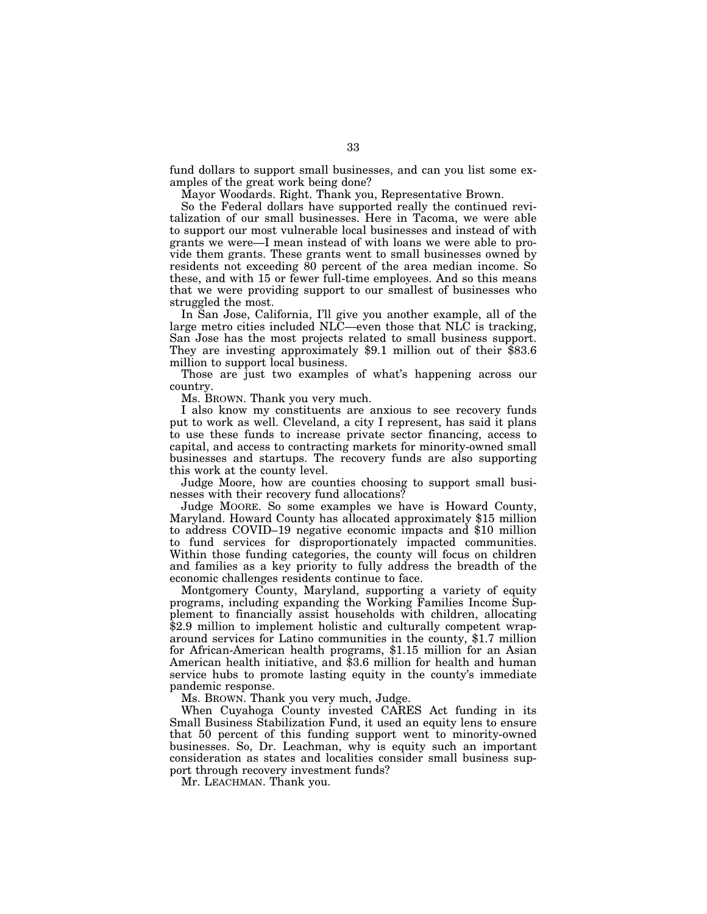fund dollars to support small businesses, and can you list some examples of the great work being done?

Mayor Woodards. Right. Thank you, Representative Brown.

So the Federal dollars have supported really the continued revitalization of our small businesses. Here in Tacoma, we were able to support our most vulnerable local businesses and instead of with grants we were—I mean instead of with loans we were able to provide them grants. These grants went to small businesses owned by residents not exceeding 80 percent of the area median income. So these, and with 15 or fewer full-time employees. And so this means that we were providing support to our smallest of businesses who struggled the most.

In San Jose, California, I'll give you another example, all of the large metro cities included NLC—even those that NLC is tracking, San Jose has the most projects related to small business support. They are investing approximately \$9.1 million out of their \$83.6 million to support local business.

Those are just two examples of what's happening across our country.

Ms. BROWN. Thank you very much.

I also know my constituents are anxious to see recovery funds put to work as well. Cleveland, a city I represent, has said it plans to use these funds to increase private sector financing, access to capital, and access to contracting markets for minority-owned small businesses and startups. The recovery funds are also supporting this work at the county level.

Judge Moore, how are counties choosing to support small businesses with their recovery fund allocations?

Judge MOORE. So some examples we have is Howard County, Maryland. Howard County has allocated approximately \$15 million to address COVID–19 negative economic impacts and \$10 million to fund services for disproportionately impacted communities. Within those funding categories, the county will focus on children and families as a key priority to fully address the breadth of the economic challenges residents continue to face.

Montgomery County, Maryland, supporting a variety of equity programs, including expanding the Working Families Income Supplement to financially assist households with children, allocating \$2.9 million to implement holistic and culturally competent wraparound services for Latino communities in the county, \$1.7 million for African-American health programs, \$1.15 million for an Asian American health initiative, and \$3.6 million for health and human service hubs to promote lasting equity in the county's immediate pandemic response.

Ms. BROWN. Thank you very much, Judge.

When Cuyahoga County invested CARES Act funding in its Small Business Stabilization Fund, it used an equity lens to ensure that 50 percent of this funding support went to minority-owned businesses. So, Dr. Leachman, why is equity such an important consideration as states and localities consider small business support through recovery investment funds?

Mr. LEACHMAN. Thank you.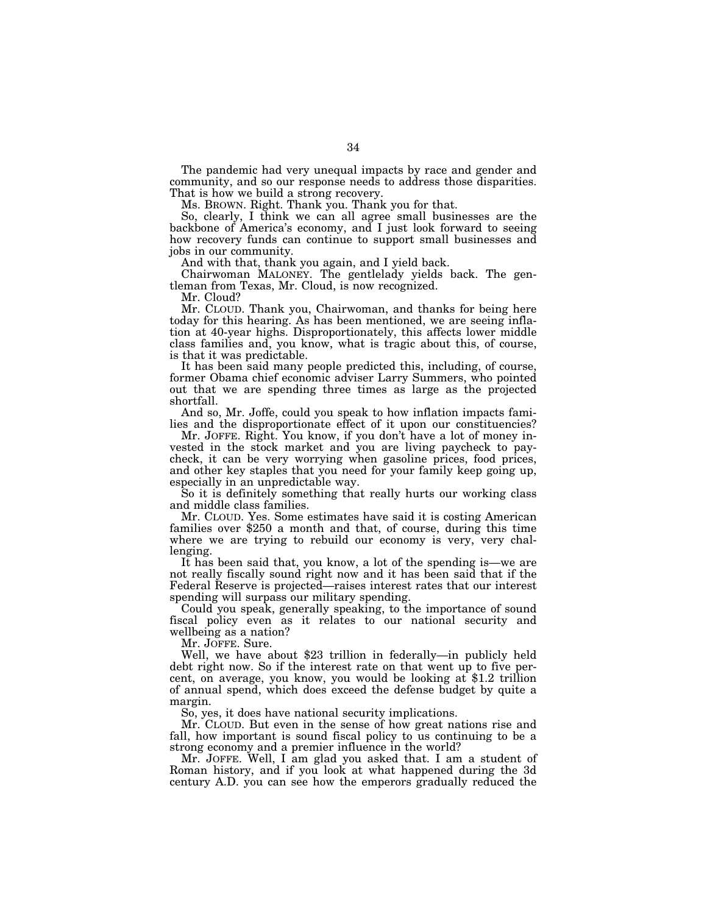The pandemic had very unequal impacts by race and gender and community, and so our response needs to address those disparities. That is how we build a strong recovery.

Ms. BROWN. Right. Thank you. Thank you for that.

So, clearly, I think we can all agree small businesses are the backbone of America's economy, and I just look forward to seeing how recovery funds can continue to support small businesses and jobs in our community.

And with that, thank you again, and I yield back.

Chairwoman MALONEY. The gentlelady yields back. The gentleman from Texas, Mr. Cloud, is now recognized.

Mr. Cloud?

Mr. CLOUD. Thank you, Chairwoman, and thanks for being here today for this hearing. As has been mentioned, we are seeing inflation at 40-year highs. Disproportionately, this affects lower middle class families and, you know, what is tragic about this, of course, is that it was predictable.

It has been said many people predicted this, including, of course, former Obama chief economic adviser Larry Summers, who pointed out that we are spending three times as large as the projected shortfall.

And so, Mr. Joffe, could you speak to how inflation impacts families and the disproportionate effect of it upon our constituencies?

Mr. JOFFE. Right. You know, if you don't have a lot of money invested in the stock market and you are living paycheck to paycheck, it can be very worrying when gasoline prices, food prices, and other key staples that you need for your family keep going up, especially in an unpredictable way.

So it is definitely something that really hurts our working class and middle class families.

Mr. CLOUD. Yes. Some estimates have said it is costing American families over \$250 a month and that, of course, during this time where we are trying to rebuild our economy is very, very challenging.

It has been said that, you know, a lot of the spending is—we are not really fiscally sound right now and it has been said that if the Federal Reserve is projected—raises interest rates that our interest spending will surpass our military spending.

Could you speak, generally speaking, to the importance of sound fiscal policy even as it relates to our national security and wellbeing as a nation?

Mr. JOFFE. Sure.

Well, we have about \$23 trillion in federally—in publicly held debt right now. So if the interest rate on that went up to five percent, on average, you know, you would be looking at \$1.2 trillion of annual spend, which does exceed the defense budget by quite a margin.

So, yes, it does have national security implications.

Mr. CLOUD. But even in the sense of how great nations rise and fall, how important is sound fiscal policy to us continuing to be a strong economy and a premier influence in the world?

Mr. JOFFE. Well, I am glad you asked that. I am a student of Roman history, and if you look at what happened during the 3d century A.D. you can see how the emperors gradually reduced the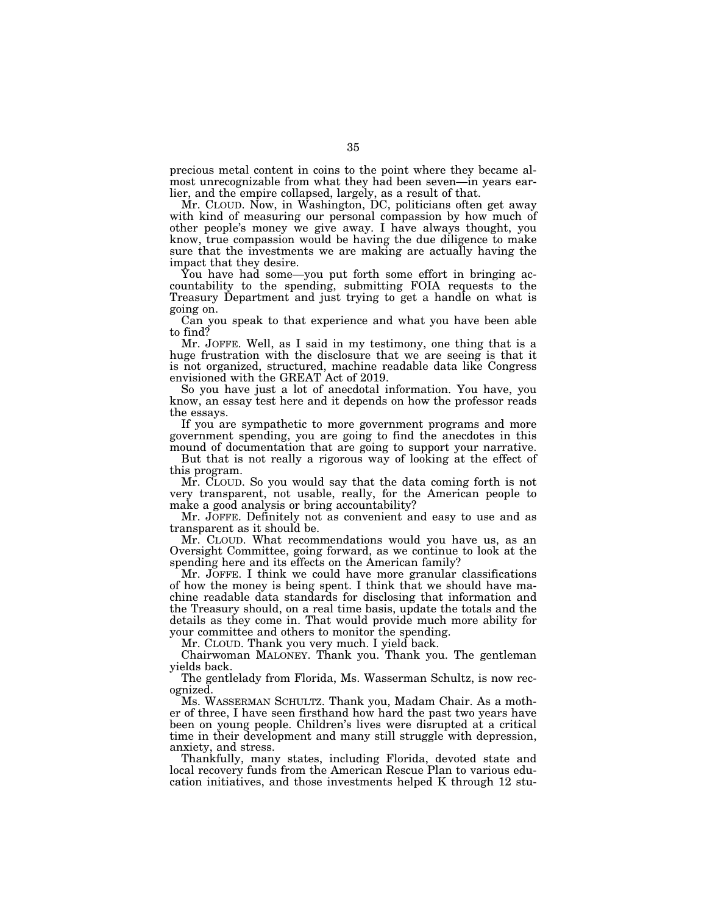precious metal content in coins to the point where they became almost unrecognizable from what they had been seven—in years earlier, and the empire collapsed, largely, as a result of that.

Mr. CLOUD. Now, in Washington, DC, politicians often get away with kind of measuring our personal compassion by how much of other people's money we give away. I have always thought, you know, true compassion would be having the due diligence to make sure that the investments we are making are actually having the impact that they desire.

You have had some—you put forth some effort in bringing accountability to the spending, submitting FOIA requests to the Treasury Department and just trying to get a handle on what is going on.

Can you speak to that experience and what you have been able to find?

Mr. JOFFE. Well, as I said in my testimony, one thing that is a huge frustration with the disclosure that we are seeing is that it is not organized, structured, machine readable data like Congress envisioned with the GREAT Act of 2019.

So you have just a lot of anecdotal information. You have, you know, an essay test here and it depends on how the professor reads the essays.

If you are sympathetic to more government programs and more government spending, you are going to find the anecdotes in this mound of documentation that are going to support your narrative.

But that is not really a rigorous way of looking at the effect of this program.

Mr. CLOUD. So you would say that the data coming forth is not very transparent, not usable, really, for the American people to make a good analysis or bring accountability?

Mr. JOFFE. Definitely not as convenient and easy to use and as transparent as it should be.

Mr. CLOUD. What recommendations would you have us, as an Oversight Committee, going forward, as we continue to look at the spending here and its effects on the American family?

Mr. JOFFE. I think we could have more granular classifications of how the money is being spent. I think that we should have machine readable data standards for disclosing that information and the Treasury should, on a real time basis, update the totals and the details as they come in. That would provide much more ability for your committee and others to monitor the spending.

Mr. CLOUD. Thank you very much. I yield back.

Chairwoman MALONEY. Thank you. Thank you. The gentleman yields back.

The gentlelady from Florida, Ms. Wasserman Schultz, is now recognized.

Ms. WASSERMAN SCHULTZ. Thank you, Madam Chair. As a mother of three, I have seen firsthand how hard the past two years have been on young people. Children's lives were disrupted at a critical time in their development and many still struggle with depression, anxiety, and stress.

Thankfully, many states, including Florida, devoted state and local recovery funds from the American Rescue Plan to various education initiatives, and those investments helped K through 12 stu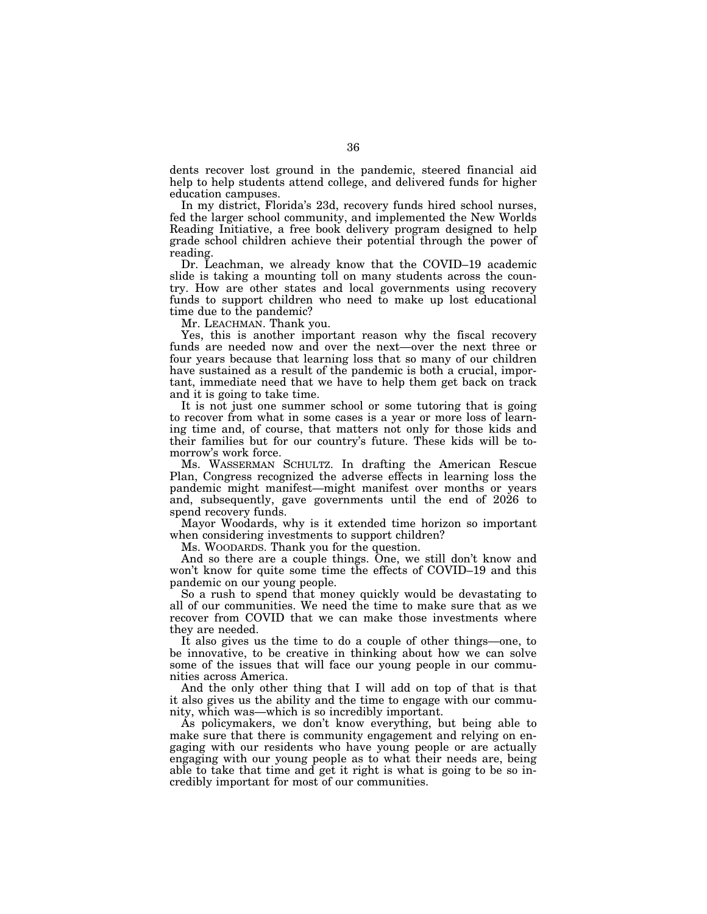dents recover lost ground in the pandemic, steered financial aid help to help students attend college, and delivered funds for higher education campuses.

In my district, Florida's 23d, recovery funds hired school nurses, fed the larger school community, and implemented the New Worlds Reading Initiative, a free book delivery program designed to help grade school children achieve their potential through the power of reading.

Dr. Leachman, we already know that the COVID–19 academic slide is taking a mounting toll on many students across the country. How are other states and local governments using recovery funds to support children who need to make up lost educational time due to the pandemic?

Mr. LEACHMAN. Thank you.

Yes, this is another important reason why the fiscal recovery funds are needed now and over the next—over the next three or four years because that learning loss that so many of our children have sustained as a result of the pandemic is both a crucial, important, immediate need that we have to help them get back on track and it is going to take time.

It is not just one summer school or some tutoring that is going to recover from what in some cases is a year or more loss of learning time and, of course, that matters not only for those kids and their families but for our country's future. These kids will be tomorrow's work force.

Ms. WASSERMAN SCHULTZ. In drafting the American Rescue Plan, Congress recognized the adverse effects in learning loss the pandemic might manifest—might manifest over months or years and, subsequently, gave governments until the end of 2026 to spend recovery funds.

Mayor Woodards, why is it extended time horizon so important when considering investments to support children?

Ms. WOODARDS. Thank you for the question.

And so there are a couple things. One, we still don't know and won't know for quite some time the effects of COVID–19 and this pandemic on our young people.

So a rush to spend that money quickly would be devastating to all of our communities. We need the time to make sure that as we recover from COVID that we can make those investments where they are needed.

It also gives us the time to do a couple of other things—one, to be innovative, to be creative in thinking about how we can solve some of the issues that will face our young people in our communities across America.

And the only other thing that I will add on top of that is that it also gives us the ability and the time to engage with our community, which was—which is so incredibly important.

As policymakers, we don't know everything, but being able to make sure that there is community engagement and relying on engaging with our residents who have young people or are actually engaging with our young people as to what their needs are, being able to take that time and get it right is what is going to be so incredibly important for most of our communities.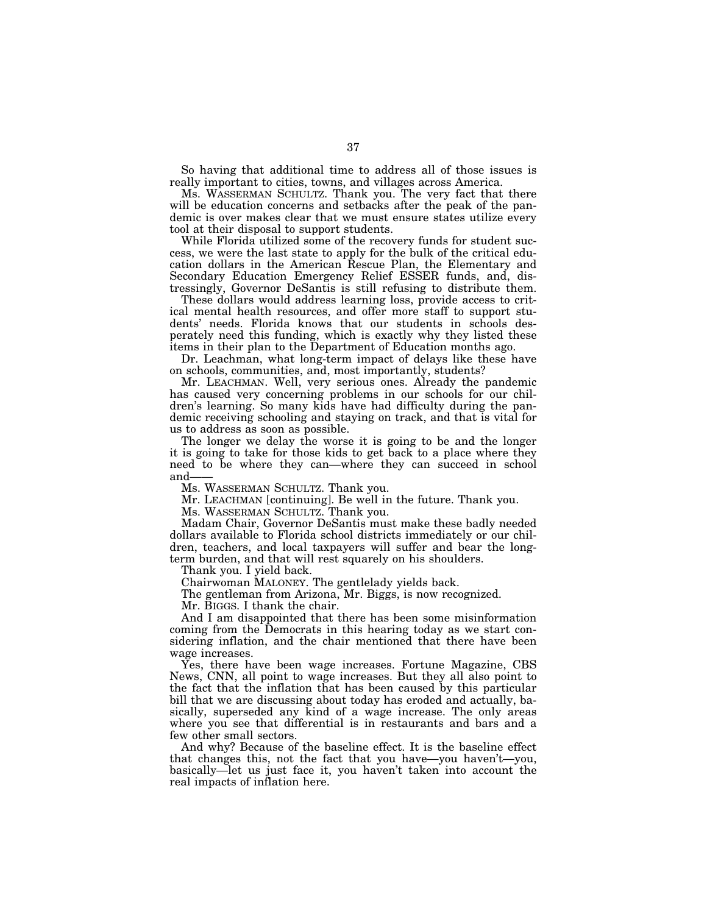So having that additional time to address all of those issues is really important to cities, towns, and villages across America.

Ms. WASSERMAN SCHULTZ. Thank you. The very fact that there will be education concerns and setbacks after the peak of the pandemic is over makes clear that we must ensure states utilize every tool at their disposal to support students.

While Florida utilized some of the recovery funds for student success, we were the last state to apply for the bulk of the critical education dollars in the American Rescue Plan, the Elementary and Secondary Education Emergency Relief ESSER funds, and, distressingly, Governor DeSantis is still refusing to distribute them.

These dollars would address learning loss, provide access to critical mental health resources, and offer more staff to support students' needs. Florida knows that our students in schools desperately need this funding, which is exactly why they listed these items in their plan to the Department of Education months ago.

Dr. Leachman, what long-term impact of delays like these have on schools, communities, and, most importantly, students?

Mr. LEACHMAN. Well, very serious ones. Already the pandemic has caused very concerning problems in our schools for our children's learning. So many kids have had difficulty during the pandemic receiving schooling and staying on track, and that is vital for us to address as soon as possible.

The longer we delay the worse it is going to be and the longer it is going to take for those kids to get back to a place where they need to be where they can—where they can succeed in school and——

Ms. WASSERMAN SCHULTZ. Thank you.

Mr. LEACHMAN [continuing]. Be well in the future. Thank you.

Ms. WASSERMAN SCHULTZ. Thank you.

Madam Chair, Governor DeSantis must make these badly needed dollars available to Florida school districts immediately or our children, teachers, and local taxpayers will suffer and bear the longterm burden, and that will rest squarely on his shoulders.

Thank you. I yield back.

Chairwoman MALONEY. The gentlelady yields back.

The gentleman from Arizona, Mr. Biggs, is now recognized.

Mr. BIGGS. I thank the chair.

And I am disappointed that there has been some misinformation coming from the Democrats in this hearing today as we start considering inflation, and the chair mentioned that there have been wage increases.

Yes, there have been wage increases. Fortune Magazine, CBS News, CNN, all point to wage increases. But they all also point to the fact that the inflation that has been caused by this particular bill that we are discussing about today has eroded and actually, basically, superseded any kind of a wage increase. The only areas where you see that differential is in restaurants and bars and a few other small sectors.

And why? Because of the baseline effect. It is the baseline effect that changes this, not the fact that you have—you haven't—you, basically—let us just face it, you haven't taken into account the real impacts of inflation here.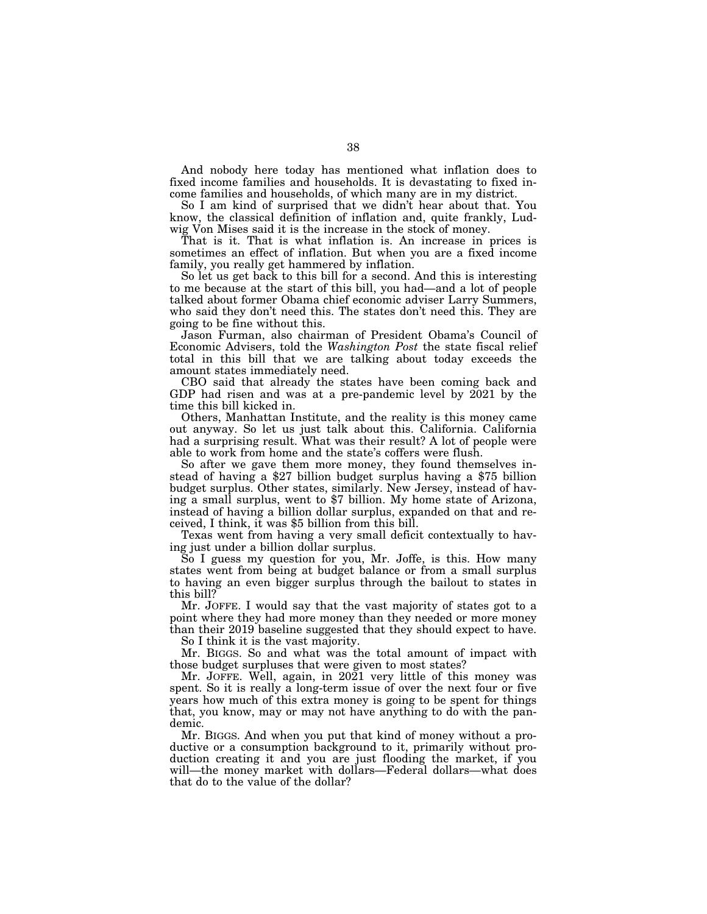And nobody here today has mentioned what inflation does to fixed income families and households. It is devastating to fixed income families and households, of which many are in my district.

So I am kind of surprised that we didn't hear about that. You know, the classical definition of inflation and, quite frankly, Ludwig Von Mises said it is the increase in the stock of money.

That is it. That is what inflation is. An increase in prices is sometimes an effect of inflation. But when you are a fixed income family, you really get hammered by inflation.

So let us get back to this bill for a second. And this is interesting to me because at the start of this bill, you had—and a lot of people talked about former Obama chief economic adviser Larry Summers, who said they don't need this. The states don't need this. They are going to be fine without this.

Jason Furman, also chairman of President Obama's Council of Economic Advisers, told the *Washington Post* the state fiscal relief total in this bill that we are talking about today exceeds the amount states immediately need.

CBO said that already the states have been coming back and GDP had risen and was at a pre-pandemic level by 2021 by the time this bill kicked in.

Others, Manhattan Institute, and the reality is this money came out anyway. So let us just talk about this. California. California had a surprising result. What was their result? A lot of people were able to work from home and the state's coffers were flush.

So after we gave them more money, they found themselves instead of having a \$27 billion budget surplus having a \$75 billion budget surplus. Other states, similarly. New Jersey, instead of having a small surplus, went to \$7 billion. My home state of Arizona, instead of having a billion dollar surplus, expanded on that and received, I think, it was \$5 billion from this bill.

Texas went from having a very small deficit contextually to having just under a billion dollar surplus.

So I guess my question for you, Mr. Joffe, is this. How many states went from being at budget balance or from a small surplus to having an even bigger surplus through the bailout to states in this bill?

Mr. JOFFE. I would say that the vast majority of states got to a point where they had more money than they needed or more money than their 2019 baseline suggested that they should expect to have.

So I think it is the vast majority.

Mr. BIGGS. So and what was the total amount of impact with those budget surpluses that were given to most states?

Mr. JOFFE. Well, again, in 2021 very little of this money was spent. So it is really a long-term issue of over the next four or five years how much of this extra money is going to be spent for things that, you know, may or may not have anything to do with the pandemic.

Mr. BIGGS. And when you put that kind of money without a productive or a consumption background to it, primarily without production creating it and you are just flooding the market, if you will—the money market with dollars—Federal dollars—what does that do to the value of the dollar?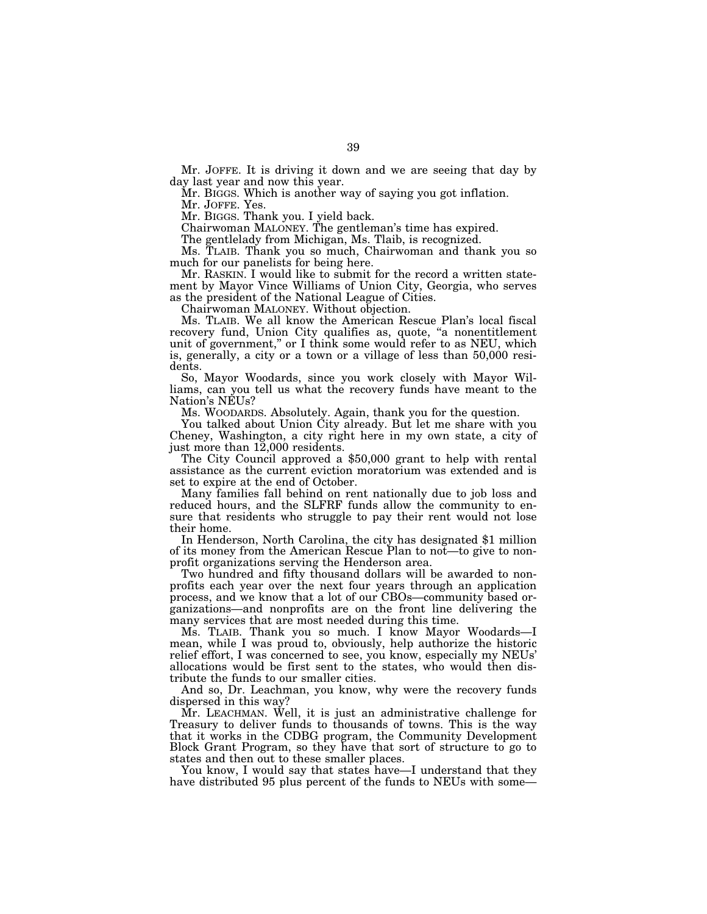Mr. JOFFE. It is driving it down and we are seeing that day by day last year and now this year.

Mr. BIGGS. Which is another way of saying you got inflation.

Mr. JOFFE. Yes.

Mr. BIGGS. Thank you. I yield back.

Chairwoman MALONEY. The gentleman's time has expired.

The gentlelady from Michigan, Ms. Tlaib, is recognized.

Ms. TLAIB. Thank you so much, Chairwoman and thank you so much for our panelists for being here.

Mr. RASKIN. I would like to submit for the record a written statement by Mayor Vince Williams of Union City, Georgia, who serves as the president of the National League of Cities.

Chairwoman MALONEY. Without objection.

Ms. TLAIB. We all know the American Rescue Plan's local fiscal recovery fund, Union City qualifies as, quote, "a nonentitlement unit of government,'' or I think some would refer to as NEU, which is, generally, a city or a town or a village of less than 50,000 residents.

So, Mayor Woodards, since you work closely with Mayor Williams, can you tell us what the recovery funds have meant to the Nation's NEUs?

Ms. WOODARDS. Absolutely. Again, thank you for the question.

You talked about Union City already. But let me share with you Cheney, Washington, a city right here in my own state, a city of

just more than 12,000 residents. The City Council approved a \$50,000 grant to help with rental assistance as the current eviction moratorium was extended and is set to expire at the end of October.

Many families fall behind on rent nationally due to job loss and reduced hours, and the SLFRF funds allow the community to ensure that residents who struggle to pay their rent would not lose their home.

In Henderson, North Carolina, the city has designated \$1 million of its money from the American Rescue Plan to not—to give to nonprofit organizations serving the Henderson area.

Two hundred and fifty thousand dollars will be awarded to nonprofits each year over the next four years through an application process, and we know that a lot of our CBOs—community based organizations—and nonprofits are on the front line delivering the many services that are most needed during this time.

Ms. TLAIB. Thank you so much. I know Mayor Woodards—I mean, while I was proud to, obviously, help authorize the historic relief effort, I was concerned to see, you know, especially my NEUs' allocations would be first sent to the states, who would then distribute the funds to our smaller cities.

And so, Dr. Leachman, you know, why were the recovery funds dispersed in this way?

Mr. LEACHMAN. Well, it is just an administrative challenge for Treasury to deliver funds to thousands of towns. This is the way that it works in the CDBG program, the Community Development Block Grant Program, so they have that sort of structure to go to states and then out to these smaller places.

You know, I would say that states have—I understand that they have distributed 95 plus percent of the funds to NEUs with some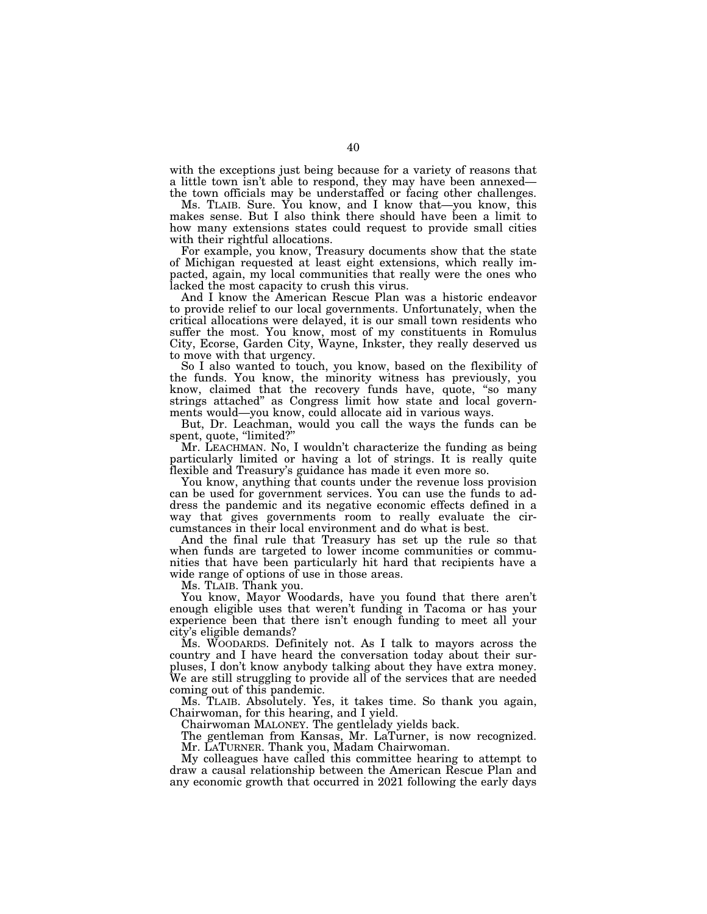with the exceptions just being because for a variety of reasons that a little town isn't able to respond, they may have been annexed the town officials may be understaffed or facing other challenges.

Ms. TLAIB. Sure. You know, and I know that—you know, this makes sense. But I also think there should have been a limit to how many extensions states could request to provide small cities with their rightful allocations.

For example, you know, Treasury documents show that the state of Michigan requested at least eight extensions, which really impacted, again, my local communities that really were the ones who lacked the most capacity to crush this virus.

And I know the American Rescue Plan was a historic endeavor to provide relief to our local governments. Unfortunately, when the critical allocations were delayed, it is our small town residents who suffer the most. You know, most of my constituents in Romulus City, Ecorse, Garden City, Wayne, Inkster, they really deserved us to move with that urgency.

So I also wanted to touch, you know, based on the flexibility of the funds. You know, the minority witness has previously, you know, claimed that the recovery funds have, quote, ''so many strings attached'' as Congress limit how state and local governments would—you know, could allocate aid in various ways.

But, Dr. Leachman, would you call the ways the funds can be spent, quote, "limited?"

Mr. LEACHMAN. No, I wouldn't characterize the funding as being particularly limited or having a lot of strings. It is really quite flexible and Treasury's guidance has made it even more so.

You know, anything that counts under the revenue loss provision can be used for government services. You can use the funds to address the pandemic and its negative economic effects defined in a way that gives governments room to really evaluate the circumstances in their local environment and do what is best.

And the final rule that Treasury has set up the rule so that when funds are targeted to lower income communities or communities that have been particularly hit hard that recipients have a wide range of options of use in those areas.

Ms. TLAIB. Thank you.

You know, Mayor Woodards, have you found that there aren't enough eligible uses that weren't funding in Tacoma or has your experience been that there isn't enough funding to meet all your city's eligible demands?

Ms. WOODARDS. Definitely not. As I talk to mayors across the country and I have heard the conversation today about their surpluses, I don't know anybody talking about they have extra money. We are still struggling to provide all of the services that are needed coming out of this pandemic.

Ms. TLAIB. Absolutely. Yes, it takes time. So thank you again, Chairwoman, for this hearing, and I yield.

Chairwoman MALONEY. The gentlelady yields back.

The gentleman from Kansas, Mr. LaTurner, is now recognized. Mr. LATURNER. Thank you, Madam Chairwoman.

My colleagues have called this committee hearing to attempt to draw a causal relationship between the American Rescue Plan and any economic growth that occurred in 2021 following the early days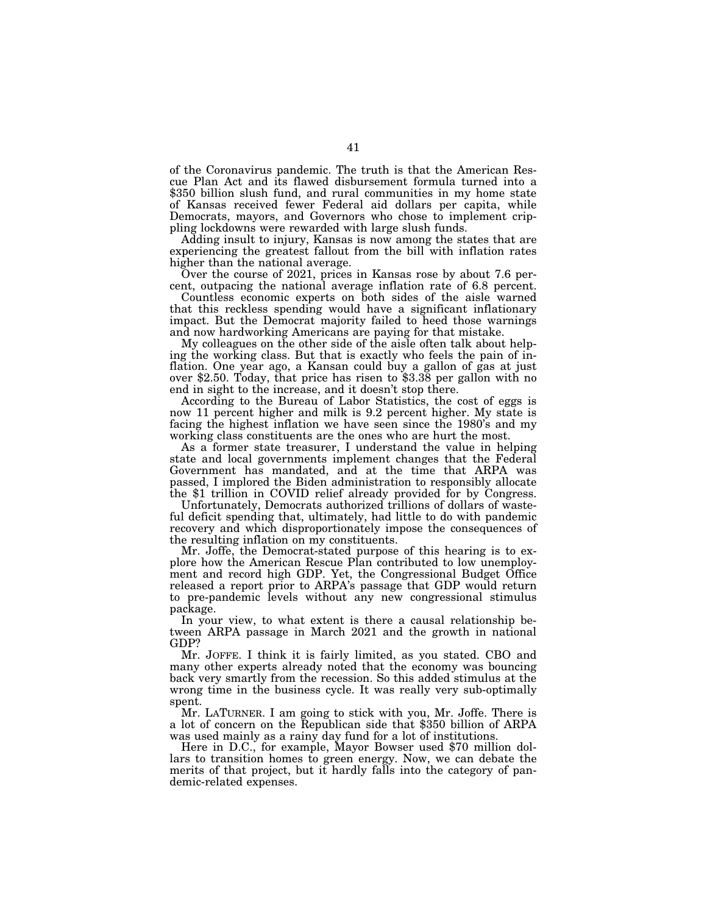of the Coronavirus pandemic. The truth is that the American Rescue Plan Act and its flawed disbursement formula turned into a \$350 billion slush fund, and rural communities in my home state of Kansas received fewer Federal aid dollars per capita, while Democrats, mayors, and Governors who chose to implement crippling lockdowns were rewarded with large slush funds.

Adding insult to injury, Kansas is now among the states that are experiencing the greatest fallout from the bill with inflation rates higher than the national average.

Over the course of 2021, prices in Kansas rose by about 7.6 percent, outpacing the national average inflation rate of 6.8 percent.

Countless economic experts on both sides of the aisle warned that this reckless spending would have a significant inflationary impact. But the Democrat majority failed to heed those warnings and now hardworking Americans are paying for that mistake.

My colleagues on the other side of the aisle often talk about helping the working class. But that is exactly who feels the pain of inflation. One year ago, a Kansan could buy a gallon of gas at just over \$2.50. Today, that price has risen to \$3.38 per gallon with no end in sight to the increase, and it doesn't stop there.

According to the Bureau of Labor Statistics, the cost of eggs is now 11 percent higher and milk is 9.2 percent higher. My state is facing the highest inflation we have seen since the 1980's and my working class constituents are the ones who are hurt the most.

As a former state treasurer, I understand the value in helping state and local governments implement changes that the Federal Government has mandated, and at the time that ARPA was passed, I implored the Biden administration to responsibly allocate the \$1 trillion in COVID relief already provided for by Congress.

Unfortunately, Democrats authorized trillions of dollars of wasteful deficit spending that, ultimately, had little to do with pandemic recovery and which disproportionately impose the consequences of the resulting inflation on my constituents.

Mr. Joffe, the Democrat-stated purpose of this hearing is to explore how the American Rescue Plan contributed to low unemployment and record high GDP. Yet, the Congressional Budget Office released a report prior to ARPA's passage that GDP would return to pre-pandemic levels without any new congressional stimulus package.

In your view, to what extent is there a causal relationship between ARPA passage in March 2021 and the growth in national GDP?

Mr. JOFFE. I think it is fairly limited, as you stated. CBO and many other experts already noted that the economy was bouncing back very smartly from the recession. So this added stimulus at the wrong time in the business cycle. It was really very sub-optimally spent.

Mr. LATURNER. I am going to stick with you, Mr. Joffe. There is a lot of concern on the Republican side that \$350 billion of ARPA was used mainly as a rainy day fund for a lot of institutions.

Here in D.C., for example, Mayor Bowser used \$70 million dollars to transition homes to green energy. Now, we can debate the merits of that project, but it hardly falls into the category of pandemic-related expenses.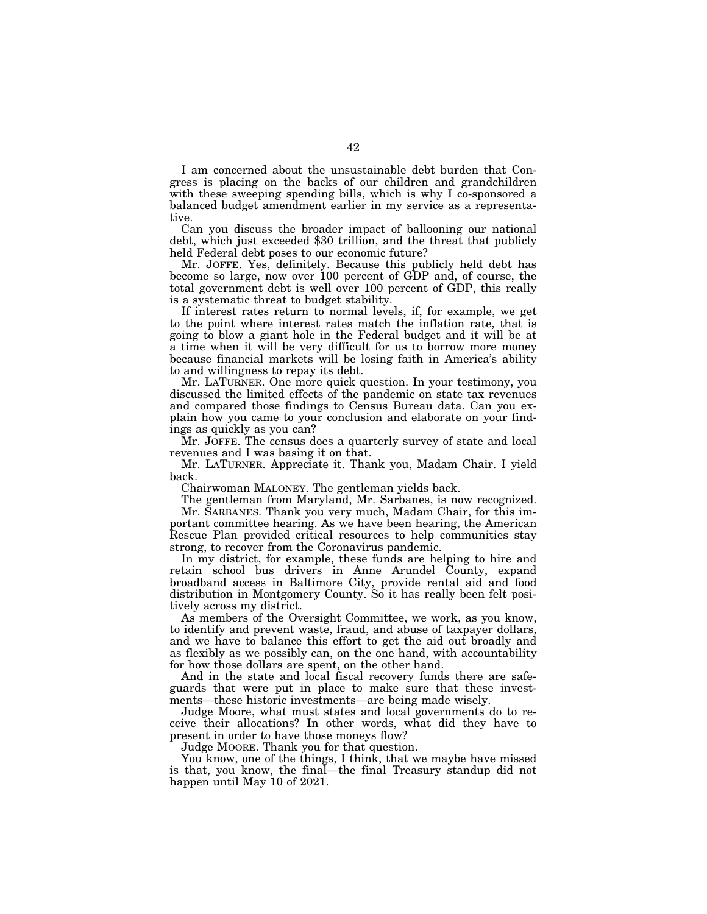I am concerned about the unsustainable debt burden that Congress is placing on the backs of our children and grandchildren with these sweeping spending bills, which is why I co-sponsored a balanced budget amendment earlier in my service as a representative.

Can you discuss the broader impact of ballooning our national debt, which just exceeded \$30 trillion, and the threat that publicly held Federal debt poses to our economic future?

Mr. JOFFE. Yes, definitely. Because this publicly held debt has become so large, now over 100 percent of GDP and, of course, the total government debt is well over 100 percent of GDP, this really is a systematic threat to budget stability.

If interest rates return to normal levels, if, for example, we get to the point where interest rates match the inflation rate, that is going to blow a giant hole in the Federal budget and it will be at a time when it will be very difficult for us to borrow more money because financial markets will be losing faith in America's ability to and willingness to repay its debt.

Mr. LATURNER. One more quick question. In your testimony, you discussed the limited effects of the pandemic on state tax revenues and compared those findings to Census Bureau data. Can you explain how you came to your conclusion and elaborate on your findings as quickly as you can?

Mr. JOFFE. The census does a quarterly survey of state and local revenues and I was basing it on that.

Mr. LATURNER. Appreciate it. Thank you, Madam Chair. I yield back.

Chairwoman MALONEY. The gentleman yields back.

The gentleman from Maryland, Mr. Sarbanes, is now recognized. Mr. SARBANES. Thank you very much, Madam Chair, for this important committee hearing. As we have been hearing, the American Rescue Plan provided critical resources to help communities stay

strong, to recover from the Coronavirus pandemic. In my district, for example, these funds are helping to hire and retain school bus drivers in Anne Arundel County, expand broadband access in Baltimore City, provide rental aid and food distribution in Montgomery County. So it has really been felt positively across my district.

As members of the Oversight Committee, we work, as you know, to identify and prevent waste, fraud, and abuse of taxpayer dollars, and we have to balance this effort to get the aid out broadly and as flexibly as we possibly can, on the one hand, with accountability for how those dollars are spent, on the other hand.

And in the state and local fiscal recovery funds there are safeguards that were put in place to make sure that these investments—these historic investments—are being made wisely.

Judge Moore, what must states and local governments do to receive their allocations? In other words, what did they have to present in order to have those moneys flow?

Judge MOORE. Thank you for that question.

You know, one of the things, I think, that we maybe have missed is that, you know, the final—the final Treasury standup did not happen until May 10 of 2021.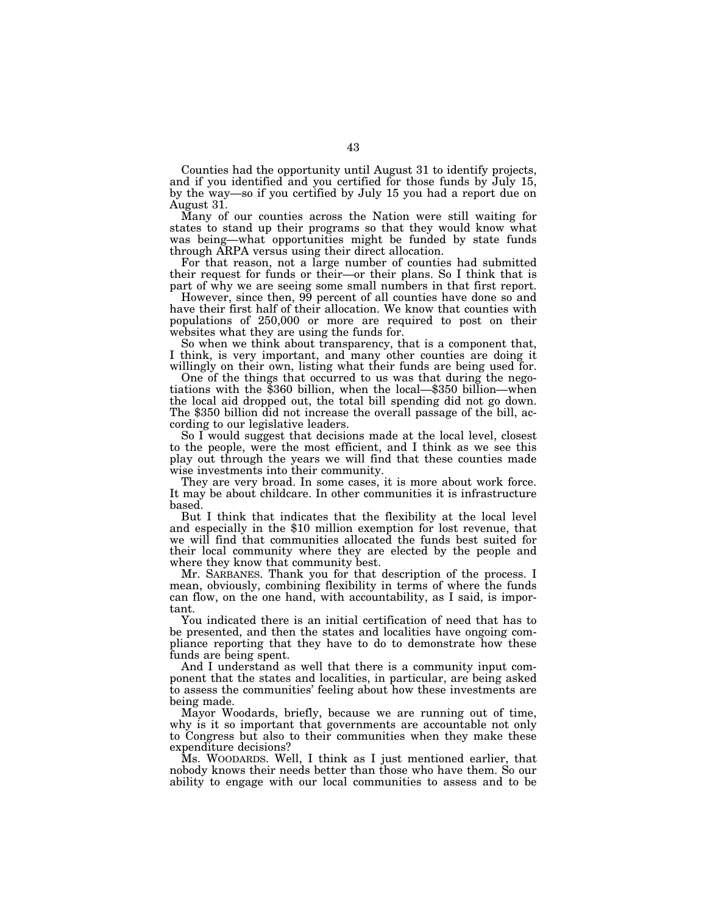Counties had the opportunity until August 31 to identify projects, and if you identified and you certified for those funds by July 15, by the way—so if you certified by July 15 you had a report due on August 31.

Many of our counties across the Nation were still waiting for states to stand up their programs so that they would know what was being—what opportunities might be funded by state funds through ARPA versus using their direct allocation.

For that reason, not a large number of counties had submitted their request for funds or their—or their plans. So I think that is part of why we are seeing some small numbers in that first report.

However, since then, 99 percent of all counties have done so and have their first half of their allocation. We know that counties with populations of 250,000 or more are required to post on their websites what they are using the funds for.

So when we think about transparency, that is a component that, I think, is very important, and many other counties are doing it willingly on their own, listing what their funds are being used for.

One of the things that occurred to us was that during the negotiations with the \$360 billion, when the local—\$350 billion—when the local aid dropped out, the total bill spending did not go down. The \$350 billion did not increase the overall passage of the bill, according to our legislative leaders.

So I would suggest that decisions made at the local level, closest to the people, were the most efficient, and I think as we see this play out through the years we will find that these counties made wise investments into their community.

They are very broad. In some cases, it is more about work force. It may be about childcare. In other communities it is infrastructure based.

But I think that indicates that the flexibility at the local level and especially in the \$10 million exemption for lost revenue, that we will find that communities allocated the funds best suited for their local community where they are elected by the people and where they know that community best.

Mr. SARBANES. Thank you for that description of the process. I mean, obviously, combining flexibility in terms of where the funds can flow, on the one hand, with accountability, as I said, is important.

You indicated there is an initial certification of need that has to be presented, and then the states and localities have ongoing compliance reporting that they have to do to demonstrate how these funds are being spent.

And I understand as well that there is a community input component that the states and localities, in particular, are being asked to assess the communities' feeling about how these investments are being made.

Mayor Woodards, briefly, because we are running out of time, why is it so important that governments are accountable not only to Congress but also to their communities when they make these expenditure decisions?

Ms. WOODARDS. Well, I think as I just mentioned earlier, that nobody knows their needs better than those who have them. So our ability to engage with our local communities to assess and to be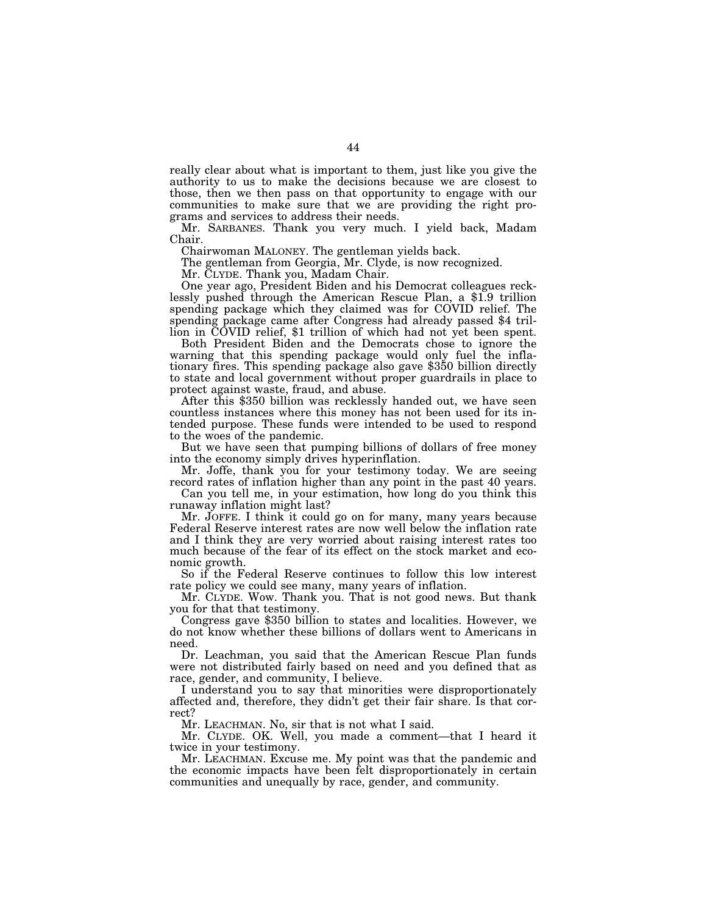really clear about what is important to them, just like you give the authority to us to make the decisions because we are closest to those, then we then pass on that opportunity to engage with our communities to make sure that we are providing the right programs and services to address their needs.

Mr. SARBANES. Thank you very much. I yield back, Madam Chair.

Chairwoman MALONEY. The gentleman yields back.

The gentleman from Georgia, Mr. Clyde, is now recognized.

Mr. CLYDE. Thank you, Madam Chair.<br>One year ago, President Biden and his Democrat colleagues recklessly pushed through the American Rescue Plan, a \$1.9 trillion spending package which they claimed was for COVID relief. The spending package came after Congress had already passed \$4 trillion in COVID relief, \$1 trillion of which had not yet been spent.

Both President Biden and the Democrats chose to ignore the warning that this spending package would only fuel the inflationary fires. This spending package also gave \$350 billion directly to state and local government without proper guardrails in place to

After this \$350 billion was recklessly handed out, we have seen countless instances where this money has not been used for its intended purpose. These funds were intended to be used to respond to the woes of the pandemic.

But we have seen that pumping billions of dollars of free money into the economy simply drives hyperinflation.

Mr. Joffe, thank you for your testimony today. We are seeing record rates of inflation higher than any point in the past 40 years.

Can you tell me, in your estimation, how long do you think this runaway inflation might last?

Mr. JOFFE. I think it could go on for many, many years because Federal Reserve interest rates are now well below the inflation rate and I think they are very worried about raising interest rates too much because of the fear of its effect on the stock market and economic growth.

So if the Federal Reserve continues to follow this low interest rate policy we could see many, many years of inflation.

Mr. CLYDE. Wow. Thank you. That is not good news. But thank

Congress gave \$350 billion to states and localities. However, we do not know whether these billions of dollars went to Americans in need.

Dr. Leachman, you said that the American Rescue Plan funds were not distributed fairly based on need and you defined that as race, gender, and community, I believe.

I understand you to say that minorities were disproportionately affected and, therefore, they didn't get their fair share. Is that correct?

Mr. LEACHMAN. No, sir that is not what I said.

Mr. CLYDE. OK. Well, you made a comment—that I heard it twice in your testimony.

Mr. LEACHMAN. Excuse me. My point was that the pandemic and the economic impacts have been felt disproportionately in certain communities and unequally by race, gender, and community.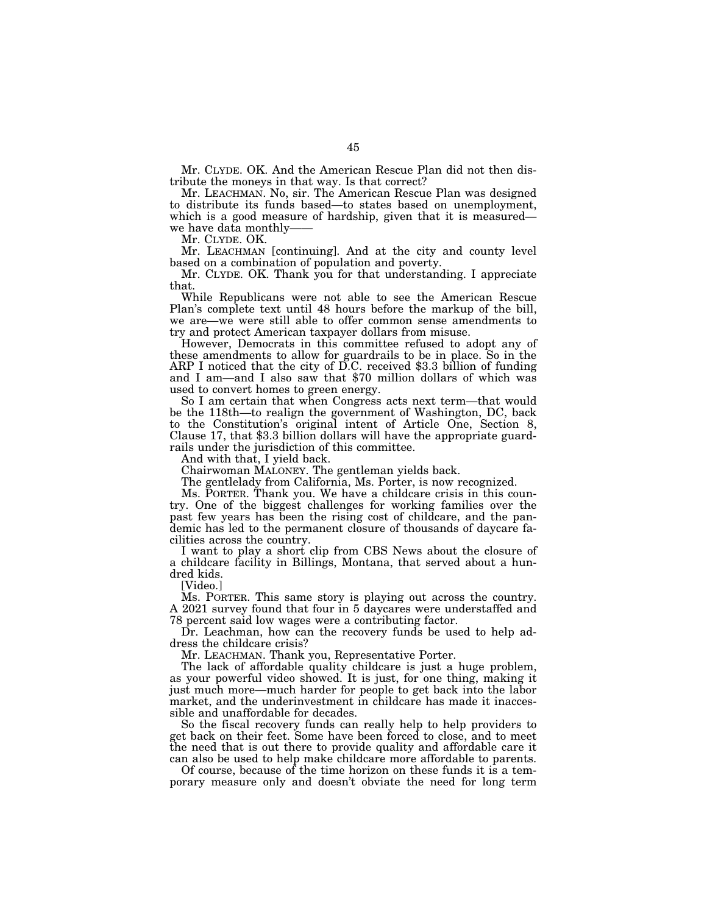Mr. CLYDE. OK. And the American Rescue Plan did not then distribute the moneys in that way. Is that correct?

Mr. LEACHMAN. No, sir. The American Rescue Plan was designed to distribute its funds based—to states based on unemployment, which is a good measure of hardship, given that it is measured we have data monthly-

Mr. CLYDE. OK.

Mr. LEACHMAN [continuing]. And at the city and county level based on a combination of population and poverty.

Mr. CLYDE. OK. Thank you for that understanding. I appreciate that.

While Republicans were not able to see the American Rescue Plan's complete text until 48 hours before the markup of the bill, we are—we were still able to offer common sense amendments to try and protect American taxpayer dollars from misuse.

However, Democrats in this committee refused to adopt any of these amendments to allow for guardrails to be in place. So in the ARP I noticed that the city of D.C. received \$3.3 billion of funding and I am—and I also saw that \$70 million dollars of which was used to convert homes to green energy.

So I am certain that when Congress acts next term—that would be the 118th—to realign the government of Washington, DC, back to the Constitution's original intent of Article One, Section 8, Clause 17, that \$3.3 billion dollars will have the appropriate guardrails under the jurisdiction of this committee.

And with that, I yield back.

Chairwoman MALONEY. The gentleman yields back.

The gentlelady from California, Ms. Porter, is now recognized.

Ms. PORTER. Thank you. We have a childcare crisis in this country. One of the biggest challenges for working families over the past few years has been the rising cost of childcare, and the pandemic has led to the permanent closure of thousands of daycare facilities across the country.

I want to play a short clip from CBS News about the closure of a childcare facility in Billings, Montana, that served about a hundred kids.

[Video.]

Ms. PORTER. This same story is playing out across the country. A 2021 survey found that four in 5 daycares were understaffed and 78 percent said low wages were a contributing factor.

Dr. Leachman, how can the recovery funds be used to help address the childcare crisis?

Mr. LEACHMAN. Thank you, Representative Porter.

The lack of affordable quality childcare is just a huge problem, as your powerful video showed. It is just, for one thing, making it just much more—much harder for people to get back into the labor market, and the underinvestment in childcare has made it inaccessible and unaffordable for decades.

So the fiscal recovery funds can really help to help providers to get back on their feet. Some have been forced to close, and to meet the need that is out there to provide quality and affordable care it can also be used to help make childcare more affordable to parents.

Of course, because of the time horizon on these funds it is a temporary measure only and doesn't obviate the need for long term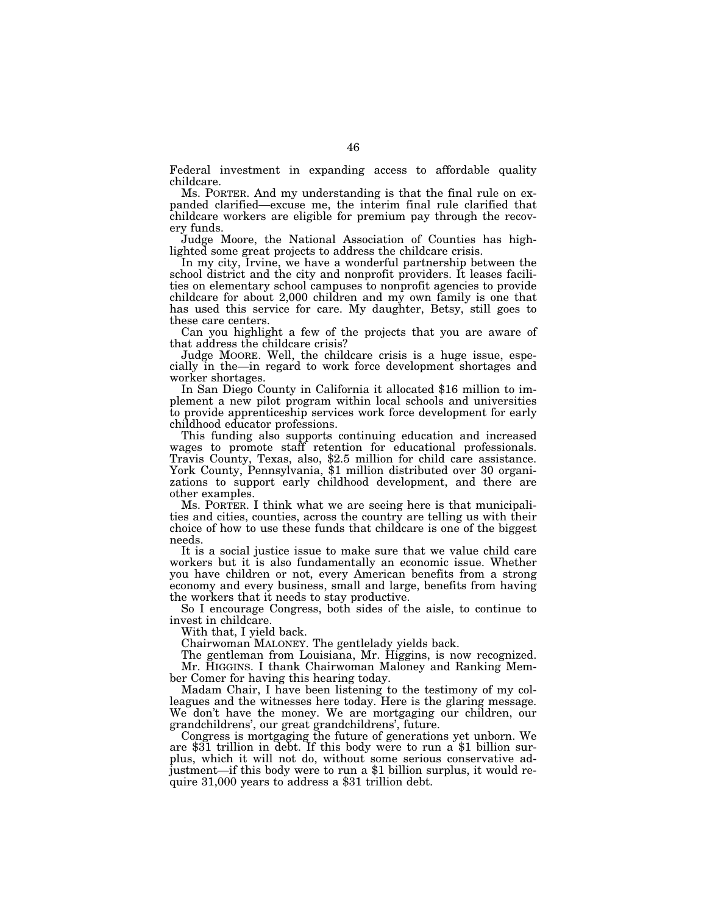Federal investment in expanding access to affordable quality childcare.

Ms. PORTER. And my understanding is that the final rule on expanded clarified—excuse me, the interim final rule clarified that childcare workers are eligible for premium pay through the recovery funds.

Judge Moore, the National Association of Counties has highlighted some great projects to address the childcare crisis.

In my city, Irvine, we have a wonderful partnership between the school district and the city and nonprofit providers. It leases facilities on elementary school campuses to nonprofit agencies to provide childcare for about 2,000 children and my own family is one that has used this service for care. My daughter, Betsy, still goes to these care centers.

Can you highlight a few of the projects that you are aware of that address the childcare crisis?

Judge MOORE. Well, the childcare crisis is a huge issue, especially in the—in regard to work force development shortages and worker shortages.

In San Diego County in California it allocated \$16 million to implement a new pilot program within local schools and universities to provide apprenticeship services work force development for early childhood educator professions.

This funding also supports continuing education and increased wages to promote staff retention for educational professionals. Travis County, Texas, also, \$2.5 million for child care assistance. York County, Pennsylvania, \$1 million distributed over 30 organizations to support early childhood development, and there are other examples.

Ms. PORTER. I think what we are seeing here is that municipalities and cities, counties, across the country are telling us with their choice of how to use these funds that childcare is one of the biggest needs.

It is a social justice issue to make sure that we value child care workers but it is also fundamentally an economic issue. Whether you have children or not, every American benefits from a strong economy and every business, small and large, benefits from having the workers that it needs to stay productive.

So I encourage Congress, both sides of the aisle, to continue to invest in childcare.

With that, I yield back.

Chairwoman MALONEY. The gentlelady yields back.

The gentleman from Louisiana, Mr. Higgins, is now recognized. Mr. HIGGINS. I thank Chairwoman Maloney and Ranking Member Comer for having this hearing today.

Madam Chair, I have been listening to the testimony of my colleagues and the witnesses here today. Here is the glaring message. We don't have the money. We are mortgaging our children, our grandchildrens', our great grandchildrens', future.

Congress is mortgaging the future of generations yet unborn. We are \$31 trillion in debt. If this body were to run a \$1 billion surplus, which it will not do, without some serious conservative adjustment—if this body were to run a \$1 billion surplus, it would require 31,000 years to address a \$31 trillion debt.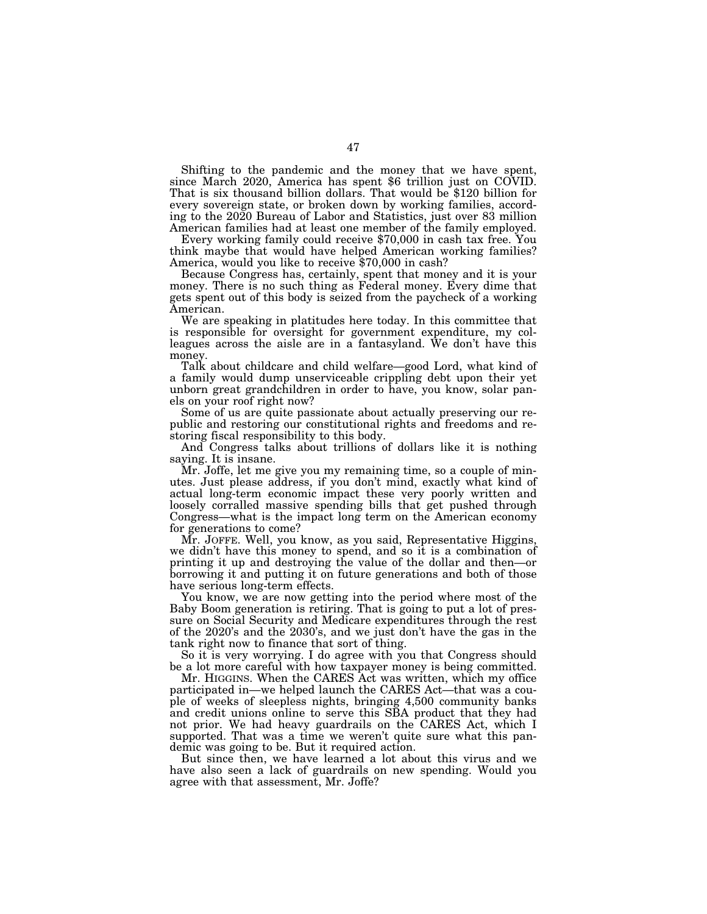Shifting to the pandemic and the money that we have spent, since March 2020, America has spent \$6 trillion just on COVID. That is six thousand billion dollars. That would be \$120 billion for every sovereign state, or broken down by working families, according to the 2020 Bureau of Labor and Statistics, just over 83 million

Every working family could receive \$70,000 in cash tax free. You think maybe that would have helped American working families? America, would you like to receive \$70,000 in cash?

Because Congress has, certainly, spent that money and it is your money. There is no such thing as Federal money. Every dime that gets spent out of this body is seized from the paycheck of a working American.

We are speaking in platitudes here today. In this committee that is responsible for oversight for government expenditure, my colleagues across the aisle are in a fantasyland. We don't have this money.

Talk about childcare and child welfare—good Lord, what kind of a family would dump unserviceable crippling debt upon their yet unborn great grandchildren in order to have, you know, solar panels on your roof right now?

Some of us are quite passionate about actually preserving our republic and restoring our constitutional rights and freedoms and restoring fiscal responsibility to this body.

And Congress talks about trillions of dollars like it is nothing saying. It is insane.

Mr. Joffe, let me give you my remaining time, so a couple of minutes. Just please address, if you don't mind, exactly what kind of actual long-term economic impact these very poorly written and loosely corralled massive spending bills that get pushed through Congress—what is the impact long term on the American economy for generations to come?

Mr. JOFFE. Well, you know, as you said, Representative Higgins, we didn't have this money to spend, and so it is a combination of printing it up and destroying the value of the dollar and then—or borrowing it and putting it on future generations and both of those have serious long-term effects.

You know, we are now getting into the period where most of the Baby Boom generation is retiring. That is going to put a lot of pressure on Social Security and Medicare expenditures through the rest of the 2020's and the 2030's, and we just don't have the gas in the tank right now to finance that sort of thing.

So it is very worrying. I do agree with you that Congress should be a lot more careful with how taxpayer money is being committed.

Mr. HIGGINS. When the CARES Act was written, which my office participated in—we helped launch the CARES Act—that was a couple of weeks of sleepless nights, bringing 4,500 community banks and credit unions online to serve this SBA product that they had not prior. We had heavy guardrails on the CARES Act, which I supported. That was a time we weren't quite sure what this pandemic was going to be. But it required action.

But since then, we have learned a lot about this virus and we have also seen a lack of guardrails on new spending. Would you agree with that assessment, Mr. Joffe?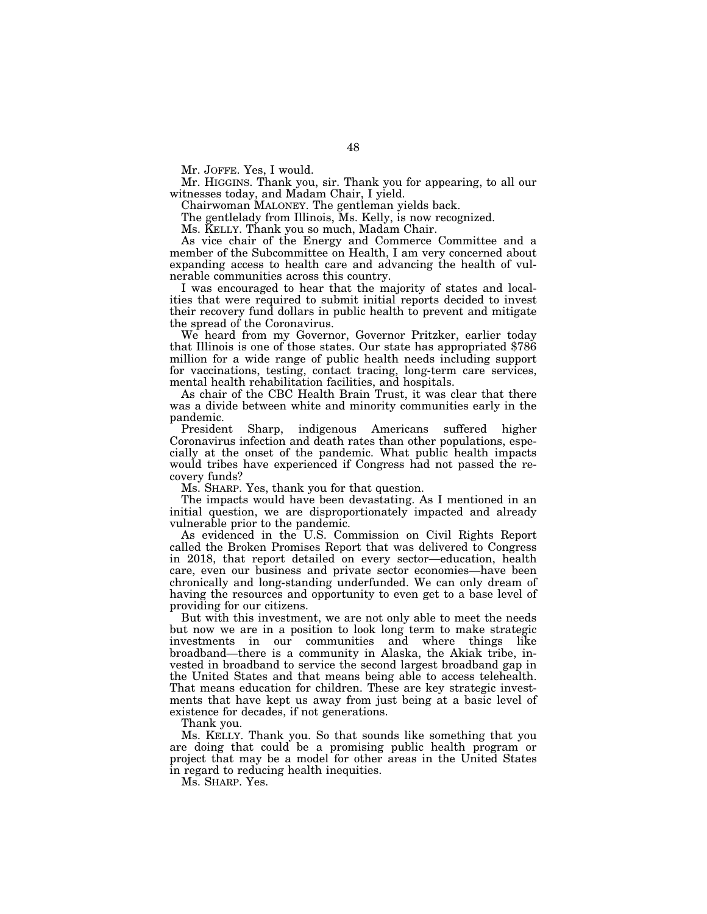Mr. JOFFE. Yes, I would.

Mr. HIGGINS. Thank you, sir. Thank you for appearing, to all our witnesses today, and Madam Chair, I yield.

Chairwoman MALONEY. The gentleman yields back.

The gentlelady from Illinois, Ms. Kelly, is now recognized.

Ms. KELLY. Thank you so much, Madam Chair.

As vice chair of the Energy and Commerce Committee and a member of the Subcommittee on Health, I am very concerned about expanding access to health care and advancing the health of vulnerable communities across this country.

I was encouraged to hear that the majority of states and localities that were required to submit initial reports decided to invest their recovery fund dollars in public health to prevent and mitigate the spread of the Coronavirus.

We heard from my Governor, Governor Pritzker, earlier today that Illinois is one of those states. Our state has appropriated \$786 million for a wide range of public health needs including support for vaccinations, testing, contact tracing, long-term care services, mental health rehabilitation facilities, and hospitals.

As chair of the CBC Health Brain Trust, it was clear that there was a divide between white and minority communities early in the pandemic.

President Sharp, indigenous Americans suffered higher Coronavirus infection and death rates than other populations, especially at the onset of the pandemic. What public health impacts would tribes have experienced if Congress had not passed the recovery funds?

Ms. SHARP. Yes, thank you for that question.

The impacts would have been devastating. As I mentioned in an initial question, we are disproportionately impacted and already vulnerable prior to the pandemic.

As evidenced in the U.S. Commission on Civil Rights Report called the Broken Promises Report that was delivered to Congress in 2018, that report detailed on every sector—education, health care, even our business and private sector economies—have been chronically and long-standing underfunded. We can only dream of having the resources and opportunity to even get to a base level of providing for our citizens.

But with this investment, we are not only able to meet the needs but now we are in a position to look long term to make strategic investments in our communities and where things like broadband—there is a community in Alaska, the Akiak tribe, invested in broadband to service the second largest broadband gap in the United States and that means being able to access telehealth. That means education for children. These are key strategic investments that have kept us away from just being at a basic level of existence for decades, if not generations.

Thank you.

Ms. KELLY. Thank you. So that sounds like something that you are doing that could be a promising public health program or project that may be a model for other areas in the United States in regard to reducing health inequities.

Ms. SHARP. Yes.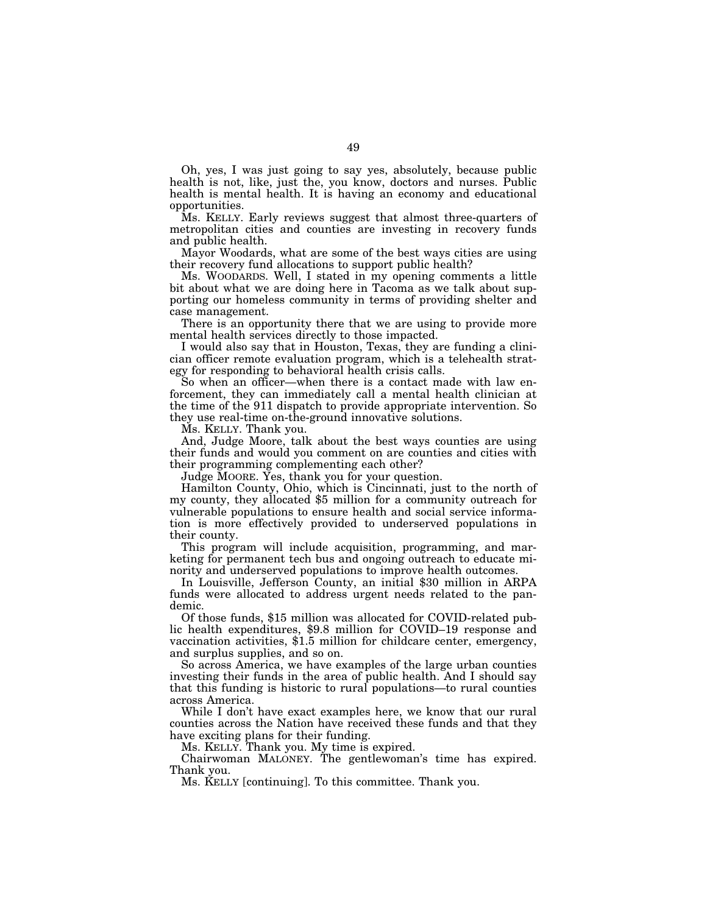Oh, yes, I was just going to say yes, absolutely, because public health is not, like, just the, you know, doctors and nurses. Public health is mental health. It is having an economy and educational opportunities.

Ms. KELLY. Early reviews suggest that almost three-quarters of metropolitan cities and counties are investing in recovery funds and public health.

Mayor Woodards, what are some of the best ways cities are using their recovery fund allocations to support public health?

Ms. WOODARDS. Well, I stated in my opening comments a little bit about what we are doing here in Tacoma as we talk about supporting our homeless community in terms of providing shelter and case management.

There is an opportunity there that we are using to provide more mental health services directly to those impacted.

I would also say that in Houston, Texas, they are funding a clinician officer remote evaluation program, which is a telehealth strategy for responding to behavioral health crisis calls.

So when an officer—when there is a contact made with law enforcement, they can immediately call a mental health clinician at the time of the 911 dispatch to provide appropriate intervention. So they use real-time on-the-ground innovative solutions.

Ms. KELLY. Thank you.

And, Judge Moore, talk about the best ways counties are using their funds and would you comment on are counties and cities with their programming complementing each other?

Judge MOORE. Yes, thank you for your question.

Hamilton County, Ohio, which is Cincinnati, just to the north of my county, they allocated \$5 million for a community outreach for vulnerable populations to ensure health and social service information is more effectively provided to underserved populations in their county.

This program will include acquisition, programming, and marketing for permanent tech bus and ongoing outreach to educate minority and underserved populations to improve health outcomes.

In Louisville, Jefferson County, an initial \$30 million in ARPA funds were allocated to address urgent needs related to the pandemic.

Of those funds, \$15 million was allocated for COVID-related public health expenditures, \$9.8 million for COVID–19 response and vaccination activities, \$1.5 million for childcare center, emergency, and surplus supplies, and so on.

So across America, we have examples of the large urban counties investing their funds in the area of public health. And I should say that this funding is historic to rural populations—to rural counties across America.

While I don't have exact examples here, we know that our rural counties across the Nation have received these funds and that they have exciting plans for their funding.

Ms. KELLY. Thank you. My time is expired.

Chairwoman MALONEY. The gentlewoman's time has expired. Thank you.

Ms. KELLY [continuing]. To this committee. Thank you.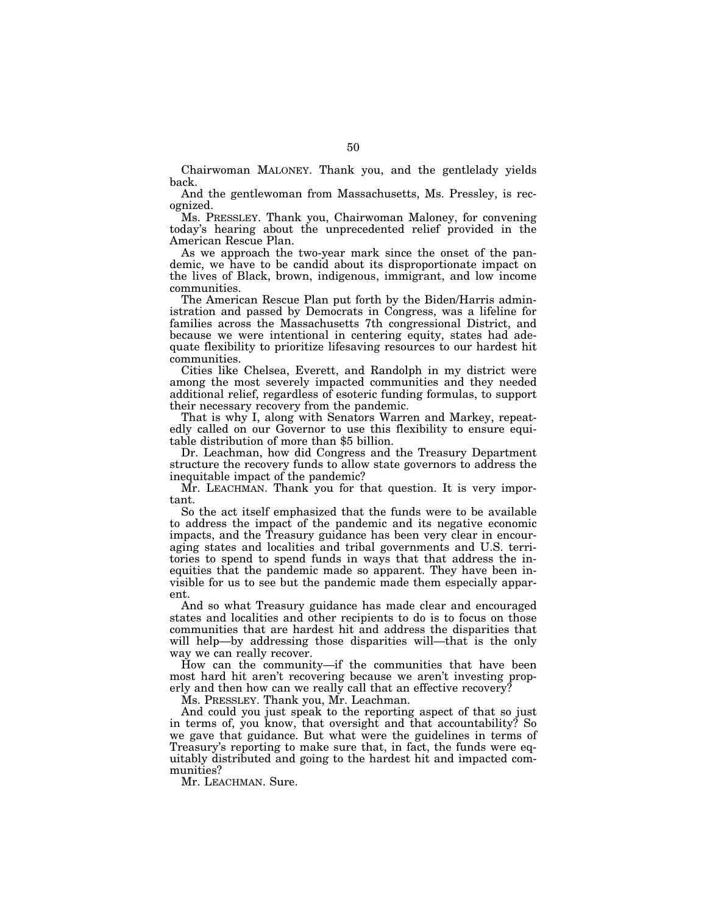Chairwoman MALONEY. Thank you, and the gentlelady yields back.

And the gentlewoman from Massachusetts, Ms. Pressley, is recognized.

Ms. PRESSLEY. Thank you, Chairwoman Maloney, for convening today's hearing about the unprecedented relief provided in the American Rescue Plan.

As we approach the two-year mark since the onset of the pandemic, we have to be candid about its disproportionate impact on the lives of Black, brown, indigenous, immigrant, and low income communities.

The American Rescue Plan put forth by the Biden/Harris administration and passed by Democrats in Congress, was a lifeline for families across the Massachusetts 7th congressional District, and because we were intentional in centering equity, states had adequate flexibility to prioritize lifesaving resources to our hardest hit communities.

Cities like Chelsea, Everett, and Randolph in my district were among the most severely impacted communities and they needed additional relief, regardless of esoteric funding formulas, to support their necessary recovery from the pandemic.

That is why I, along with Senators Warren and Markey, repeatedly called on our Governor to use this flexibility to ensure equitable distribution of more than \$5 billion.

Dr. Leachman, how did Congress and the Treasury Department structure the recovery funds to allow state governors to address the inequitable impact of the pandemic?

Mr. LEACHMAN. Thank you for that question. It is very important.

So the act itself emphasized that the funds were to be available to address the impact of the pandemic and its negative economic impacts, and the Treasury guidance has been very clear in encouraging states and localities and tribal governments and U.S. territories to spend to spend funds in ways that that address the inequities that the pandemic made so apparent. They have been invisible for us to see but the pandemic made them especially apparent.

And so what Treasury guidance has made clear and encouraged states and localities and other recipients to do is to focus on those communities that are hardest hit and address the disparities that will help—by addressing those disparities will—that is the only way we can really recover.

How can the community—if the communities that have been most hard hit aren't recovering because we aren't investing properly and then how can we really call that an effective recovery?

Ms. PRESSLEY. Thank you, Mr. Leachman.

And could you just speak to the reporting aspect of that so just in terms of, you know, that oversight and that accountability? So we gave that guidance. But what were the guidelines in terms of Treasury's reporting to make sure that, in fact, the funds were equitably distributed and going to the hardest hit and impacted communities?

Mr. LEACHMAN. Sure.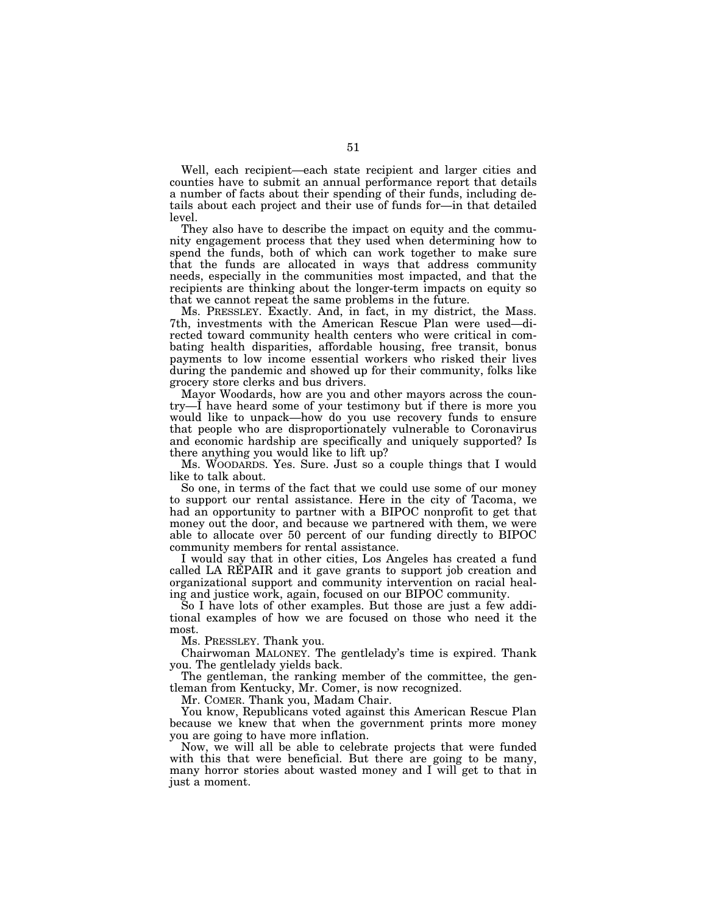Well, each recipient—each state recipient and larger cities and counties have to submit an annual performance report that details a number of facts about their spending of their funds, including details about each project and their use of funds for—in that detailed level.

They also have to describe the impact on equity and the community engagement process that they used when determining how to spend the funds, both of which can work together to make sure that the funds are allocated in ways that address community needs, especially in the communities most impacted, and that the recipients are thinking about the longer-term impacts on equity so that we cannot repeat the same problems in the future.

Ms. PRESSLEY. Exactly. And, in fact, in my district, the Mass. 7th, investments with the American Rescue Plan were used—directed toward community health centers who were critical in combating health disparities, affordable housing, free transit, bonus payments to low income essential workers who risked their lives during the pandemic and showed up for their community, folks like grocery store clerks and bus drivers.

Mayor Woodards, how are you and other mayors across the country—I have heard some of your testimony but if there is more you would like to unpack—how do you use recovery funds to ensure that people who are disproportionately vulnerable to Coronavirus and economic hardship are specifically and uniquely supported? Is there anything you would like to lift up?

Ms. WOODARDS. Yes. Sure. Just so a couple things that I would like to talk about.

So one, in terms of the fact that we could use some of our money to support our rental assistance. Here in the city of Tacoma, we had an opportunity to partner with a BIPOC nonprofit to get that money out the door, and because we partnered with them, we were able to allocate over 50 percent of our funding directly to BIPOC community members for rental assistance.

I would say that in other cities, Los Angeles has created a fund called LA REPAIR and it gave grants to support job creation and organizational support and community intervention on racial healing and justice work, again, focused on our BIPOC community.

So I have lots of other examples. But those are just a few additional examples of how we are focused on those who need it the most.

Ms. PRESSLEY. Thank you.

Chairwoman MALONEY. The gentlelady's time is expired. Thank you. The gentlelady yields back.

The gentleman, the ranking member of the committee, the gentleman from Kentucky, Mr. Comer, is now recognized.

Mr. COMER. Thank you, Madam Chair.

You know, Republicans voted against this American Rescue Plan because we knew that when the government prints more money you are going to have more inflation.

Now, we will all be able to celebrate projects that were funded with this that were beneficial. But there are going to be many, many horror stories about wasted money and I will get to that in just a moment.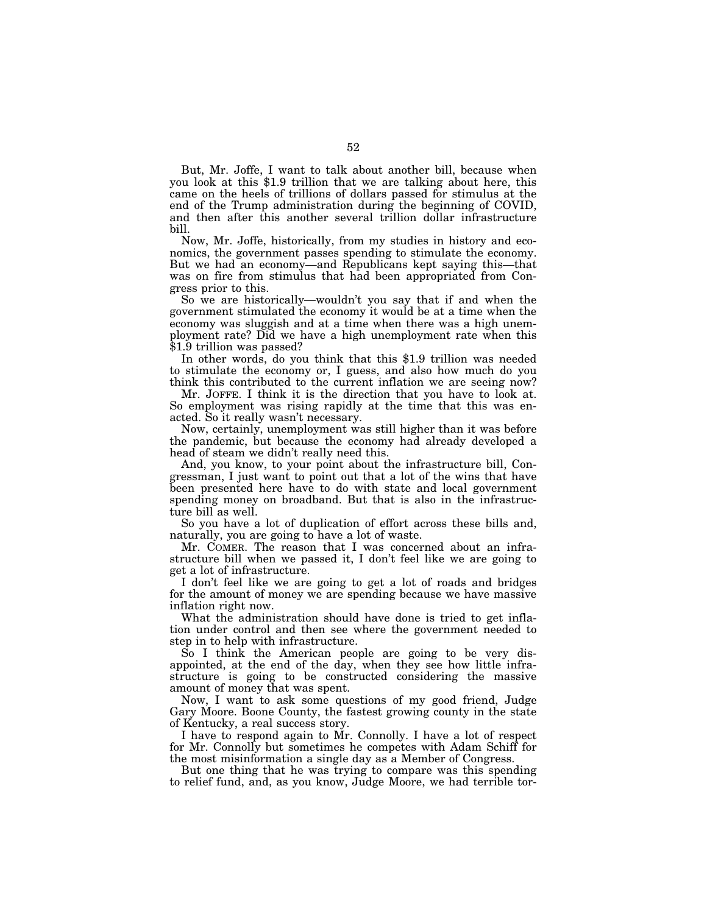But, Mr. Joffe, I want to talk about another bill, because when you look at this \$1.9 trillion that we are talking about here, this came on the heels of trillions of dollars passed for stimulus at the end of the Trump administration during the beginning of COVID, and then after this another several trillion dollar infrastructure bill.

Now, Mr. Joffe, historically, from my studies in history and economics, the government passes spending to stimulate the economy. But we had an economy—and Republicans kept saying this—that was on fire from stimulus that had been appropriated from Congress prior to this.

So we are historically—wouldn't you say that if and when the government stimulated the economy it would be at a time when the economy was sluggish and at a time when there was a high unemployment rate? Did we have a high unemployment rate when this \$1.9 trillion was passed?

In other words, do you think that this \$1.9 trillion was needed to stimulate the economy or, I guess, and also how much do you think this contributed to the current inflation we are seeing now?

Mr. JOFFE. I think it is the direction that you have to look at. So employment was rising rapidly at the time that this was enacted. So it really wasn't necessary.

Now, certainly, unemployment was still higher than it was before the pandemic, but because the economy had already developed a head of steam we didn't really need this.

And, you know, to your point about the infrastructure bill, Congressman, I just want to point out that a lot of the wins that have been presented here have to do with state and local government spending money on broadband. But that is also in the infrastructure bill as well.

So you have a lot of duplication of effort across these bills and, naturally, you are going to have a lot of waste.

Mr. COMER. The reason that I was concerned about an infrastructure bill when we passed it, I don't feel like we are going to get a lot of infrastructure.

I don't feel like we are going to get a lot of roads and bridges for the amount of money we are spending because we have massive inflation right now.

What the administration should have done is tried to get inflation under control and then see where the government needed to step in to help with infrastructure.

So I think the American people are going to be very disappointed, at the end of the day, when they see how little infrastructure is going to be constructed considering the massive amount of money that was spent.

Now, I want to ask some questions of my good friend, Judge Gary Moore. Boone County, the fastest growing county in the state of Kentucky, a real success story.

I have to respond again to Mr. Connolly. I have a lot of respect for Mr. Connolly but sometimes he competes with Adam Schiff for the most misinformation a single day as a Member of Congress.

But one thing that he was trying to compare was this spending to relief fund, and, as you know, Judge Moore, we had terrible tor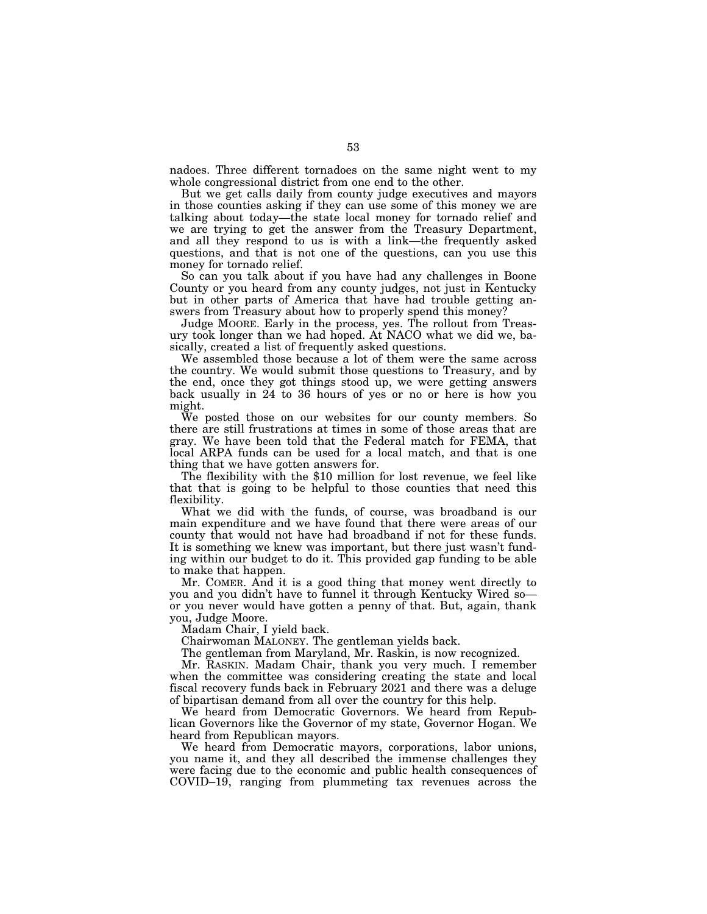nadoes. Three different tornadoes on the same night went to my whole congressional district from one end to the other.

But we get calls daily from county judge executives and mayors in those counties asking if they can use some of this money we are talking about today—the state local money for tornado relief and we are trying to get the answer from the Treasury Department, and all they respond to us is with a link—the frequently asked questions, and that is not one of the questions, can you use this money for tornado relief.

So can you talk about if you have had any challenges in Boone County or you heard from any county judges, not just in Kentucky but in other parts of America that have had trouble getting answers from Treasury about how to properly spend this money?

Judge MOORE. Early in the process, yes. The rollout from Treasury took longer than we had hoped. At NACO what we did we, basically, created a list of frequently asked questions.

We assembled those because a lot of them were the same across the country. We would submit those questions to Treasury, and by the end, once they got things stood up, we were getting answers back usually in 24 to 36 hours of yes or no or here is how you might.

We posted those on our websites for our county members. So there are still frustrations at times in some of those areas that are gray. We have been told that the Federal match for FEMA, that local ARPA funds can be used for a local match, and that is one thing that we have gotten answers for.

The flexibility with the \$10 million for lost revenue, we feel like that that is going to be helpful to those counties that need this flexibility.

What we did with the funds, of course, was broadband is our main expenditure and we have found that there were areas of our county that would not have had broadband if not for these funds. It is something we knew was important, but there just wasn't funding within our budget to do it. This provided gap funding to be able to make that happen.

Mr. COMER. And it is a good thing that money went directly to you and you didn't have to funnel it through Kentucky Wired so or you never would have gotten a penny of that. But, again, thank you, Judge Moore.

Madam Chair, I yield back.

Chairwoman MALONEY. The gentleman yields back.

The gentleman from Maryland, Mr. Raskin, is now recognized.

Mr. RASKIN. Madam Chair, thank you very much. I remember when the committee was considering creating the state and local fiscal recovery funds back in February 2021 and there was a deluge of bipartisan demand from all over the country for this help.

We heard from Democratic Governors. We heard from Republican Governors like the Governor of my state, Governor Hogan. We heard from Republican mayors.

We heard from Democratic mayors, corporations, labor unions, you name it, and they all described the immense challenges they were facing due to the economic and public health consequences of COVID–19, ranging from plummeting tax revenues across the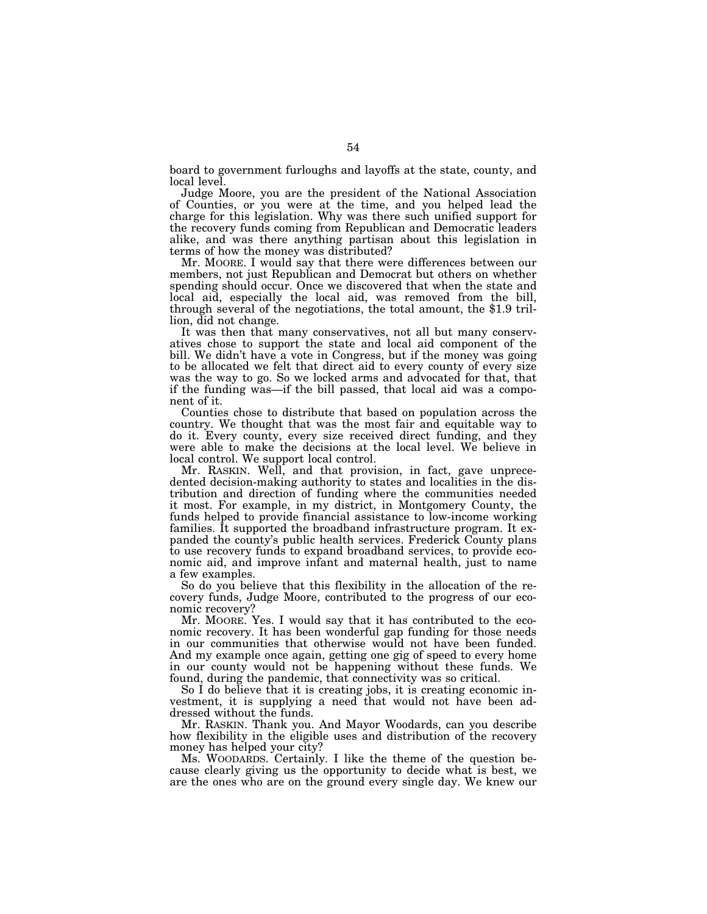board to government furloughs and layoffs at the state, county, and local level.

Judge Moore, you are the president of the National Association of Counties, or you were at the time, and you helped lead the charge for this legislation. Why was there such unified support for the recovery funds coming from Republican and Democratic leaders alike, and was there anything partisan about this legislation in terms of how the money was distributed?

Mr. MOORE. I would say that there were differences between our members, not just Republican and Democrat but others on whether spending should occur. Once we discovered that when the state and local aid, especially the local aid, was removed from the bill, through several of the negotiations, the total amount, the \$1.9 trillion, did not change.

It was then that many conservatives, not all but many conservatives chose to support the state and local aid component of the bill. We didn't have a vote in Congress, but if the money was going to be allocated we felt that direct aid to every county of every size was the way to go. So we locked arms and advocated for that, that if the funding was—if the bill passed, that local aid was a component of it.

Counties chose to distribute that based on population across the country. We thought that was the most fair and equitable way to do it. Every county, every size received direct funding, and they were able to make the decisions at the local level. We believe in local control. We support local control.

Mr. RASKIN. Well, and that provision, in fact, gave unprecedented decision-making authority to states and localities in the distribution and direction of funding where the communities needed it most. For example, in my district, in Montgomery County, the funds helped to provide financial assistance to low-income working families. It supported the broadband infrastructure program. It expanded the county's public health services. Frederick County plans to use recovery funds to expand broadband services, to provide economic aid, and improve infant and maternal health, just to name a few examples.

So do you believe that this flexibility in the allocation of the recovery funds, Judge Moore, contributed to the progress of our economic recovery?

Mr. MOORE. Yes. I would say that it has contributed to the economic recovery. It has been wonderful gap funding for those needs in our communities that otherwise would not have been funded. And my example once again, getting one gig of speed to every home in our county would not be happening without these funds. We found, during the pandemic, that connectivity was so critical.

So I do believe that it is creating jobs, it is creating economic investment, it is supplying a need that would not have been addressed without the funds.

Mr. RASKIN. Thank you. And Mayor Woodards, can you describe how flexibility in the eligible uses and distribution of the recovery money has helped your city?

Ms. WOODARDS. Certainly. I like the theme of the question because clearly giving us the opportunity to decide what is best, we are the ones who are on the ground every single day. We knew our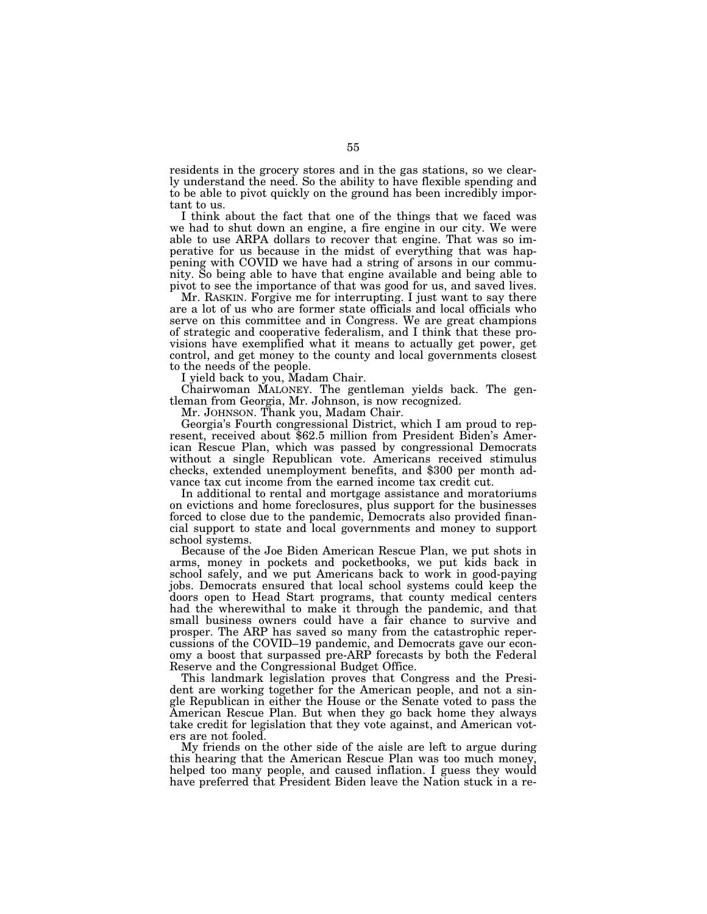residents in the grocery stores and in the gas stations, so we clearly understand the need. So the ability to have flexible spending and to be able to pivot quickly on the ground has been incredibly important to us.

I think about the fact that one of the things that we faced was we had to shut down an engine, a fire engine in our city. We were able to use ARPA dollars to recover that engine. That was so imperative for us because in the midst of everything that was happening with COVID we have had a string of arsons in our community. So being able to have that engine available and being able to pivot to see the importance of that was good for us, and saved lives.

Mr. RASKIN. Forgive me for interrupting. I just want to say there are a lot of us who are former state officials and local officials who serve on this committee and in Congress. We are great champions of strategic and cooperative federalism, and I think that these provisions have exemplified what it means to actually get power, get control, and get money to the county and local governments closest to the needs of the people.

I yield back to you, Madam Chair.

Chairwoman MALONEY. The gentleman yields back. The gentleman from Georgia, Mr. Johnson, is now recognized.

Mr. JOHNSON. Thank you, Madam Chair.<br>Georgia's Fourth congressional District, which I am proud to represent, received about \$62.5 million from President Biden's American Rescue Plan, which was passed by congressional Democrats without a single Republican vote. Americans received stimulus checks, extended unemployment benefits, and \$300 per month advance tax cut income from the earned income tax credit cut.

In additional to rental and mortgage assistance and moratoriums on evictions and home foreclosures, plus support for the businesses forced to close due to the pandemic, Democrats also provided financial support to state and local governments and money to support school systems.

Because of the Joe Biden American Rescue Plan, we put shots in arms, money in pockets and pocketbooks, we put kids back in school safely, and we put Americans back to work in good-paying jobs. Democrats ensured that local school systems could keep the doors open to Head Start programs, that county medical centers had the wherewithal to make it through the pandemic, and that small business owners could have a fair chance to survive and prosper. The ARP has saved so many from the catastrophic repercussions of the COVID–19 pandemic, and Democrats gave our economy a boost that surpassed pre-ARP forecasts by both the Federal Reserve and the Congressional Budget Office.

This landmark legislation proves that Congress and the President are working together for the American people, and not a single Republican in either the House or the Senate voted to pass the American Rescue Plan. But when they go back home they always take credit for legislation that they vote against, and American voters are not fooled.

My friends on the other side of the aisle are left to argue during this hearing that the American Rescue Plan was too much money, helped too many people, and caused inflation. I guess they would have preferred that President Biden leave the Nation stuck in a re-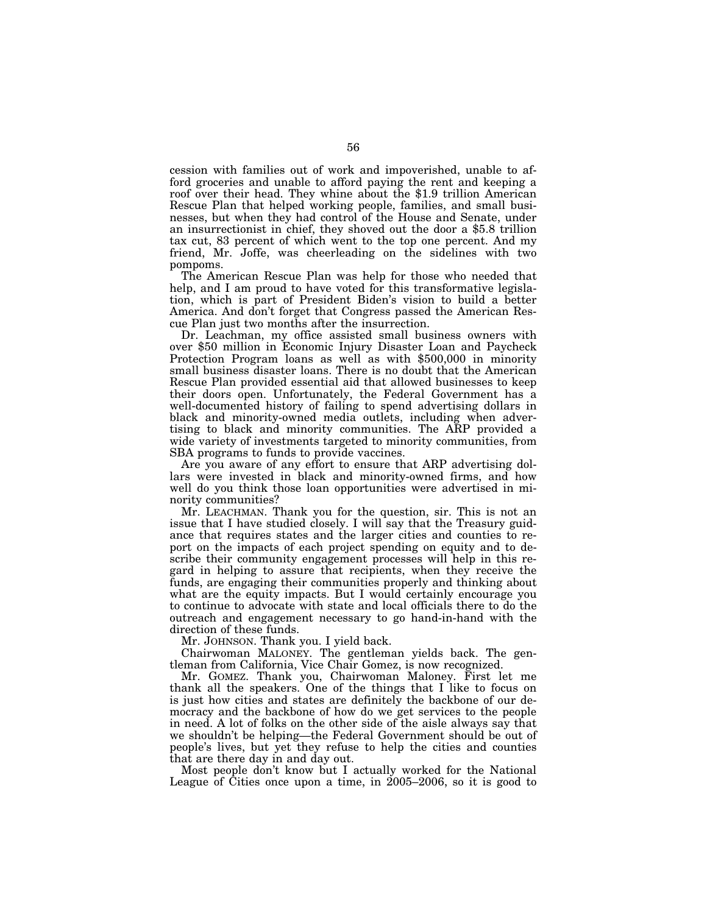cession with families out of work and impoverished, unable to afford groceries and unable to afford paying the rent and keeping a roof over their head. They whine about the \$1.9 trillion American Rescue Plan that helped working people, families, and small businesses, but when they had control of the House and Senate, under an insurrectionist in chief, they shoved out the door a \$5.8 trillion tax cut, 83 percent of which went to the top one percent. And my friend, Mr. Joffe, was cheerleading on the sidelines with two pompoms.

The American Rescue Plan was help for those who needed that help, and I am proud to have voted for this transformative legislation, which is part of President Biden's vision to build a better America. And don't forget that Congress passed the American Rescue Plan just two months after the insurrection.

Dr. Leachman, my office assisted small business owners with over \$50 million in Economic Injury Disaster Loan and Paycheck Protection Program loans as well as with \$500,000 in minority small business disaster loans. There is no doubt that the American Rescue Plan provided essential aid that allowed businesses to keep their doors open. Unfortunately, the Federal Government has a well-documented history of failing to spend advertising dollars in black and minority-owned media outlets, including when advertising to black and minority communities. The ARP provided a wide variety of investments targeted to minority communities, from SBA programs to funds to provide vaccines.

Are you aware of any effort to ensure that ARP advertising dollars were invested in black and minority-owned firms, and how well do you think those loan opportunities were advertised in minority communities?

Mr. LEACHMAN. Thank you for the question, sir. This is not an issue that I have studied closely. I will say that the Treasury guidance that requires states and the larger cities and counties to report on the impacts of each project spending on equity and to describe their community engagement processes will help in this regard in helping to assure that recipients, when they receive the funds, are engaging their communities properly and thinking about what are the equity impacts. But I would certainly encourage you to continue to advocate with state and local officials there to do the outreach and engagement necessary to go hand-in-hand with the direction of these funds.

Mr. JOHNSON. Thank you. I yield back.

Chairwoman MALONEY. The gentleman yields back. The gentleman from California, Vice Chair Gomez, is now recognized.

Mr. GOMEZ. Thank you, Chairwoman Maloney. First let me thank all the speakers. One of the things that I like to focus on is just how cities and states are definitely the backbone of our democracy and the backbone of how do we get services to the people in need. A lot of folks on the other side of the aisle always say that we shouldn't be helping—the Federal Government should be out of people's lives, but yet they refuse to help the cities and counties that are there day in and day out.

Most people don't know but I actually worked for the National League of Cities once upon a time, in 2005–2006, so it is good to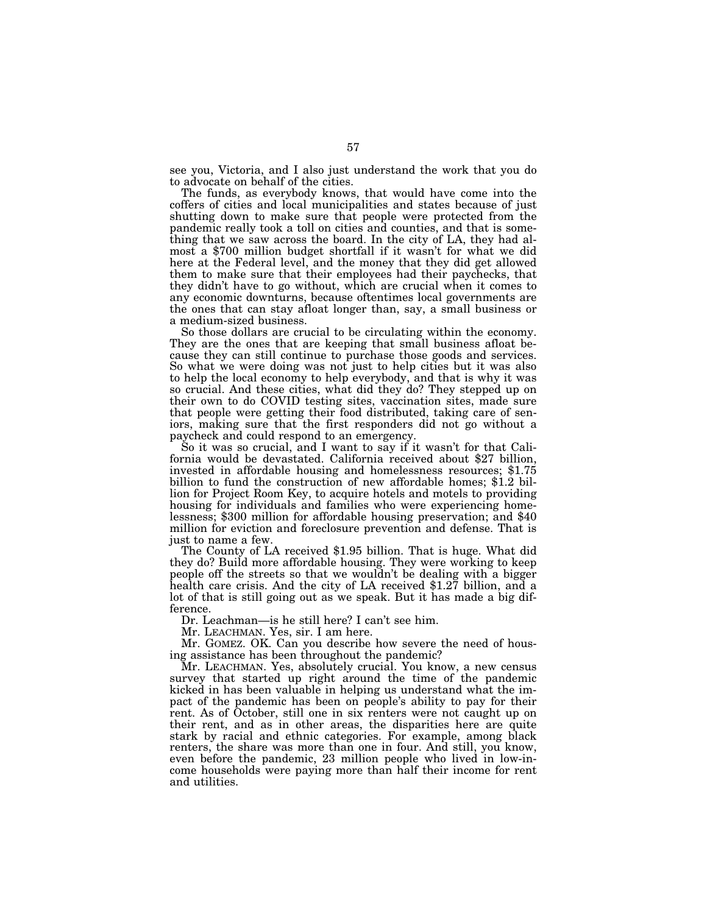see you, Victoria, and I also just understand the work that you do to advocate on behalf of the cities.

The funds, as everybody knows, that would have come into the coffers of cities and local municipalities and states because of just shutting down to make sure that people were protected from the pandemic really took a toll on cities and counties, and that is something that we saw across the board. In the city of LA, they had almost a \$700 million budget shortfall if it wasn't for what we did here at the Federal level, and the money that they did get allowed them to make sure that their employees had their paychecks, that they didn't have to go without, which are crucial when it comes to any economic downturns, because oftentimes local governments are the ones that can stay afloat longer than, say, a small business or a medium-sized business.

So those dollars are crucial to be circulating within the economy. They are the ones that are keeping that small business afloat because they can still continue to purchase those goods and services. So what we were doing was not just to help cities but it was also to help the local economy to help everybody, and that is why it was so crucial. And these cities, what did they do? They stepped up on their own to do COVID testing sites, vaccination sites, made sure that people were getting their food distributed, taking care of seniors, making sure that the first responders did not go without a paycheck and could respond to an emergency.

So it was so crucial, and I want to say if it wasn't for that Cali- fornia would be devastated. California received about \$27 billion, invested in affordable housing and homelessness resources; \$1.75 billion to fund the construction of new affordable homes; \$1.2 billion for Project Room Key, to acquire hotels and motels to providing housing for individuals and families who were experiencing homelessness; \$300 million for affordable housing preservation; and \$40 million for eviction and foreclosure prevention and defense. That is just to name a few.

The County of LA received \$1.95 billion. That is huge. What did they do? Build more affordable housing. They were working to keep people off the streets so that we wouldn't be dealing with a bigger health care crisis. And the city of LA received \$1.27 billion, and a lot of that is still going out as we speak. But it has made a big difference.

Dr. Leachman—is he still here? I can't see him.

Mr. LEACHMAN. Yes, sir. I am here.

Mr. GOMEZ. OK. Can you describe how severe the need of housing assistance has been throughout the pandemic?

Mr. LEACHMAN. Yes, absolutely crucial. You know, a new census survey that started up right around the time of the pandemic kicked in has been valuable in helping us understand what the impact of the pandemic has been on people's ability to pay for their rent. As of October, still one in six renters were not caught up on their rent, and as in other areas, the disparities here are quite stark by racial and ethnic categories. For example, among black renters, the share was more than one in four. And still, you know, even before the pandemic, 23 million people who lived in low-income households were paying more than half their income for rent and utilities.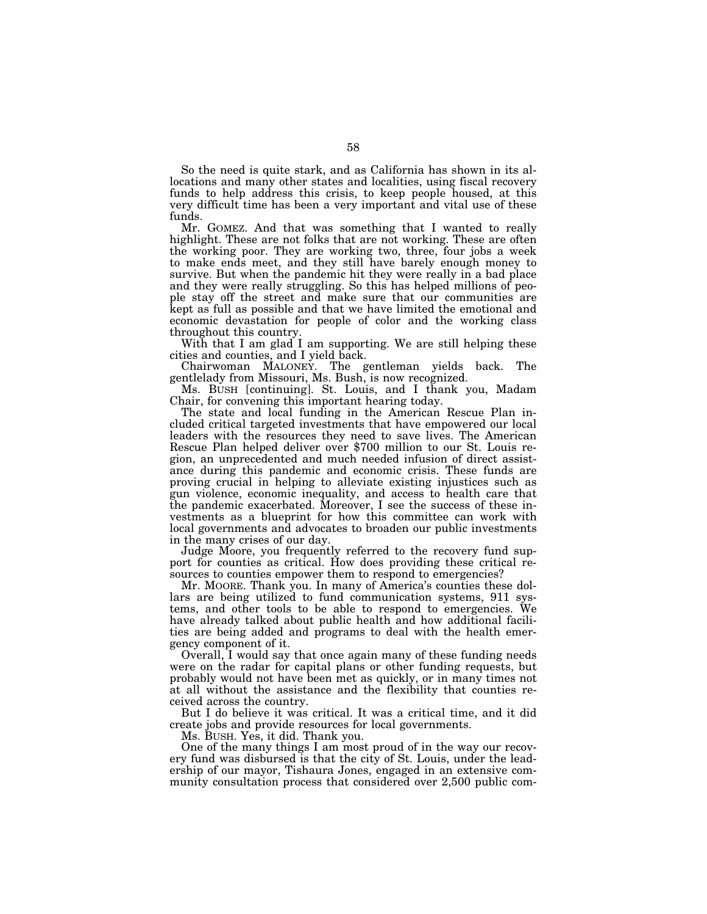So the need is quite stark, and as California has shown in its allocations and many other states and localities, using fiscal recovery funds to help address this crisis, to keep people housed, at this very difficult time has been a very important and vital use of these funds.

Mr. GOMEZ. And that was something that I wanted to really highlight. These are not folks that are not working. These are often the working poor. They are working two, three, four jobs a week to make ends meet, and they still have barely enough money to survive. But when the pandemic hit they were really in a bad place and they were really struggling. So this has helped millions of people stay off the street and make sure that our communities are kept as full as possible and that we have limited the emotional and economic devastation for people of color and the working class throughout this country.

With that I am glad I am supporting. We are still helping these cities and counties, and I yield back.

Chairwoman MALONEY. The gentleman yields back. The gentlelady from Missouri, Ms. Bush, is now recognized.

Ms. BUSH [continuing]. St. Louis, and I thank you, Madam Chair, for convening this important hearing today.

The state and local funding in the American Rescue Plan included critical targeted investments that have empowered our local leaders with the resources they need to save lives. The American Rescue Plan helped deliver over \$700 million to our St. Louis region, an unprecedented and much needed infusion of direct assistance during this pandemic and economic crisis. These funds are proving crucial in helping to alleviate existing injustices such as gun violence, economic inequality, and access to health care that the pandemic exacerbated. Moreover, I see the success of these investments as a blueprint for how this committee can work with local governments and advocates to broaden our public investments in the many crises of our day.

Judge Moore, you frequently referred to the recovery fund support for counties as critical. How does providing these critical resources to counties empower them to respond to emergencies?

Mr. MOORE. Thank you. In many of America's counties these dollars are being utilized to fund communication systems, 911 systems, and other tools to be able to respond to emergencies. We have already talked about public health and how additional facilities are being added and programs to deal with the health emergency component of it.

Overall, I would say that once again many of these funding needs were on the radar for capital plans or other funding requests, but probably would not have been met as quickly, or in many times not at all without the assistance and the flexibility that counties received across the country.

But I do believe it was critical. It was a critical time, and it did create jobs and provide resources for local governments.

Ms. BUSH. Yes, it did. Thank you.

One of the many things I am most proud of in the way our recovery fund was disbursed is that the city of St. Louis, under the leadership of our mayor, Tishaura Jones, engaged in an extensive community consultation process that considered over 2,500 public com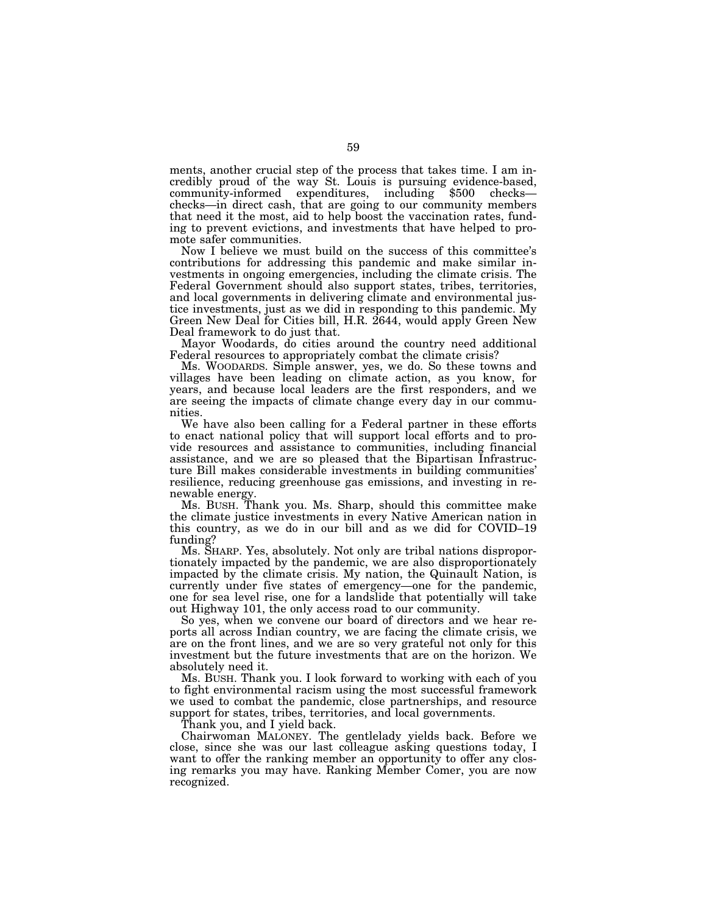ments, another crucial step of the process that takes time. I am incredibly proud of the way St. Louis is pursuing evidence-based, community-informed expenditures, including \$500 checks checks—in direct cash, that are going to our community members that need it the most, aid to help boost the vaccination rates, funding to prevent evictions, and investments that have helped to promote safer communities.

Now I believe we must build on the success of this committee's contributions for addressing this pandemic and make similar investments in ongoing emergencies, including the climate crisis. The Federal Government should also support states, tribes, territories, and local governments in delivering climate and environmental justice investments, just as we did in responding to this pandemic. My Green New Deal for Cities bill, H.R. 2644, would apply Green New Deal framework to do just that.

Mayor Woodards, do cities around the country need additional Federal resources to appropriately combat the climate crisis?

Ms. WOODARDS. Simple answer, yes, we do. So these towns and villages have been leading on climate action, as you know, for years, and because local leaders are the first responders, and we are seeing the impacts of climate change every day in our communities.

We have also been calling for a Federal partner in these efforts to enact national policy that will support local efforts and to provide resources and assistance to communities, including financial assistance, and we are so pleased that the Bipartisan Infrastructure Bill makes considerable investments in building communities' resilience, reducing greenhouse gas emissions, and investing in renewable energy.

Ms. BUSH. Thank you. Ms. Sharp, should this committee make the climate justice investments in every Native American nation in this country, as we do in our bill and as we did for COVID–19 funding?

Ms. SHARP. Yes, absolutely. Not only are tribal nations disproportionately impacted by the pandemic, we are also disproportionately impacted by the climate crisis. My nation, the Quinault Nation, is currently under five states of emergency—one for the pandemic, one for sea level rise, one for a landslide that potentially will take out Highway 101, the only access road to our community.

So yes, when we convene our board of directors and we hear reports all across Indian country, we are facing the climate crisis, we are on the front lines, and we are so very grateful not only for this investment but the future investments that are on the horizon. We absolutely need it.

Ms. BUSH. Thank you. I look forward to working with each of you to fight environmental racism using the most successful framework we used to combat the pandemic, close partnerships, and resource support for states, tribes, territories, and local governments.

Thank you, and I yield back.

Chairwoman MALONEY. The gentlelady yields back. Before we close, since she was our last colleague asking questions today, I want to offer the ranking member an opportunity to offer any closing remarks you may have. Ranking Member Comer, you are now recognized.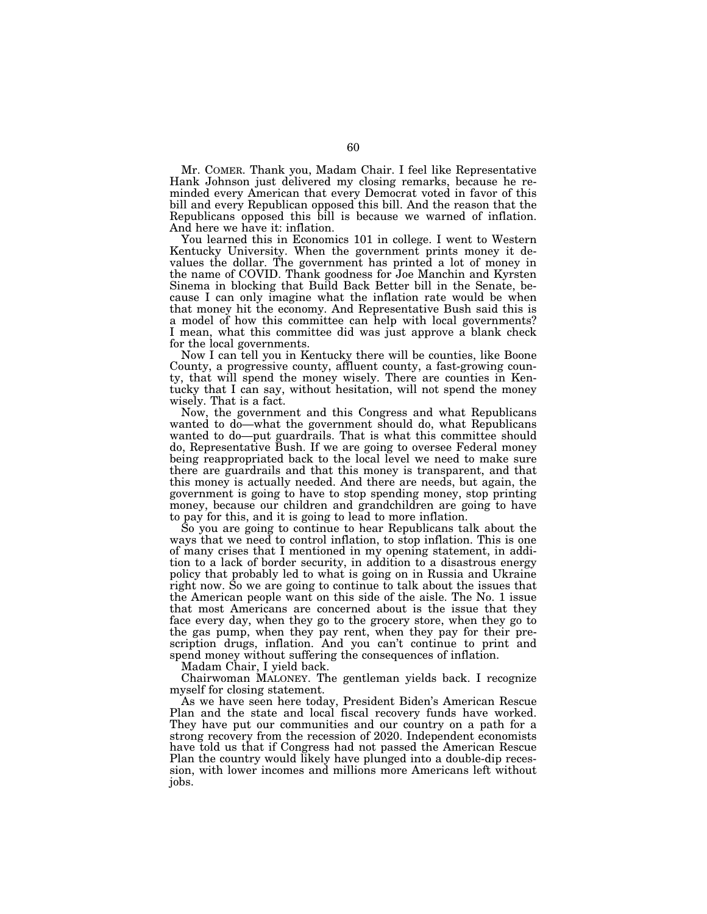Mr. COMER. Thank you, Madam Chair. I feel like Representative Hank Johnson just delivered my closing remarks, because he reminded every American that every Democrat voted in favor of this bill and every Republican opposed this bill. And the reason that the Republicans opposed this bill is because we warned of inflation. And here we have it: inflation.

You learned this in Economics 101 in college. I went to Western Kentucky University. When the government prints money it devalues the dollar. The government has printed a lot of money in the name of COVID. Thank goodness for Joe Manchin and Kyrsten Sinema in blocking that Build Back Better bill in the Senate, because I can only imagine what the inflation rate would be when that money hit the economy. And Representative Bush said this is a model of how this committee can help with local governments? I mean, what this committee did was just approve a blank check for the local governments.

Now I can tell you in Kentucky there will be counties, like Boone County, a progressive county, affluent county, a fast-growing county, that will spend the money wisely. There are counties in Kentucky that I can say, without hesitation, will not spend the money wisely. That is a fact.

Now, the government and this Congress and what Republicans wanted to do—what the government should do, what Republicans wanted to do—put guardrails. That is what this committee should do, Representative Bush. If we are going to oversee Federal money being reappropriated back to the local level we need to make sure there are guardrails and that this money is transparent, and that this money is actually needed. And there are needs, but again, the government is going to have to stop spending money, stop printing money, because our children and grandchildren are going to have to pay for this, and it is going to lead to more inflation.

So you are going to continue to hear Republicans talk about the ways that we need to control inflation, to stop inflation. This is one of many crises that I mentioned in my opening statement, in addition to a lack of border security, in addition to a disastrous energy policy that probably led to what is going on in Russia and Ukraine right now. So we are going to continue to talk about the issues that the American people want on this side of the aisle. The No. 1 issue that most Americans are concerned about is the issue that they face every day, when they go to the grocery store, when they go to the gas pump, when they pay rent, when they pay for their prescription drugs, inflation. And you can't continue to print and spend money without suffering the consequences of inflation.

Madam Chair, I yield back.

Chairwoman MALONEY. The gentleman yields back. I recognize myself for closing statement.

As we have seen here today, President Biden's American Rescue Plan and the state and local fiscal recovery funds have worked. They have put our communities and our country on a path for a strong recovery from the recession of 2020. Independent economists have told us that if Congress had not passed the American Rescue Plan the country would likely have plunged into a double-dip recession, with lower incomes and millions more Americans left without jobs.